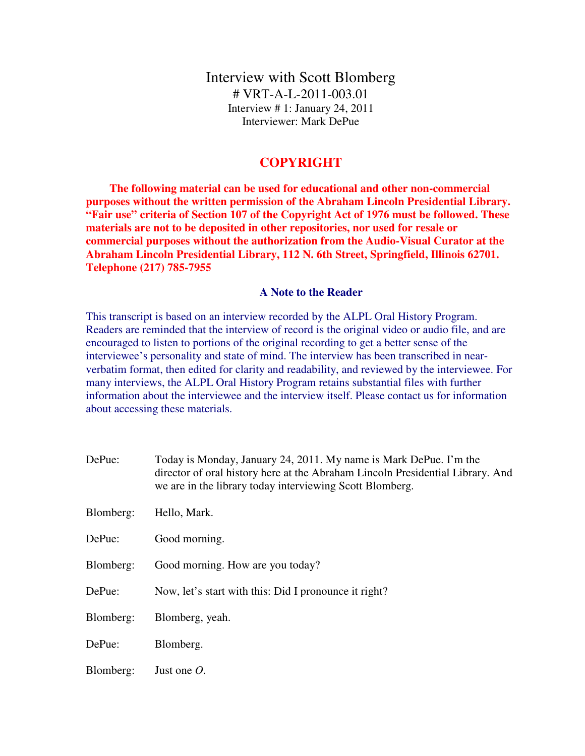Interview with Scott Blomberg # VRT-A-L-2011-003.01 Interview # 1: January 24, 2011 Interviewer: Mark DePue

## **COPYRIGHT**

 **The following material can be used for educational and other non-commercial purposes without the written permission of the Abraham Lincoln Presidential Library. "Fair use" criteria of Section 107 of the Copyright Act of 1976 must be followed. These materials are not to be deposited in other repositories, nor used for resale or commercial purposes without the authorization from the Audio-Visual Curator at the Abraham Lincoln Presidential Library, 112 N. 6th Street, Springfield, Illinois 62701. Telephone (217) 785-7955** 

### **A Note to the Reader**

This transcript is based on an interview recorded by the ALPL Oral History Program. Readers are reminded that the interview of record is the original video or audio file, and are encouraged to listen to portions of the original recording to get a better sense of the interviewee's personality and state of mind. The interview has been transcribed in nearverbatim format, then edited for clarity and readability, and reviewed by the interviewee. For many interviews, the ALPL Oral History Program retains substantial files with further information about the interviewee and the interview itself. Please contact us for information about accessing these materials.

| DePue:    | Today is Monday, January 24, 2011. My name is Mark DePue. I'm the<br>director of oral history here at the Abraham Lincoln Presidential Library. And<br>we are in the library today interviewing Scott Blomberg. |
|-----------|-----------------------------------------------------------------------------------------------------------------------------------------------------------------------------------------------------------------|
| Blomberg: | Hello, Mark.                                                                                                                                                                                                    |
| DePue:    | Good morning.                                                                                                                                                                                                   |
| Blomberg: | Good morning. How are you today?                                                                                                                                                                                |
| DePue:    | Now, let's start with this: Did I pronounce it right?                                                                                                                                                           |
| Blomberg: | Blomberg, yeah.                                                                                                                                                                                                 |
| DePue:    | Blomberg.                                                                                                                                                                                                       |
| Blomberg: | Just one $O$ .                                                                                                                                                                                                  |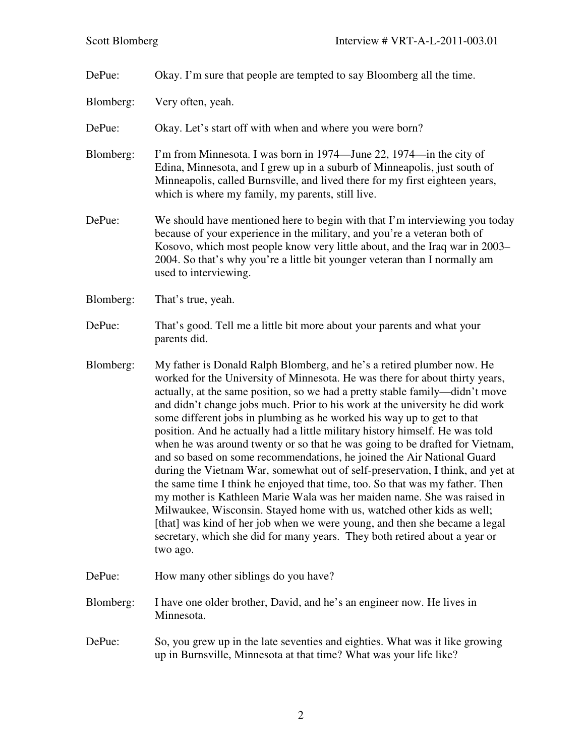DePue: Okay. I'm sure that people are tempted to say Bloomberg all the time.

Blomberg: Very often, yeah.

DePue: Okay. Let's start off with when and where you were born?

- Blomberg: I'm from Minnesota. I was born in 1974—June 22, 1974—in the city of Edina, Minnesota, and I grew up in a suburb of Minneapolis, just south of Minneapolis, called Burnsville, and lived there for my first eighteen years, which is where my family, my parents, still live.
- DePue: We should have mentioned here to begin with that I'm interviewing you today because of your experience in the military, and you're a veteran both of Kosovo, which most people know very little about, and the Iraq war in 2003– 2004. So that's why you're a little bit younger veteran than I normally am used to interviewing.
- Blomberg: That's true, yeah.
- DePue: That's good. Tell me a little bit more about your parents and what your parents did.
- Blomberg: My father is Donald Ralph Blomberg, and he's a retired plumber now. He worked for the University of Minnesota. He was there for about thirty years, actually, at the same position, so we had a pretty stable family—didn't move and didn't change jobs much. Prior to his work at the university he did work some different jobs in plumbing as he worked his way up to get to that position. And he actually had a little military history himself. He was told when he was around twenty or so that he was going to be drafted for Vietnam, and so based on some recommendations, he joined the Air National Guard during the Vietnam War, somewhat out of self-preservation, I think, and yet at the same time I think he enjoyed that time, too. So that was my father. Then my mother is Kathleen Marie Wala was her maiden name. She was raised in Milwaukee, Wisconsin. Stayed home with us, watched other kids as well; [that] was kind of her job when we were young, and then she became a legal secretary, which she did for many years. They both retired about a year or two ago.
- DePue: How many other siblings do you have?
- Blomberg: I have one older brother, David, and he's an engineer now. He lives in Minnesota.
- DePue: So, you grew up in the late seventies and eighties. What was it like growing up in Burnsville, Minnesota at that time? What was your life like?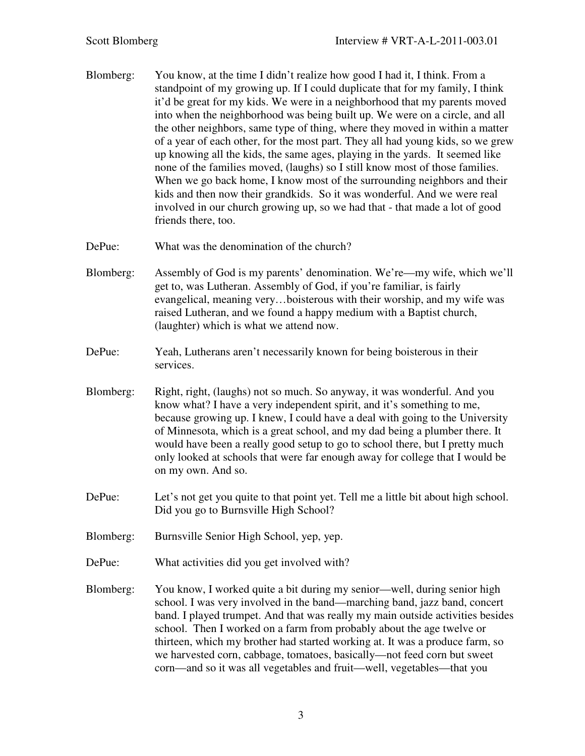- Blomberg: You know, at the time I didn't realize how good I had it, I think. From a standpoint of my growing up. If I could duplicate that for my family, I think it'd be great for my kids. We were in a neighborhood that my parents moved into when the neighborhood was being built up. We were on a circle, and all the other neighbors, same type of thing, where they moved in within a matter of a year of each other, for the most part. They all had young kids, so we grew up knowing all the kids, the same ages, playing in the yards. It seemed like none of the families moved, (laughs) so I still know most of those families. When we go back home, I know most of the surrounding neighbors and their kids and then now their grandkids. So it was wonderful. And we were real involved in our church growing up, so we had that - that made a lot of good friends there, too.
- DePue: What was the denomination of the church?
- Blomberg: Assembly of God is my parents' denomination. We're—my wife, which we'll get to, was Lutheran. Assembly of God, if you're familiar, is fairly evangelical, meaning very…boisterous with their worship, and my wife was raised Lutheran, and we found a happy medium with a Baptist church, (laughter) which is what we attend now.
- DePue: Yeah, Lutherans aren't necessarily known for being boisterous in their services.
- Blomberg: Right, right, (laughs) not so much. So anyway, it was wonderful. And you know what? I have a very independent spirit, and it's something to me, because growing up. I knew, I could have a deal with going to the University of Minnesota, which is a great school, and my dad being a plumber there. It would have been a really good setup to go to school there, but I pretty much only looked at schools that were far enough away for college that I would be on my own. And so.
- DePue: Let's not get you quite to that point yet. Tell me a little bit about high school. Did you go to Burnsville High School?
- Blomberg: Burnsville Senior High School, yep, yep.
- DePue: What activities did you get involved with?
- Blomberg: You know, I worked quite a bit during my senior—well, during senior high school. I was very involved in the band—marching band, jazz band, concert band. I played trumpet. And that was really my main outside activities besides school. Then I worked on a farm from probably about the age twelve or thirteen, which my brother had started working at. It was a produce farm, so we harvested corn, cabbage, tomatoes, basically—not feed corn but sweet corn—and so it was all vegetables and fruit—well, vegetables—that you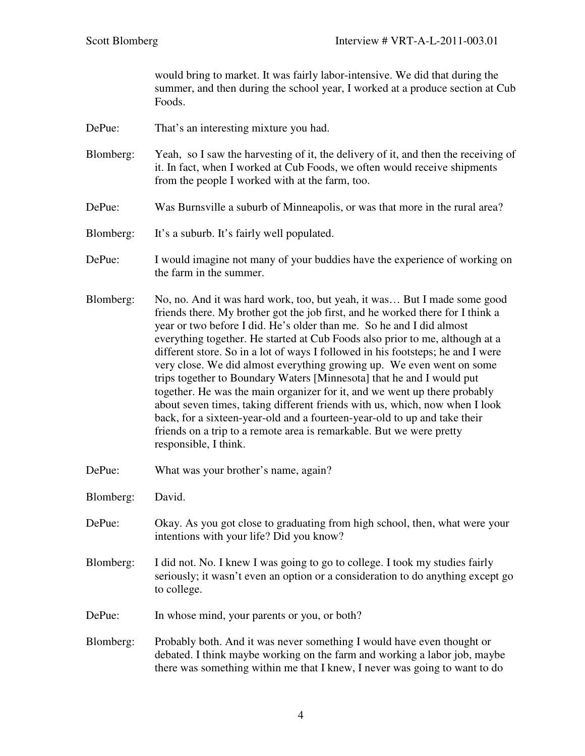would bring to market. It was fairly labor-intensive. We did that during the summer, and then during the school year, I worked at a produce section at Cub Foods.

DePue: That's an interesting mixture you had.

Blomberg: Yeah, so I saw the harvesting of it, the delivery of it, and then the receiving of it. In fact, when I worked at Cub Foods, we often would receive shipments from the people I worked with at the farm, too.

- DePue: Was Burnsville a suburb of Minneapolis, or was that more in the rural area?
- Blomberg: It's a suburb. It's fairly well populated.
- DePue: I would imagine not many of your buddies have the experience of working on the farm in the summer.
- Blomberg: No, no. And it was hard work, too, but yeah, it was… But I made some good friends there. My brother got the job first, and he worked there for I think a year or two before I did. He's older than me. So he and I did almost everything together. He started at Cub Foods also prior to me, although at a different store. So in a lot of ways I followed in his footsteps; he and I were very close. We did almost everything growing up. We even went on some trips together to Boundary Waters [Minnesota] that he and I would put together. He was the main organizer for it, and we went up there probably about seven times, taking different friends with us, which, now when I look back, for a sixteen-year-old and a fourteen-year-old to up and take their friends on a trip to a remote area is remarkable. But we were pretty responsible, I think.
- DePue: What was your brother's name, again?
- Blomberg: David.
- DePue: Okay. As you got close to graduating from high school, then, what were your intentions with your life? Did you know?
- Blomberg: I did not. No. I knew I was going to go to college. I took my studies fairly seriously; it wasn't even an option or a consideration to do anything except go to college.
- DePue: In whose mind, your parents or you, or both?
- Blomberg: Probably both. And it was never something I would have even thought or debated. I think maybe working on the farm and working a labor job, maybe there was something within me that I knew, I never was going to want to do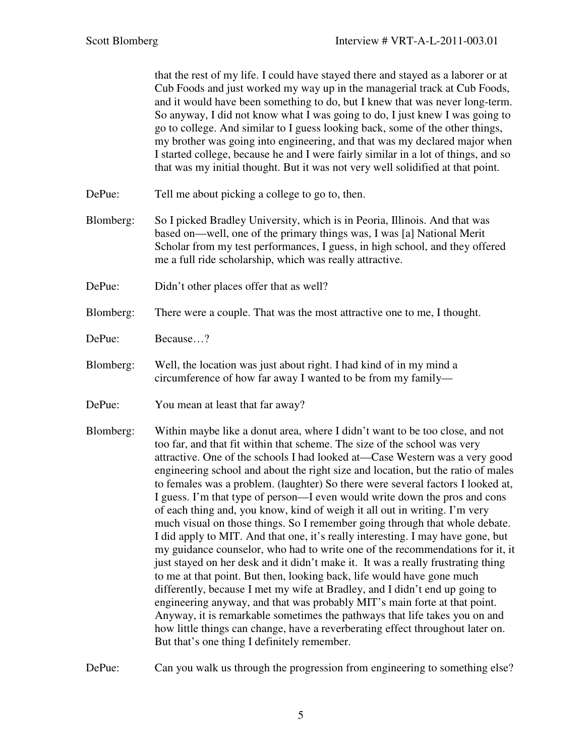that the rest of my life. I could have stayed there and stayed as a laborer or at Cub Foods and just worked my way up in the managerial track at Cub Foods, and it would have been something to do, but I knew that was never long-term. So anyway, I did not know what I was going to do, I just knew I was going to go to college. And similar to I guess looking back, some of the other things, my brother was going into engineering, and that was my declared major when I started college, because he and I were fairly similar in a lot of things, and so that was my initial thought. But it was not very well solidified at that point.

- DePue: Tell me about picking a college to go to, then.
- Blomberg: So I picked Bradley University, which is in Peoria, Illinois. And that was based on—well, one of the primary things was, I was [a] National Merit Scholar from my test performances, I guess, in high school, and they offered me a full ride scholarship, which was really attractive.
- DePue: Didn't other places offer that as well?
- Blomberg: There were a couple. That was the most attractive one to me, I thought.
- DePue: Because…?
- Blomberg: Well, the location was just about right. I had kind of in my mind a circumference of how far away I wanted to be from my family—
- DePue: You mean at least that far away?
- Blomberg: Within maybe like a donut area, where I didn't want to be too close, and not too far, and that fit within that scheme. The size of the school was very attractive. One of the schools I had looked at—Case Western was a very good engineering school and about the right size and location, but the ratio of males to females was a problem. (laughter) So there were several factors I looked at, I guess. I'm that type of person—I even would write down the pros and cons of each thing and, you know, kind of weigh it all out in writing. I'm very much visual on those things. So I remember going through that whole debate. I did apply to MIT. And that one, it's really interesting. I may have gone, but my guidance counselor, who had to write one of the recommendations for it, it just stayed on her desk and it didn't make it. It was a really frustrating thing to me at that point. But then, looking back, life would have gone much differently, because I met my wife at Bradley, and I didn't end up going to engineering anyway, and that was probably MIT's main forte at that point. Anyway, it is remarkable sometimes the pathways that life takes you on and how little things can change, have a reverberating effect throughout later on. But that's one thing I definitely remember.

DePue: Can you walk us through the progression from engineering to something else?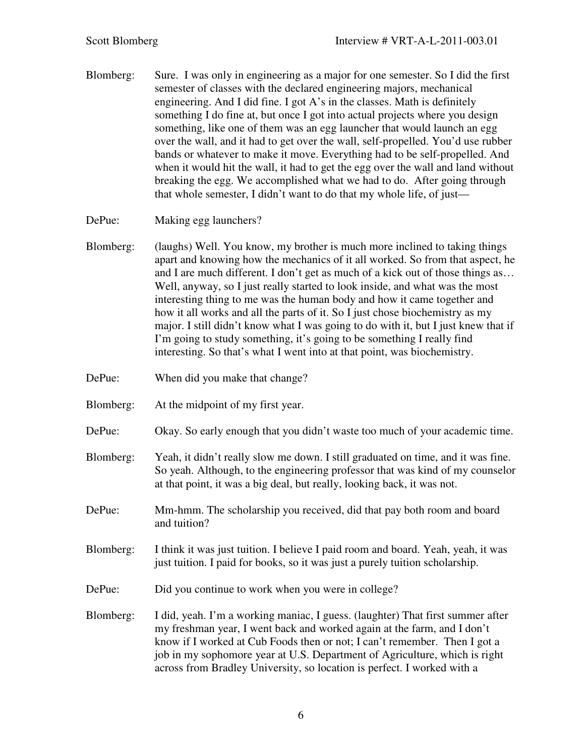- Blomberg: Sure. I was only in engineering as a major for one semester. So I did the first semester of classes with the declared engineering majors, mechanical engineering. And I did fine. I got A's in the classes. Math is definitely something I do fine at, but once I got into actual projects where you design something, like one of them was an egg launcher that would launch an egg over the wall, and it had to get over the wall, self-propelled. You'd use rubber bands or whatever to make it move. Everything had to be self-propelled. And when it would hit the wall, it had to get the egg over the wall and land without breaking the egg. We accomplished what we had to do. After going through that whole semester, I didn't want to do that my whole life, of just—
- DePue: Making egg launchers?
- Blomberg: (laughs) Well. You know, my brother is much more inclined to taking things apart and knowing how the mechanics of it all worked. So from that aspect, he and I are much different. I don't get as much of a kick out of those things as… Well, anyway, so I just really started to look inside, and what was the most interesting thing to me was the human body and how it came together and how it all works and all the parts of it. So I just chose biochemistry as my major. I still didn't know what I was going to do with it, but I just knew that if I'm going to study something, it's going to be something I really find interesting. So that's what I went into at that point, was biochemistry.
- DePue: When did you make that change?
- Blomberg: At the midpoint of my first year.
- DePue: Okay. So early enough that you didn't waste too much of your academic time.
- Blomberg: Yeah, it didn't really slow me down. I still graduated on time, and it was fine. So yeah. Although, to the engineering professor that was kind of my counselor at that point, it was a big deal, but really, looking back, it was not.
- DePue: Mm-hmm. The scholarship you received, did that pay both room and board and tuition?
- Blomberg: I think it was just tuition. I believe I paid room and board. Yeah, yeah, it was just tuition. I paid for books, so it was just a purely tuition scholarship.
- DePue: Did you continue to work when you were in college?
- Blomberg: I did, yeah. I'm a working maniac, I guess. (laughter) That first summer after my freshman year, I went back and worked again at the farm, and I don't know if I worked at Cub Foods then or not; I can't remember. Then I got a job in my sophomore year at U.S. Department of Agriculture, which is right across from Bradley University, so location is perfect. I worked with a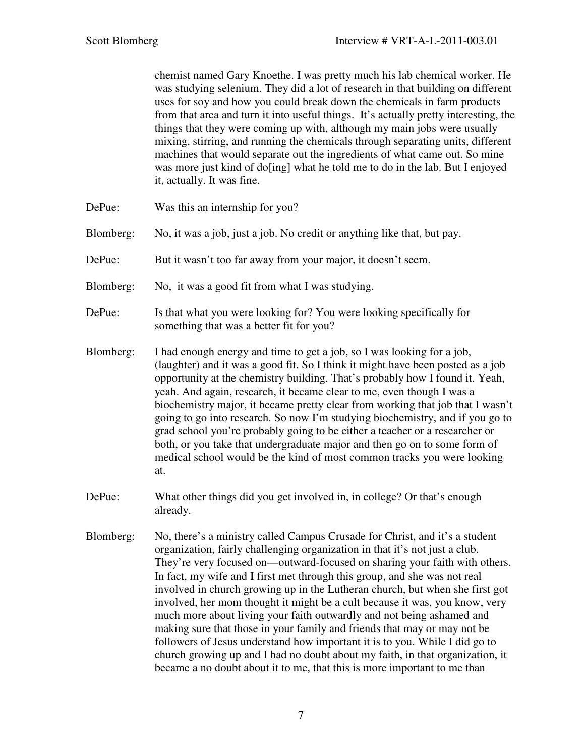chemist named Gary Knoethe. I was pretty much his lab chemical worker. He was studying selenium. They did a lot of research in that building on different uses for soy and how you could break down the chemicals in farm products from that area and turn it into useful things. It's actually pretty interesting, the things that they were coming up with, although my main jobs were usually mixing, stirring, and running the chemicals through separating units, different machines that would separate out the ingredients of what came out. So mine was more just kind of do<sup>[ing]</sup> what he told me to do in the lab. But I enjoyed it, actually. It was fine.

- DePue: Was this an internship for you?
- Blomberg: No, it was a job, just a job. No credit or anything like that, but pay.
- DePue: But it wasn't too far away from your major, it doesn't seem.
- Blomberg: No, it was a good fit from what I was studying.
- DePue: Is that what you were looking for? You were looking specifically for something that was a better fit for you?
- Blomberg: I had enough energy and time to get a job, so I was looking for a job, (laughter) and it was a good fit. So I think it might have been posted as a job opportunity at the chemistry building. That's probably how I found it. Yeah, yeah. And again, research, it became clear to me, even though I was a biochemistry major, it became pretty clear from working that job that I wasn't going to go into research. So now I'm studying biochemistry, and if you go to grad school you're probably going to be either a teacher or a researcher or both, or you take that undergraduate major and then go on to some form of medical school would be the kind of most common tracks you were looking at.
- DePue: What other things did you get involved in, in college? Or that's enough already.
- Blomberg: No, there's a ministry called Campus Crusade for Christ, and it's a student organization, fairly challenging organization in that it's not just a club. They're very focused on—outward-focused on sharing your faith with others. In fact, my wife and I first met through this group, and she was not real involved in church growing up in the Lutheran church, but when she first got involved, her mom thought it might be a cult because it was, you know, very much more about living your faith outwardly and not being ashamed and making sure that those in your family and friends that may or may not be followers of Jesus understand how important it is to you. While I did go to church growing up and I had no doubt about my faith, in that organization, it became a no doubt about it to me, that this is more important to me than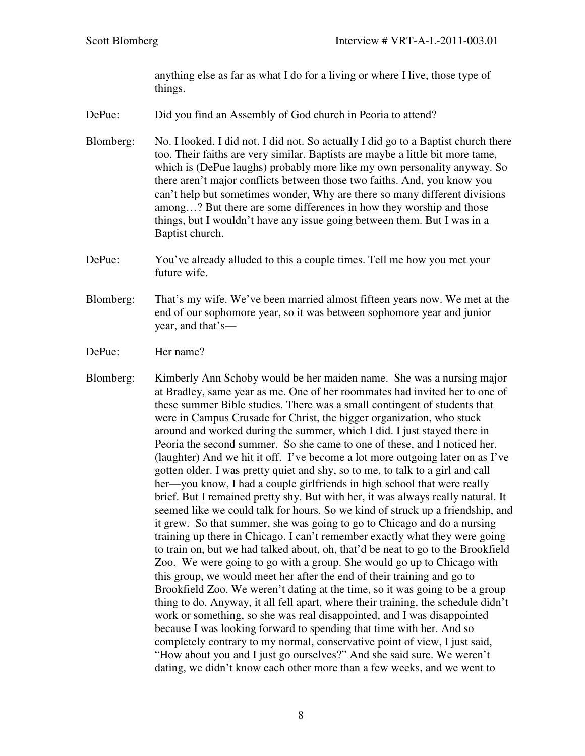anything else as far as what I do for a living or where I live, those type of things.

- DePue: Did you find an Assembly of God church in Peoria to attend?
- Blomberg: No. I looked. I did not. I did not. So actually I did go to a Baptist church there too. Their faiths are very similar. Baptists are maybe a little bit more tame, which is (DePue laughs) probably more like my own personality anyway. So there aren't major conflicts between those two faiths. And, you know you can't help but sometimes wonder, Why are there so many different divisions among…? But there are some differences in how they worship and those things, but I wouldn't have any issue going between them. But I was in a Baptist church.
- DePue: You've already alluded to this a couple times. Tell me how you met your future wife.
- Blomberg: That's my wife. We've been married almost fifteen years now. We met at the end of our sophomore year, so it was between sophomore year and junior year, and that's—
- DePue: Her name?
- Blomberg: Kimberly Ann Schoby would be her maiden name. She was a nursing major at Bradley, same year as me. One of her roommates had invited her to one of these summer Bible studies. There was a small contingent of students that were in Campus Crusade for Christ, the bigger organization, who stuck around and worked during the summer, which I did. I just stayed there in Peoria the second summer. So she came to one of these, and I noticed her. (laughter) And we hit it off. I've become a lot more outgoing later on as I've gotten older. I was pretty quiet and shy, so to me, to talk to a girl and call her—you know, I had a couple girlfriends in high school that were really brief. But I remained pretty shy. But with her, it was always really natural. It seemed like we could talk for hours. So we kind of struck up a friendship, and it grew. So that summer, she was going to go to Chicago and do a nursing training up there in Chicago. I can't remember exactly what they were going to train on, but we had talked about, oh, that'd be neat to go to the Brookfield Zoo. We were going to go with a group. She would go up to Chicago with this group, we would meet her after the end of their training and go to Brookfield Zoo. We weren't dating at the time, so it was going to be a group thing to do. Anyway, it all fell apart, where their training, the schedule didn't work or something, so she was real disappointed, and I was disappointed because I was looking forward to spending that time with her. And so completely contrary to my normal, conservative point of view, I just said, "How about you and I just go ourselves?" And she said sure. We weren't dating, we didn't know each other more than a few weeks, and we went to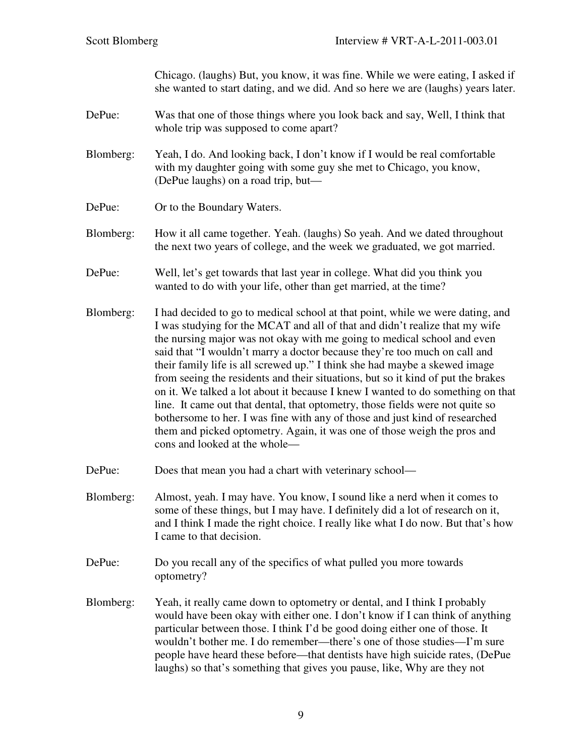Chicago. (laughs) But, you know, it was fine. While we were eating, I asked if she wanted to start dating, and we did. And so here we are (laughs) years later.

- DePue: Was that one of those things where you look back and say, Well, I think that whole trip was supposed to come apart?
- Blomberg: Yeah, I do. And looking back, I don't know if I would be real comfortable with my daughter going with some guy she met to Chicago, you know, (DePue laughs) on a road trip, but—
- DePue: Or to the Boundary Waters.
- Blomberg: How it all came together. Yeah. (laughs) So yeah. And we dated throughout the next two years of college, and the week we graduated, we got married.
- DePue: Well, let's get towards that last year in college. What did you think you wanted to do with your life, other than get married, at the time?
- Blomberg: I had decided to go to medical school at that point, while we were dating, and I was studying for the MCAT and all of that and didn't realize that my wife the nursing major was not okay with me going to medical school and even said that "I wouldn't marry a doctor because they're too much on call and their family life is all screwed up." I think she had maybe a skewed image from seeing the residents and their situations, but so it kind of put the brakes on it. We talked a lot about it because I knew I wanted to do something on that line. It came out that dental, that optometry, those fields were not quite so bothersome to her. I was fine with any of those and just kind of researched them and picked optometry. Again, it was one of those weigh the pros and cons and looked at the whole—
- DePue: Does that mean you had a chart with veterinary school—
- Blomberg: Almost, yeah. I may have. You know, I sound like a nerd when it comes to some of these things, but I may have. I definitely did a lot of research on it, and I think I made the right choice. I really like what I do now. But that's how I came to that decision.
- DePue: Do you recall any of the specifics of what pulled you more towards optometry?
- Blomberg: Yeah, it really came down to optometry or dental, and I think I probably would have been okay with either one. I don't know if I can think of anything particular between those. I think I'd be good doing either one of those. It wouldn't bother me. I do remember—there's one of those studies—I'm sure people have heard these before—that dentists have high suicide rates, (DePue laughs) so that's something that gives you pause, like, Why are they not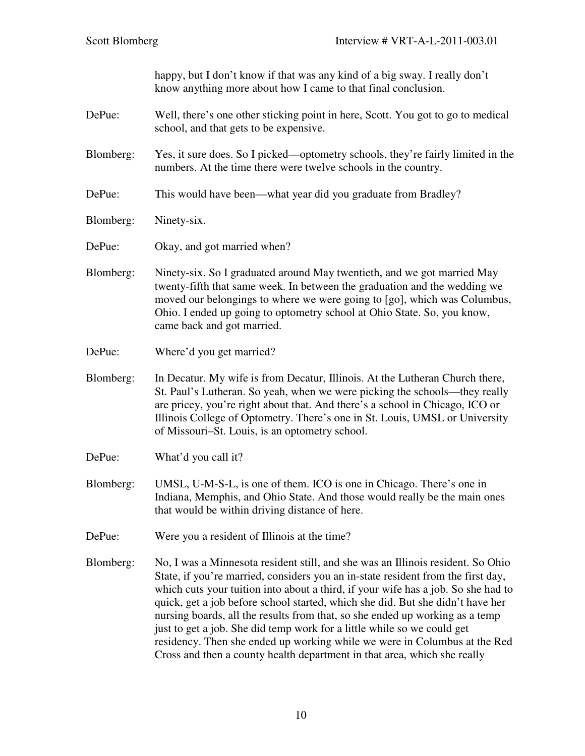happy, but I don't know if that was any kind of a big sway. I really don't know anything more about how I came to that final conclusion.

- DePue: Well, there's one other sticking point in here, Scott. You got to go to medical school, and that gets to be expensive.
- Blomberg: Yes, it sure does. So I picked—optometry schools, they're fairly limited in the numbers. At the time there were twelve schools in the country.
- DePue: This would have been—what year did you graduate from Bradley?
- Blomberg: Ninety-six.
- DePue: Okay, and got married when?
- Blomberg: Ninety-six. So I graduated around May twentieth, and we got married May twenty-fifth that same week. In between the graduation and the wedding we moved our belongings to where we were going to [go], which was Columbus, Ohio. I ended up going to optometry school at Ohio State. So, you know, came back and got married.
- DePue: Where'd you get married?
- Blomberg: In Decatur. My wife is from Decatur, Illinois. At the Lutheran Church there, St. Paul's Lutheran. So yeah, when we were picking the schools—they really are pricey, you're right about that. And there's a school in Chicago, ICO or Illinois College of Optometry. There's one in St. Louis, UMSL or University of Missouri–St. Louis, is an optometry school.
- DePue: What'd you call it?
- Blomberg: UMSL, U-M-S-L, is one of them. ICO is one in Chicago. There's one in Indiana, Memphis, and Ohio State. And those would really be the main ones that would be within driving distance of here.
- DePue: Were you a resident of Illinois at the time?
- Blomberg: No, I was a Minnesota resident still, and she was an Illinois resident. So Ohio State, if you're married, considers you an in-state resident from the first day, which cuts your tuition into about a third, if your wife has a job. So she had to quick, get a job before school started, which she did. But she didn't have her nursing boards, all the results from that, so she ended up working as a temp just to get a job. She did temp work for a little while so we could get residency. Then she ended up working while we were in Columbus at the Red Cross and then a county health department in that area, which she really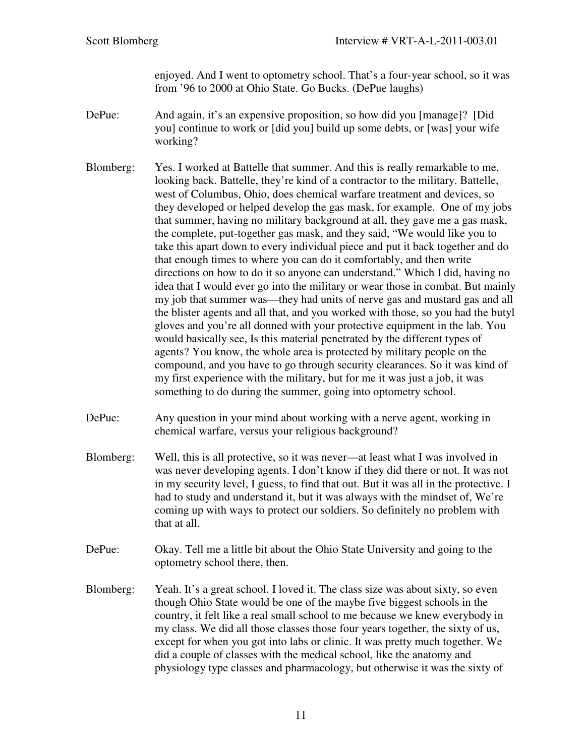enjoyed. And I went to optometry school. That's a four-year school, so it was from '96 to 2000 at Ohio State. Go Bucks. (DePue laughs)

- DePue: And again, it's an expensive proposition, so how did you [manage]? [Did you] continue to work or [did you] build up some debts, or [was] your wife working?
- Blomberg: Yes. I worked at Battelle that summer. And this is really remarkable to me, looking back. Battelle, they're kind of a contractor to the military. Battelle, west of Columbus, Ohio, does chemical warfare treatment and devices, so they developed or helped develop the gas mask, for example. One of my jobs that summer, having no military background at all, they gave me a gas mask, the complete, put-together gas mask, and they said, "We would like you to take this apart down to every individual piece and put it back together and do that enough times to where you can do it comfortably, and then write directions on how to do it so anyone can understand." Which I did, having no idea that I would ever go into the military or wear those in combat. But mainly my job that summer was—they had units of nerve gas and mustard gas and all the blister agents and all that, and you worked with those, so you had the butyl gloves and you're all donned with your protective equipment in the lab. You would basically see, Is this material penetrated by the different types of agents? You know, the whole area is protected by military people on the compound, and you have to go through security clearances. So it was kind of my first experience with the military, but for me it was just a job, it was something to do during the summer, going into optometry school.
- DePue: Any question in your mind about working with a nerve agent, working in chemical warfare, versus your religious background?
- Blomberg: Well, this is all protective, so it was never—at least what I was involved in was never developing agents. I don't know if they did there or not. It was not in my security level, I guess, to find that out. But it was all in the protective. I had to study and understand it, but it was always with the mindset of, We're coming up with ways to protect our soldiers. So definitely no problem with that at all.
- DePue: Okay. Tell me a little bit about the Ohio State University and going to the optometry school there, then.
- Blomberg: Yeah. It's a great school. I loved it. The class size was about sixty, so even though Ohio State would be one of the maybe five biggest schools in the country, it felt like a real small school to me because we knew everybody in my class. We did all those classes those four years together, the sixty of us, except for when you got into labs or clinic. It was pretty much together. We did a couple of classes with the medical school, like the anatomy and physiology type classes and pharmacology, but otherwise it was the sixty of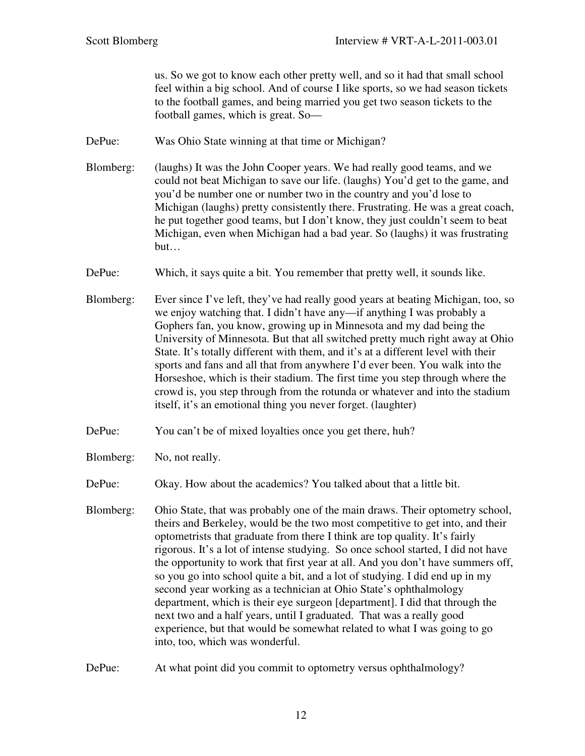us. So we got to know each other pretty well, and so it had that small school feel within a big school. And of course I like sports, so we had season tickets to the football games, and being married you get two season tickets to the football games, which is great. So—

- DePue: Was Ohio State winning at that time or Michigan?
- Blomberg: (laughs) It was the John Cooper years. We had really good teams, and we could not beat Michigan to save our life. (laughs) You'd get to the game, and you'd be number one or number two in the country and you'd lose to Michigan (laughs) pretty consistently there. Frustrating. He was a great coach, he put together good teams, but I don't know, they just couldn't seem to beat Michigan, even when Michigan had a bad year. So (laughs) it was frustrating but…
- DePue: Which, it says quite a bit. You remember that pretty well, it sounds like.
- Blomberg: Ever since I've left, they've had really good years at beating Michigan, too, so we enjoy watching that. I didn't have any—if anything I was probably a Gophers fan, you know, growing up in Minnesota and my dad being the University of Minnesota. But that all switched pretty much right away at Ohio State. It's totally different with them, and it's at a different level with their sports and fans and all that from anywhere I'd ever been. You walk into the Horseshoe, which is their stadium. The first time you step through where the crowd is, you step through from the rotunda or whatever and into the stadium itself, it's an emotional thing you never forget. (laughter)
- DePue: You can't be of mixed loyalties once you get there, huh?
- Blomberg: No, not really.
- DePue: Okay. How about the academics? You talked about that a little bit.
- Blomberg: Ohio State, that was probably one of the main draws. Their optometry school, theirs and Berkeley, would be the two most competitive to get into, and their optometrists that graduate from there I think are top quality. It's fairly rigorous. It's a lot of intense studying. So once school started, I did not have the opportunity to work that first year at all. And you don't have summers off, so you go into school quite a bit, and a lot of studying. I did end up in my second year working as a technician at Ohio State's ophthalmology department, which is their eye surgeon [department]. I did that through the next two and a half years, until I graduated. That was a really good experience, but that would be somewhat related to what I was going to go into, too, which was wonderful.
- DePue: At what point did you commit to optometry versus ophthalmology?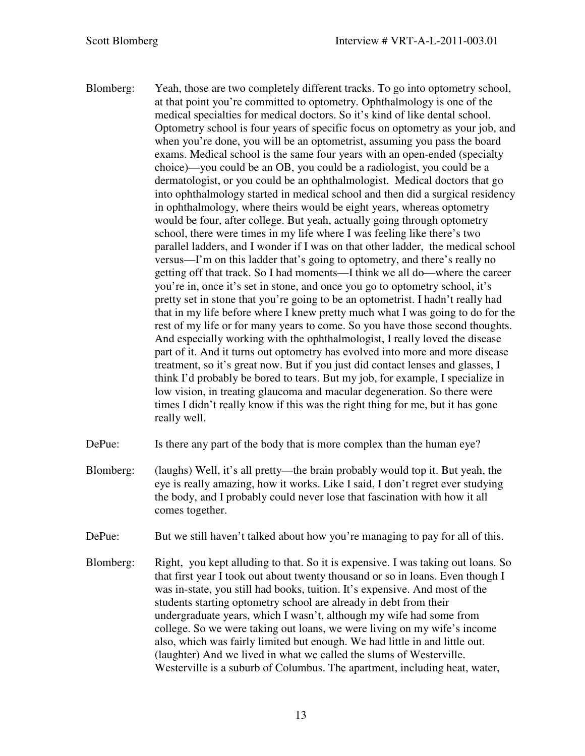- Blomberg: Yeah, those are two completely different tracks. To go into optometry school, at that point you're committed to optometry. Ophthalmology is one of the medical specialties for medical doctors. So it's kind of like dental school. Optometry school is four years of specific focus on optometry as your job, and when you're done, you will be an optometrist, assuming you pass the board exams. Medical school is the same four years with an open-ended (specialty choice)—you could be an OB, you could be a radiologist, you could be a dermatologist, or you could be an ophthalmologist. Medical doctors that go into ophthalmology started in medical school and then did a surgical residency in ophthalmology, where theirs would be eight years, whereas optometry would be four, after college. But yeah, actually going through optometry school, there were times in my life where I was feeling like there's two parallel ladders, and I wonder if I was on that other ladder, the medical school versus—I'm on this ladder that's going to optometry, and there's really no getting off that track. So I had moments—I think we all do—where the career you're in, once it's set in stone, and once you go to optometry school, it's pretty set in stone that you're going to be an optometrist. I hadn't really had that in my life before where I knew pretty much what I was going to do for the rest of my life or for many years to come. So you have those second thoughts. And especially working with the ophthalmologist, I really loved the disease part of it. And it turns out optometry has evolved into more and more disease treatment, so it's great now. But if you just did contact lenses and glasses, I think I'd probably be bored to tears. But my job, for example, I specialize in low vision, in treating glaucoma and macular degeneration. So there were times I didn't really know if this was the right thing for me, but it has gone really well.
- DePue: Is there any part of the body that is more complex than the human eye?
- Blomberg: (laughs) Well, it's all pretty—the brain probably would top it. But yeah, the eye is really amazing, how it works. Like I said, I don't regret ever studying the body, and I probably could never lose that fascination with how it all comes together.
- DePue: But we still haven't talked about how you're managing to pay for all of this.
- Blomberg: Right, you kept alluding to that. So it is expensive. I was taking out loans. So that first year I took out about twenty thousand or so in loans. Even though I was in-state, you still had books, tuition. It's expensive. And most of the students starting optometry school are already in debt from their undergraduate years, which I wasn't, although my wife had some from college. So we were taking out loans, we were living on my wife's income also, which was fairly limited but enough. We had little in and little out. (laughter) And we lived in what we called the slums of Westerville. Westerville is a suburb of Columbus. The apartment, including heat, water,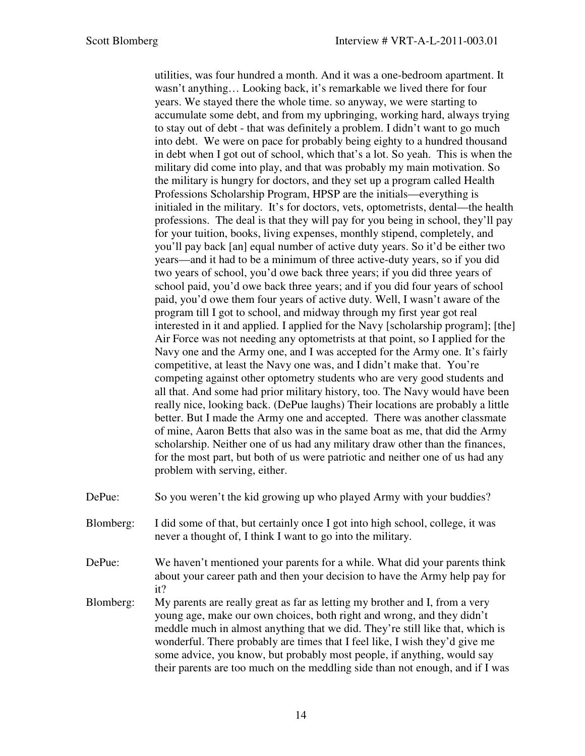utilities, was four hundred a month. And it was a one-bedroom apartment. It wasn't anything… Looking back, it's remarkable we lived there for four years. We stayed there the whole time. so anyway, we were starting to accumulate some debt, and from my upbringing, working hard, always trying to stay out of debt - that was definitely a problem. I didn't want to go much into debt. We were on pace for probably being eighty to a hundred thousand in debt when I got out of school, which that's a lot. So yeah. This is when the military did come into play, and that was probably my main motivation. So the military is hungry for doctors, and they set up a program called Health Professions Scholarship Program, HPSP are the initials—everything is initialed in the military. It's for doctors, vets, optometrists, dental—the health professions. The deal is that they will pay for you being in school, they'll pay for your tuition, books, living expenses, monthly stipend, completely, and you'll pay back [an] equal number of active duty years. So it'd be either two years—and it had to be a minimum of three active-duty years, so if you did two years of school, you'd owe back three years; if you did three years of school paid, you'd owe back three years; and if you did four years of school paid, you'd owe them four years of active duty. Well, I wasn't aware of the program till I got to school, and midway through my first year got real interested in it and applied. I applied for the Navy [scholarship program]; [the] Air Force was not needing any optometrists at that point, so I applied for the Navy one and the Army one, and I was accepted for the Army one. It's fairly competitive, at least the Navy one was, and I didn't make that. You're competing against other optometry students who are very good students and all that. And some had prior military history, too. The Navy would have been really nice, looking back. (DePue laughs) Their locations are probably a little better. But I made the Army one and accepted. There was another classmate of mine, Aaron Betts that also was in the same boat as me, that did the Army scholarship. Neither one of us had any military draw other than the finances, for the most part, but both of us were patriotic and neither one of us had any problem with serving, either.

- DePue: So you weren't the kid growing up who played Army with your buddies?
- Blomberg: I did some of that, but certainly once I got into high school, college, it was never a thought of, I think I want to go into the military.
- DePue: We haven't mentioned your parents for a while. What did your parents think about your career path and then your decision to have the Army help pay for it?
- Blomberg: My parents are really great as far as letting my brother and I, from a very young age, make our own choices, both right and wrong, and they didn't meddle much in almost anything that we did. They're still like that, which is wonderful. There probably are times that I feel like, I wish they'd give me some advice, you know, but probably most people, if anything, would say their parents are too much on the meddling side than not enough, and if I was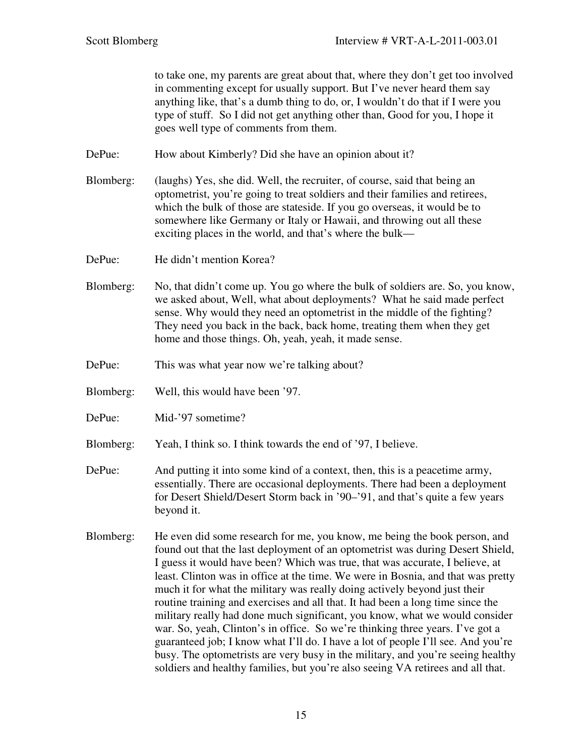to take one, my parents are great about that, where they don't get too involved in commenting except for usually support. But I've never heard them say anything like, that's a dumb thing to do, or, I wouldn't do that if I were you type of stuff. So I did not get anything other than, Good for you, I hope it goes well type of comments from them.

DePue: How about Kimberly? Did she have an opinion about it?

- Blomberg: (laughs) Yes, she did. Well, the recruiter, of course, said that being an optometrist, you're going to treat soldiers and their families and retirees, which the bulk of those are stateside. If you go overseas, it would be to somewhere like Germany or Italy or Hawaii, and throwing out all these exciting places in the world, and that's where the bulk—
- DePue: He didn't mention Korea?
- Blomberg: No, that didn't come up. You go where the bulk of soldiers are. So, you know, we asked about, Well, what about deployments? What he said made perfect sense. Why would they need an optometrist in the middle of the fighting? They need you back in the back, back home, treating them when they get home and those things. Oh, yeah, yeah, it made sense.
- DePue: This was what year now we're talking about?
- Blomberg: Well, this would have been '97.
- DePue: Mid-'97 sometime?
- Blomberg: Yeah, I think so. I think towards the end of '97, I believe.
- DePue: And putting it into some kind of a context, then, this is a peacetime army, essentially. There are occasional deployments. There had been a deployment for Desert Shield/Desert Storm back in '90–'91, and that's quite a few years beyond it.
- Blomberg: He even did some research for me, you know, me being the book person, and found out that the last deployment of an optometrist was during Desert Shield, I guess it would have been? Which was true, that was accurate, I believe, at least. Clinton was in office at the time. We were in Bosnia, and that was pretty much it for what the military was really doing actively beyond just their routine training and exercises and all that. It had been a long time since the military really had done much significant, you know, what we would consider war. So, yeah, Clinton's in office. So we're thinking three years. I've got a guaranteed job; I know what I'll do. I have a lot of people I'll see. And you're busy. The optometrists are very busy in the military, and you're seeing healthy soldiers and healthy families, but you're also seeing VA retirees and all that.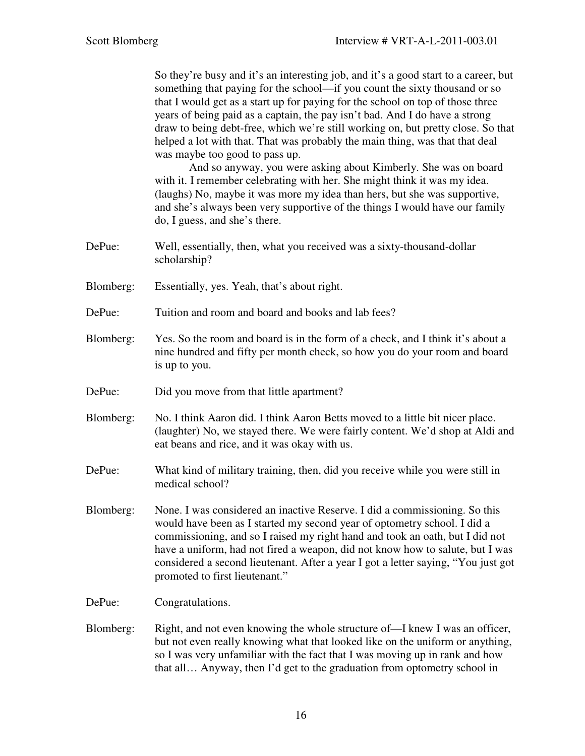So they're busy and it's an interesting job, and it's a good start to a career, but something that paying for the school—if you count the sixty thousand or so that I would get as a start up for paying for the school on top of those three years of being paid as a captain, the pay isn't bad. And I do have a strong draw to being debt-free, which we're still working on, but pretty close. So that helped a lot with that. That was probably the main thing, was that that deal was maybe too good to pass up.

 And so anyway, you were asking about Kimberly. She was on board with it. I remember celebrating with her. She might think it was my idea. (laughs) No, maybe it was more my idea than hers, but she was supportive, and she's always been very supportive of the things I would have our family do, I guess, and she's there.

- DePue: Well, essentially, then, what you received was a sixty-thousand-dollar scholarship?
- Blomberg: Essentially, yes. Yeah, that's about right.
- DePue: Tuition and room and board and books and lab fees?
- Blomberg: Yes. So the room and board is in the form of a check, and I think it's about a nine hundred and fifty per month check, so how you do your room and board is up to you.
- DePue: Did you move from that little apartment?
- Blomberg: No. I think Aaron did. I think Aaron Betts moved to a little bit nicer place. (laughter) No, we stayed there. We were fairly content. We'd shop at Aldi and eat beans and rice, and it was okay with us.
- DePue: What kind of military training, then, did you receive while you were still in medical school?
- Blomberg: None. I was considered an inactive Reserve. I did a commissioning. So this would have been as I started my second year of optometry school. I did a commissioning, and so I raised my right hand and took an oath, but I did not have a uniform, had not fired a weapon, did not know how to salute, but I was considered a second lieutenant. After a year I got a letter saying, "You just got promoted to first lieutenant."
- DePue: Congratulations.
- Blomberg: Right, and not even knowing the whole structure of—I knew I was an officer, but not even really knowing what that looked like on the uniform or anything, so I was very unfamiliar with the fact that I was moving up in rank and how that all… Anyway, then I'd get to the graduation from optometry school in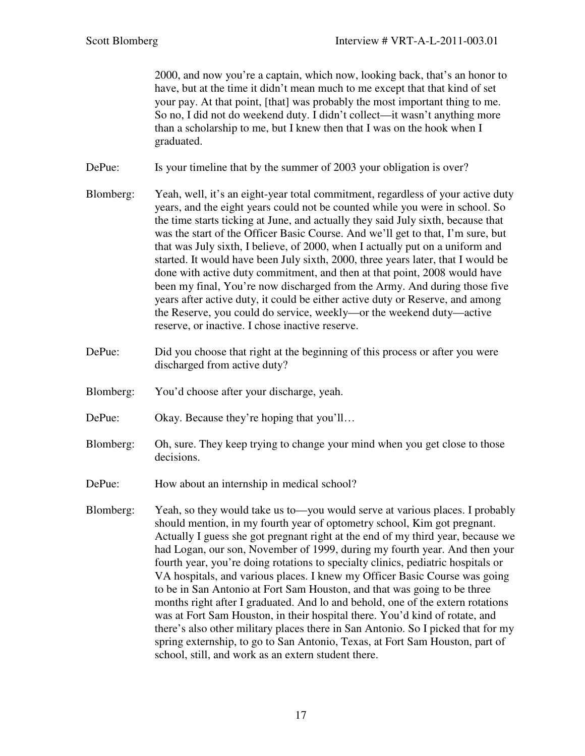2000, and now you're a captain, which now, looking back, that's an honor to have, but at the time it didn't mean much to me except that that kind of set your pay. At that point, [that] was probably the most important thing to me. So no, I did not do weekend duty. I didn't collect—it wasn't anything more than a scholarship to me, but I knew then that I was on the hook when I graduated.

DePue: Is your timeline that by the summer of 2003 your obligation is over?

- Blomberg: Yeah, well, it's an eight-year total commitment, regardless of your active duty years, and the eight years could not be counted while you were in school. So the time starts ticking at June, and actually they said July sixth, because that was the start of the Officer Basic Course. And we'll get to that, I'm sure, but that was July sixth, I believe, of 2000, when I actually put on a uniform and started. It would have been July sixth, 2000, three years later, that I would be done with active duty commitment, and then at that point, 2008 would have been my final, You're now discharged from the Army. And during those five years after active duty, it could be either active duty or Reserve, and among the Reserve, you could do service, weekly—or the weekend duty—active reserve, or inactive. I chose inactive reserve.
- DePue: Did you choose that right at the beginning of this process or after you were discharged from active duty?
- Blomberg: You'd choose after your discharge, yeah.
- DePue: Okay. Because they're hoping that you'll...
- Blomberg: Oh, sure. They keep trying to change your mind when you get close to those decisions.
- DePue: How about an internship in medical school?
- Blomberg: Yeah, so they would take us to—you would serve at various places. I probably should mention, in my fourth year of optometry school, Kim got pregnant. Actually I guess she got pregnant right at the end of my third year, because we had Logan, our son, November of 1999, during my fourth year. And then your fourth year, you're doing rotations to specialty clinics, pediatric hospitals or VA hospitals, and various places. I knew my Officer Basic Course was going to be in San Antonio at Fort Sam Houston, and that was going to be three months right after I graduated. And lo and behold, one of the extern rotations was at Fort Sam Houston, in their hospital there. You'd kind of rotate, and there's also other military places there in San Antonio. So I picked that for my spring externship, to go to San Antonio, Texas, at Fort Sam Houston, part of school, still, and work as an extern student there.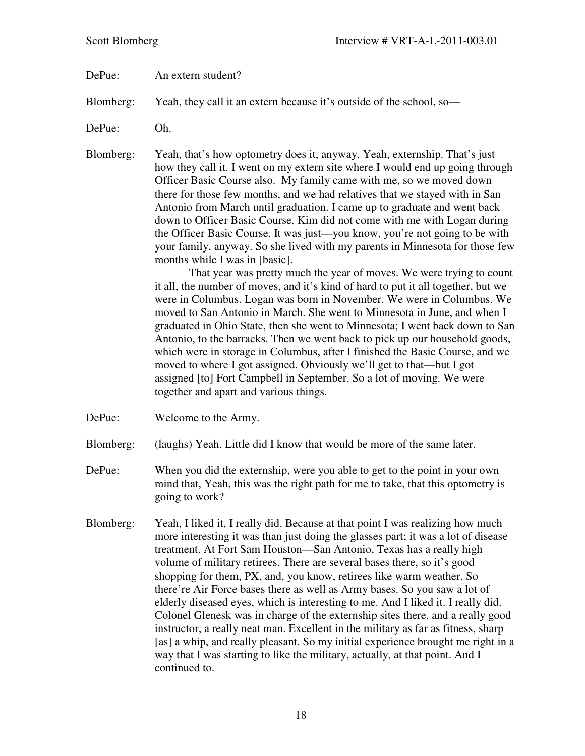DePue: An extern student?

Blomberg: Yeah, they call it an extern because it's outside of the school, so—

DePue: Oh.

Blomberg: Yeah, that's how optometry does it, anyway. Yeah, externship. That's just how they call it. I went on my extern site where I would end up going through Officer Basic Course also. My family came with me, so we moved down there for those few months, and we had relatives that we stayed with in San Antonio from March until graduation. I came up to graduate and went back down to Officer Basic Course. Kim did not come with me with Logan during the Officer Basic Course. It was just—you know, you're not going to be with your family, anyway. So she lived with my parents in Minnesota for those few months while I was in [basic].

> That year was pretty much the year of moves. We were trying to count it all, the number of moves, and it's kind of hard to put it all together, but we were in Columbus. Logan was born in November. We were in Columbus. We moved to San Antonio in March. She went to Minnesota in June, and when I graduated in Ohio State, then she went to Minnesota; I went back down to San Antonio, to the barracks. Then we went back to pick up our household goods, which were in storage in Columbus, after I finished the Basic Course, and we moved to where I got assigned. Obviously we'll get to that—but I got assigned [to] Fort Campbell in September. So a lot of moving. We were together and apart and various things.

- DePue: Welcome to the Army.
- Blomberg: (laughs) Yeah. Little did I know that would be more of the same later.
- DePue: When you did the externship, were you able to get to the point in your own mind that, Yeah, this was the right path for me to take, that this optometry is going to work?
- Blomberg: Yeah, I liked it, I really did. Because at that point I was realizing how much more interesting it was than just doing the glasses part; it was a lot of disease treatment. At Fort Sam Houston—San Antonio, Texas has a really high volume of military retirees. There are several bases there, so it's good shopping for them, PX, and, you know, retirees like warm weather. So there're Air Force bases there as well as Army bases. So you saw a lot of elderly diseased eyes, which is interesting to me. And I liked it. I really did. Colonel Glenesk was in charge of the externship sites there, and a really good instructor, a really neat man. Excellent in the military as far as fitness, sharp [as] a whip, and really pleasant. So my initial experience brought me right in a way that I was starting to like the military, actually, at that point. And I continued to.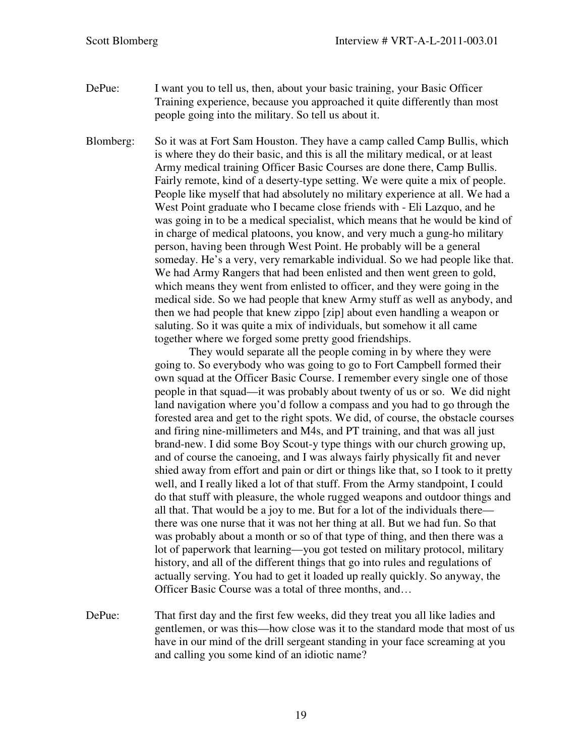DePue: I want you to tell us, then, about your basic training, your Basic Officer Training experience, because you approached it quite differently than most people going into the military. So tell us about it.

Blomberg: So it was at Fort Sam Houston. They have a camp called Camp Bullis, which is where they do their basic, and this is all the military medical, or at least Army medical training Officer Basic Courses are done there, Camp Bullis. Fairly remote, kind of a deserty-type setting. We were quite a mix of people. People like myself that had absolutely no military experience at all. We had a West Point graduate who I became close friends with - Eli Lazquo, and he was going in to be a medical specialist, which means that he would be kind of in charge of medical platoons, you know, and very much a gung-ho military person, having been through West Point. He probably will be a general someday. He's a very, very remarkable individual. So we had people like that. We had Army Rangers that had been enlisted and then went green to gold, which means they went from enlisted to officer, and they were going in the medical side. So we had people that knew Army stuff as well as anybody, and then we had people that knew zippo [zip] about even handling a weapon or saluting. So it was quite a mix of individuals, but somehow it all came together where we forged some pretty good friendships.

> They would separate all the people coming in by where they were going to. So everybody who was going to go to Fort Campbell formed their own squad at the Officer Basic Course. I remember every single one of those people in that squad—it was probably about twenty of us or so. We did night land navigation where you'd follow a compass and you had to go through the forested area and get to the right spots. We did, of course, the obstacle courses and firing nine-millimeters and M4s, and PT training, and that was all just brand-new. I did some Boy Scout-y type things with our church growing up, and of course the canoeing, and I was always fairly physically fit and never shied away from effort and pain or dirt or things like that, so I took to it pretty well, and I really liked a lot of that stuff. From the Army standpoint, I could do that stuff with pleasure, the whole rugged weapons and outdoor things and all that. That would be a joy to me. But for a lot of the individuals there there was one nurse that it was not her thing at all. But we had fun. So that was probably about a month or so of that type of thing, and then there was a lot of paperwork that learning—you got tested on military protocol, military history, and all of the different things that go into rules and regulations of actually serving. You had to get it loaded up really quickly. So anyway, the Officer Basic Course was a total of three months, and…

DePue: That first day and the first few weeks, did they treat you all like ladies and gentlemen, or was this—how close was it to the standard mode that most of us have in our mind of the drill sergeant standing in your face screaming at you and calling you some kind of an idiotic name?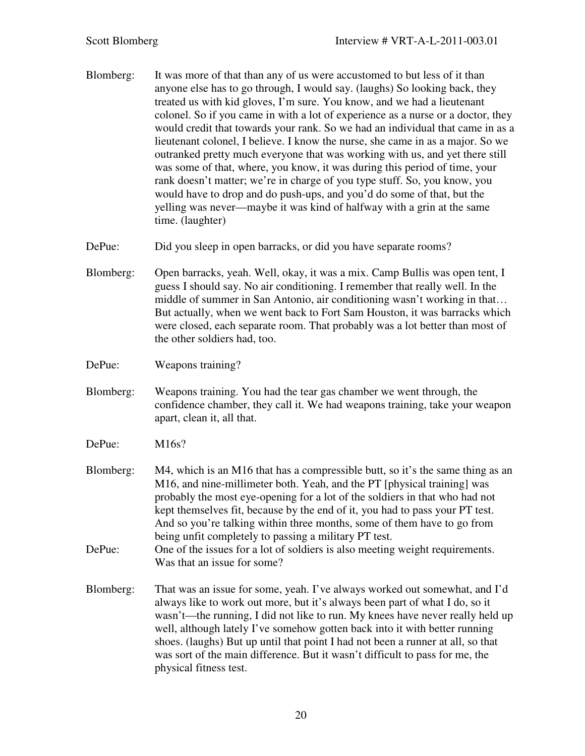- Blomberg: It was more of that than any of us were accustomed to but less of it than anyone else has to go through, I would say. (laughs) So looking back, they treated us with kid gloves, I'm sure. You know, and we had a lieutenant colonel. So if you came in with a lot of experience as a nurse or a doctor, they would credit that towards your rank. So we had an individual that came in as a lieutenant colonel, I believe. I know the nurse, she came in as a major. So we outranked pretty much everyone that was working with us, and yet there still was some of that, where, you know, it was during this period of time, your rank doesn't matter; we're in charge of you type stuff. So, you know, you would have to drop and do push-ups, and you'd do some of that, but the yelling was never—maybe it was kind of halfway with a grin at the same time. (laughter)
- DePue: Did you sleep in open barracks, or did you have separate rooms?
- Blomberg: Open barracks, yeah. Well, okay, it was a mix. Camp Bullis was open tent, I guess I should say. No air conditioning. I remember that really well. In the middle of summer in San Antonio, air conditioning wasn't working in that… But actually, when we went back to Fort Sam Houston, it was barracks which were closed, each separate room. That probably was a lot better than most of the other soldiers had, too.
- DePue: Weapons training?
- Blomberg: Weapons training. You had the tear gas chamber we went through, the confidence chamber, they call it. We had weapons training, take your weapon apart, clean it, all that.
- DePue: M16s?
- Blomberg: M4, which is an M16 that has a compressible butt, so it's the same thing as an M16, and nine-millimeter both. Yeah, and the PT [physical training] was probably the most eye-opening for a lot of the soldiers in that who had not kept themselves fit, because by the end of it, you had to pass your PT test. And so you're talking within three months, some of them have to go from being unfit completely to passing a military PT test.
- DePue: One of the issues for a lot of soldiers is also meeting weight requirements. Was that an issue for some?
- Blomberg: That was an issue for some, yeah. I've always worked out somewhat, and I'd always like to work out more, but it's always been part of what I do, so it wasn't—the running, I did not like to run. My knees have never really held up well, although lately I've somehow gotten back into it with better running shoes. (laughs) But up until that point I had not been a runner at all, so that was sort of the main difference. But it wasn't difficult to pass for me, the physical fitness test.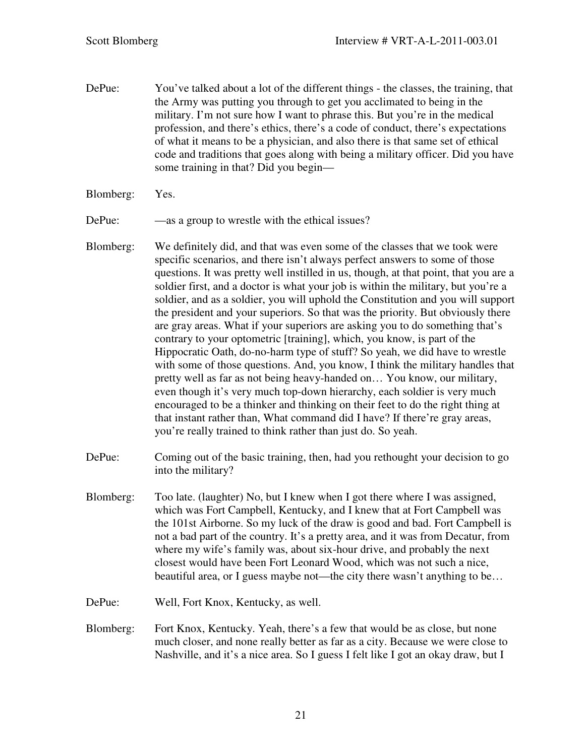- DePue: You've talked about a lot of the different things the classes, the training, that the Army was putting you through to get you acclimated to being in the military. I'm not sure how I want to phrase this. But you're in the medical profession, and there's ethics, there's a code of conduct, there's expectations of what it means to be a physician, and also there is that same set of ethical code and traditions that goes along with being a military officer. Did you have some training in that? Did you begin—
- Blomberg: Yes.

DePue: —as a group to wrestle with the ethical issues?

- Blomberg: We definitely did, and that was even some of the classes that we took were specific scenarios, and there isn't always perfect answers to some of those questions. It was pretty well instilled in us, though, at that point, that you are a soldier first, and a doctor is what your job is within the military, but you're a soldier, and as a soldier, you will uphold the Constitution and you will support the president and your superiors. So that was the priority. But obviously there are gray areas. What if your superiors are asking you to do something that's contrary to your optometric [training], which, you know, is part of the Hippocratic Oath, do-no-harm type of stuff? So yeah, we did have to wrestle with some of those questions. And, you know, I think the military handles that pretty well as far as not being heavy-handed on… You know, our military, even though it's very much top-down hierarchy, each soldier is very much encouraged to be a thinker and thinking on their feet to do the right thing at that instant rather than, What command did I have? If there're gray areas, you're really trained to think rather than just do. So yeah.
- DePue: Coming out of the basic training, then, had you rethought your decision to go into the military?
- Blomberg: Too late. (laughter) No, but I knew when I got there where I was assigned, which was Fort Campbell, Kentucky, and I knew that at Fort Campbell was the 101st Airborne. So my luck of the draw is good and bad. Fort Campbell is not a bad part of the country. It's a pretty area, and it was from Decatur, from where my wife's family was, about six-hour drive, and probably the next closest would have been Fort Leonard Wood, which was not such a nice, beautiful area, or I guess maybe not—the city there wasn't anything to be…
- DePue: Well, Fort Knox, Kentucky, as well.
- Blomberg: Fort Knox, Kentucky. Yeah, there's a few that would be as close, but none much closer, and none really better as far as a city. Because we were close to Nashville, and it's a nice area. So I guess I felt like I got an okay draw, but I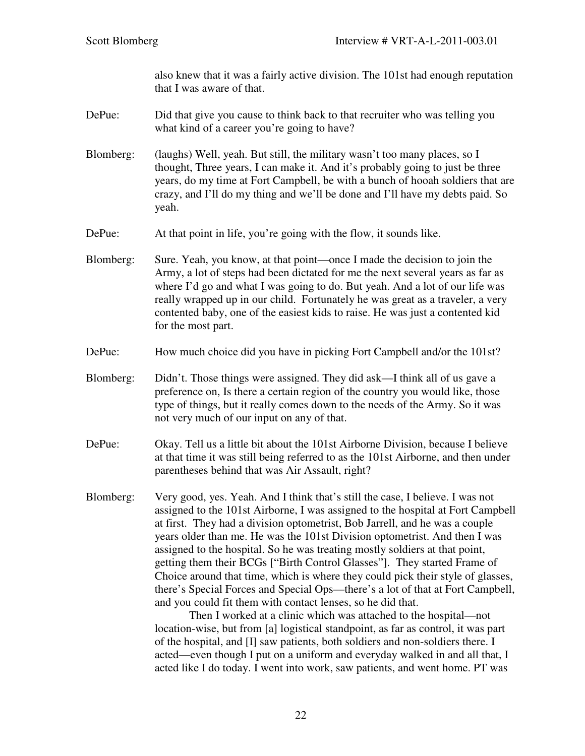also knew that it was a fairly active division. The 101st had enough reputation that I was aware of that.

- DePue: Did that give you cause to think back to that recruiter who was telling you what kind of a career you're going to have?
- Blomberg: (laughs) Well, yeah. But still, the military wasn't too many places, so I thought, Three years, I can make it. And it's probably going to just be three years, do my time at Fort Campbell, be with a bunch of hooah soldiers that are crazy, and I'll do my thing and we'll be done and I'll have my debts paid. So yeah.
- DePue: At that point in life, you're going with the flow, it sounds like.
- Blomberg: Sure. Yeah, you know, at that point—once I made the decision to join the Army, a lot of steps had been dictated for me the next several years as far as where I'd go and what I was going to do. But yeah. And a lot of our life was really wrapped up in our child. Fortunately he was great as a traveler, a very contented baby, one of the easiest kids to raise. He was just a contented kid for the most part.
- DePue: How much choice did you have in picking Fort Campbell and/or the 101st?
- Blomberg: Didn't. Those things were assigned. They did ask—I think all of us gave a preference on, Is there a certain region of the country you would like, those type of things, but it really comes down to the needs of the Army. So it was not very much of our input on any of that.
- DePue: Okay. Tell us a little bit about the 101st Airborne Division, because I believe at that time it was still being referred to as the 101st Airborne, and then under parentheses behind that was Air Assault, right?
- Blomberg: Very good, yes. Yeah. And I think that's still the case, I believe. I was not assigned to the 101st Airborne, I was assigned to the hospital at Fort Campbell at first. They had a division optometrist, Bob Jarrell, and he was a couple years older than me. He was the 101st Division optometrist. And then I was assigned to the hospital. So he was treating mostly soldiers at that point, getting them their BCGs ["Birth Control Glasses"]. They started Frame of Choice around that time, which is where they could pick their style of glasses, there's Special Forces and Special Ops—there's a lot of that at Fort Campbell, and you could fit them with contact lenses, so he did that.

Then I worked at a clinic which was attached to the hospital—not location-wise, but from [a] logistical standpoint, as far as control, it was part of the hospital, and [I] saw patients, both soldiers and non-soldiers there. I acted—even though I put on a uniform and everyday walked in and all that, I acted like I do today. I went into work, saw patients, and went home. PT was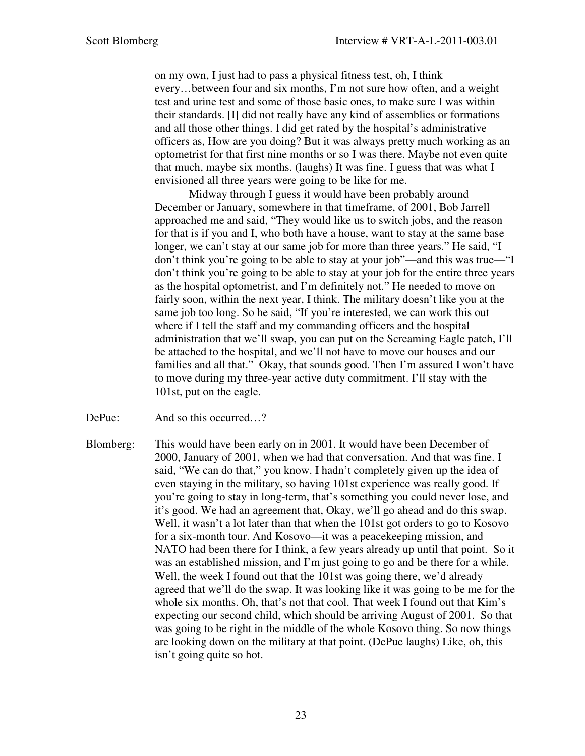on my own, I just had to pass a physical fitness test, oh, I think every…between four and six months, I'm not sure how often, and a weight test and urine test and some of those basic ones, to make sure I was within their standards. [I] did not really have any kind of assemblies or formations and all those other things. I did get rated by the hospital's administrative officers as, How are you doing? But it was always pretty much working as an optometrist for that first nine months or so I was there. Maybe not even quite that much, maybe six months. (laughs) It was fine. I guess that was what I envisioned all three years were going to be like for me.

Midway through I guess it would have been probably around December or January, somewhere in that timeframe, of 2001, Bob Jarrell approached me and said, "They would like us to switch jobs, and the reason for that is if you and I, who both have a house, want to stay at the same base longer, we can't stay at our same job for more than three years." He said, "I don't think you're going to be able to stay at your job"—and this was true—"I don't think you're going to be able to stay at your job for the entire three years as the hospital optometrist, and I'm definitely not." He needed to move on fairly soon, within the next year, I think. The military doesn't like you at the same job too long. So he said, "If you're interested, we can work this out where if I tell the staff and my commanding officers and the hospital administration that we'll swap, you can put on the Screaming Eagle patch, I'll be attached to the hospital, and we'll not have to move our houses and our families and all that." Okay, that sounds good. Then I'm assured I won't have to move during my three-year active duty commitment. I'll stay with the 101st, put on the eagle.

DePue: And so this occurred...?

Blomberg: This would have been early on in 2001. It would have been December of 2000, January of 2001, when we had that conversation. And that was fine. I said, "We can do that," you know. I hadn't completely given up the idea of even staying in the military, so having 101st experience was really good. If you're going to stay in long-term, that's something you could never lose, and it's good. We had an agreement that, Okay, we'll go ahead and do this swap. Well, it wasn't a lot later than that when the 101st got orders to go to Kosovo for a six-month tour. And Kosovo—it was a peacekeeping mission, and NATO had been there for I think, a few years already up until that point. So it was an established mission, and I'm just going to go and be there for a while. Well, the week I found out that the 101st was going there, we'd already agreed that we'll do the swap. It was looking like it was going to be me for the whole six months. Oh, that's not that cool. That week I found out that Kim's expecting our second child, which should be arriving August of 2001. So that was going to be right in the middle of the whole Kosovo thing. So now things are looking down on the military at that point. (DePue laughs) Like, oh, this isn't going quite so hot.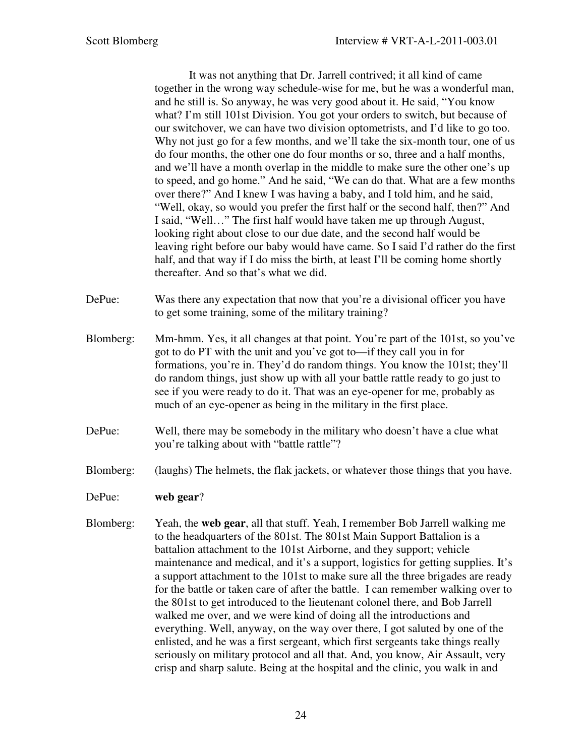It was not anything that Dr. Jarrell contrived; it all kind of came together in the wrong way schedule-wise for me, but he was a wonderful man, and he still is. So anyway, he was very good about it. He said, "You know what? I'm still 101st Division. You got your orders to switch, but because of our switchover, we can have two division optometrists, and I'd like to go too. Why not just go for a few months, and we'll take the six-month tour, one of us do four months, the other one do four months or so, three and a half months, and we'll have a month overlap in the middle to make sure the other one's up to speed, and go home." And he said, "We can do that. What are a few months over there?" And I knew I was having a baby, and I told him, and he said, "Well, okay, so would you prefer the first half or the second half, then?" And I said, "Well…" The first half would have taken me up through August, looking right about close to our due date, and the second half would be leaving right before our baby would have came. So I said I'd rather do the first half, and that way if I do miss the birth, at least I'll be coming home shortly thereafter. And so that's what we did.

- DePue: Was there any expectation that now that you're a divisional officer you have to get some training, some of the military training?
- Blomberg: Mm-hmm. Yes, it all changes at that point. You're part of the 101st, so you've got to do PT with the unit and you've got to—if they call you in for formations, you're in. They'd do random things. You know the 101st; they'll do random things, just show up with all your battle rattle ready to go just to see if you were ready to do it. That was an eye-opener for me, probably as much of an eye-opener as being in the military in the first place.
- DePue: Well, there may be somebody in the military who doesn't have a clue what you're talking about with "battle rattle"?
- Blomberg: (laughs) The helmets, the flak jackets, or whatever those things that you have.
- DePue: **web gear**?
- Blomberg: Yeah, the **web gear**, all that stuff. Yeah, I remember Bob Jarrell walking me to the headquarters of the 801st. The 801st Main Support Battalion is a battalion attachment to the 101st Airborne, and they support; vehicle maintenance and medical, and it's a support, logistics for getting supplies. It's a support attachment to the 101st to make sure all the three brigades are ready for the battle or taken care of after the battle. I can remember walking over to the 801st to get introduced to the lieutenant colonel there, and Bob Jarrell walked me over, and we were kind of doing all the introductions and everything. Well, anyway, on the way over there, I got saluted by one of the enlisted, and he was a first sergeant, which first sergeants take things really seriously on military protocol and all that. And, you know, Air Assault, very crisp and sharp salute. Being at the hospital and the clinic, you walk in and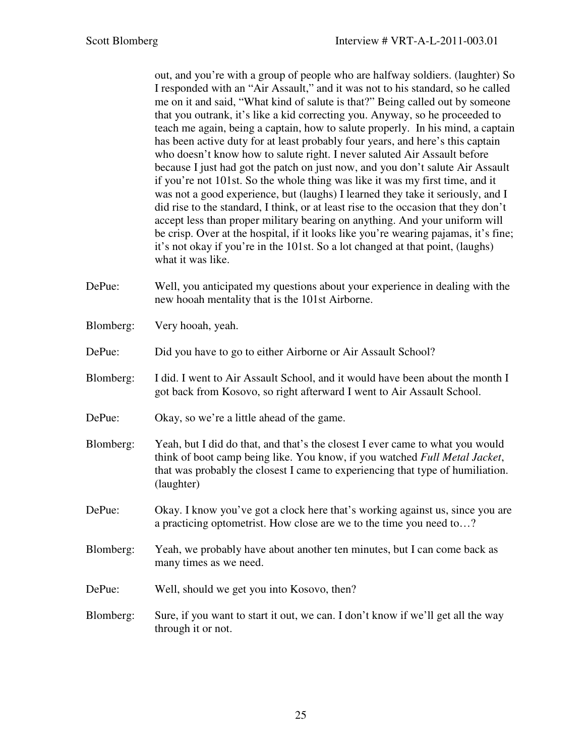out, and you're with a group of people who are halfway soldiers. (laughter) So I responded with an "Air Assault," and it was not to his standard, so he called me on it and said, "What kind of salute is that?" Being called out by someone that you outrank, it's like a kid correcting you. Anyway, so he proceeded to teach me again, being a captain, how to salute properly. In his mind, a captain has been active duty for at least probably four years, and here's this captain who doesn't know how to salute right. I never saluted Air Assault before because I just had got the patch on just now, and you don't salute Air Assault if you're not 101st. So the whole thing was like it was my first time, and it was not a good experience, but (laughs) I learned they take it seriously, and I did rise to the standard, I think, or at least rise to the occasion that they don't accept less than proper military bearing on anything. And your uniform will be crisp. Over at the hospital, if it looks like you're wearing pajamas, it's fine; it's not okay if you're in the 101st. So a lot changed at that point, (laughs) what it was like.

- DePue: Well, you anticipated my questions about your experience in dealing with the new hooah mentality that is the 101st Airborne.
- Blomberg: Very hooah, yeah.

DePue: Did you have to go to either Airborne or Air Assault School?

- Blomberg: I did. I went to Air Assault School, and it would have been about the month I got back from Kosovo, so right afterward I went to Air Assault School.
- DePue: Okay, so we're a little ahead of the game.
- Blomberg: Yeah, but I did do that, and that's the closest I ever came to what you would think of boot camp being like. You know, if you watched *Full Metal Jacket*, that was probably the closest I came to experiencing that type of humiliation. (laughter)
- DePue: Okay. I know you've got a clock here that's working against us, since you are a practicing optometrist. How close are we to the time you need to…?
- Blomberg: Yeah, we probably have about another ten minutes, but I can come back as many times as we need.
- DePue: Well, should we get you into Kosovo, then?
- Blomberg: Sure, if you want to start it out, we can. I don't know if we'll get all the way through it or not.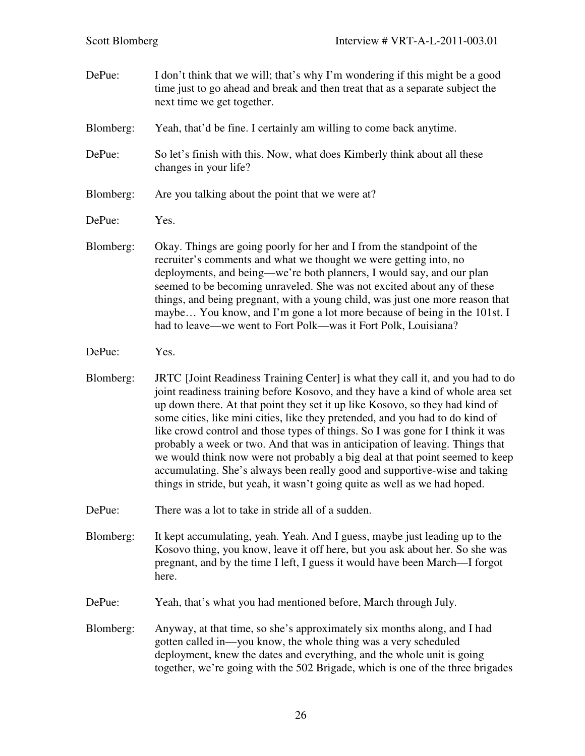DePue: I don't think that we will; that's why I'm wondering if this might be a good time just to go ahead and break and then treat that as a separate subject the next time we get together.

Blomberg: Yeah, that'd be fine. I certainly am willing to come back anytime.

- DePue: So let's finish with this. Now, what does Kimberly think about all these changes in your life?
- Blomberg: Are you talking about the point that we were at?
- DePue: Yes.
- Blomberg: Okay. Things are going poorly for her and I from the standpoint of the recruiter's comments and what we thought we were getting into, no deployments, and being—we're both planners, I would say, and our plan seemed to be becoming unraveled. She was not excited about any of these things, and being pregnant, with a young child, was just one more reason that maybe… You know, and I'm gone a lot more because of being in the 101st. I had to leave—we went to Fort Polk—was it Fort Polk, Louisiana?
- DePue: Yes.
- Blomberg: JRTC [Joint Readiness Training Center] is what they call it, and you had to do joint readiness training before Kosovo, and they have a kind of whole area set up down there. At that point they set it up like Kosovo, so they had kind of some cities, like mini cities, like they pretended, and you had to do kind of like crowd control and those types of things. So I was gone for I think it was probably a week or two. And that was in anticipation of leaving. Things that we would think now were not probably a big deal at that point seemed to keep accumulating. She's always been really good and supportive-wise and taking things in stride, but yeah, it wasn't going quite as well as we had hoped.
- DePue: There was a lot to take in stride all of a sudden.
- Blomberg: It kept accumulating, yeah. Yeah. And I guess, maybe just leading up to the Kosovo thing, you know, leave it off here, but you ask about her. So she was pregnant, and by the time I left, I guess it would have been March—I forgot here.
- DePue: Yeah, that's what you had mentioned before, March through July.
- Blomberg: Anyway, at that time, so she's approximately six months along, and I had gotten called in—you know, the whole thing was a very scheduled deployment, knew the dates and everything, and the whole unit is going together, we're going with the 502 Brigade, which is one of the three brigades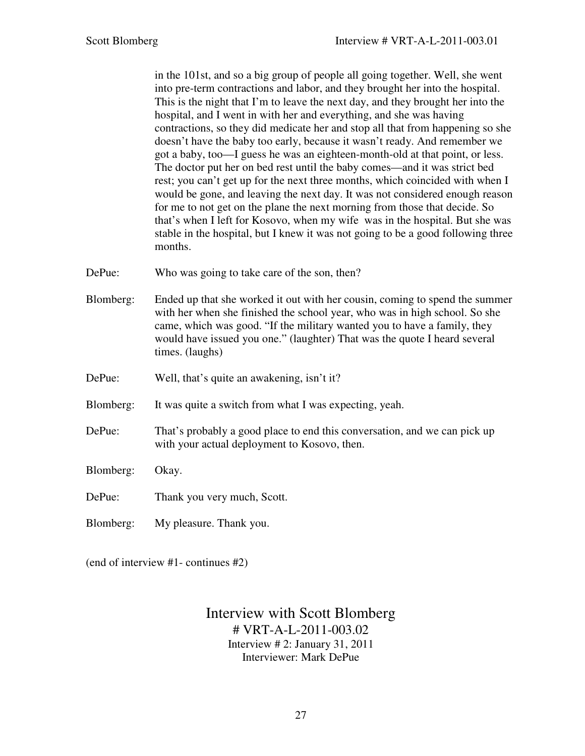in the 101st, and so a big group of people all going together. Well, she went into pre-term contractions and labor, and they brought her into the hospital. This is the night that I'm to leave the next day, and they brought her into the hospital, and I went in with her and everything, and she was having contractions, so they did medicate her and stop all that from happening so she doesn't have the baby too early, because it wasn't ready. And remember we got a baby, too—I guess he was an eighteen-month-old at that point, or less. The doctor put her on bed rest until the baby comes—and it was strict bed rest; you can't get up for the next three months, which coincided with when I would be gone, and leaving the next day. It was not considered enough reason for me to not get on the plane the next morning from those that decide. So that's when I left for Kosovo, when my wife was in the hospital. But she was stable in the hospital, but I knew it was not going to be a good following three months.

- DePue: Who was going to take care of the son, then?
- Blomberg: Ended up that she worked it out with her cousin, coming to spend the summer with her when she finished the school year, who was in high school. So she came, which was good. "If the military wanted you to have a family, they would have issued you one." (laughter) That was the quote I heard several times. (laughs)
- DePue: Well, that's quite an awakening, isn't it?
- Blomberg: It was quite a switch from what I was expecting, yeah.
- DePue: That's probably a good place to end this conversation, and we can pick up with your actual deployment to Kosovo, then.

Blomberg: Okay.

- DePue: Thank you very much, Scott.
- Blomberg: My pleasure. Thank you.

(end of interview #1- continues #2)

Interview with Scott Blomberg # VRT-A-L-2011-003.02 Interview # 2: January 31, 2011 Interviewer: Mark DePue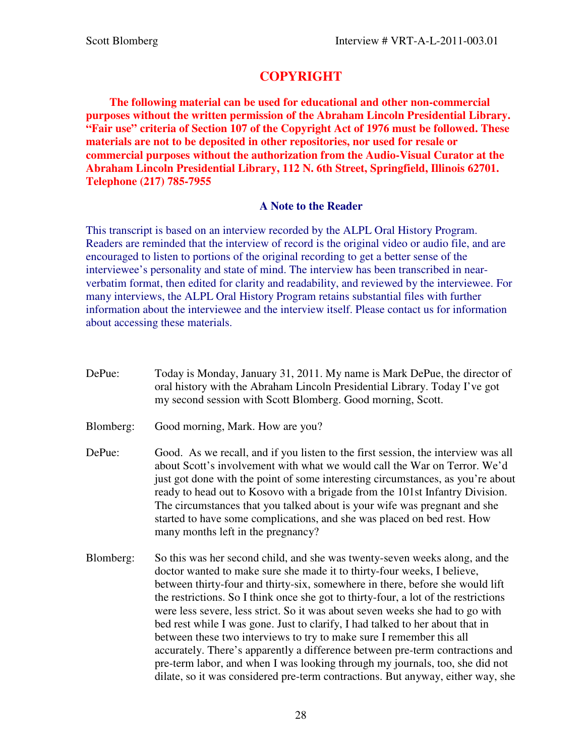# **COPYRIGHT**

 **The following material can be used for educational and other non-commercial purposes without the written permission of the Abraham Lincoln Presidential Library. "Fair use" criteria of Section 107 of the Copyright Act of 1976 must be followed. These materials are not to be deposited in other repositories, nor used for resale or commercial purposes without the authorization from the Audio-Visual Curator at the Abraham Lincoln Presidential Library, 112 N. 6th Street, Springfield, Illinois 62701. Telephone (217) 785-7955** 

### **A Note to the Reader**

This transcript is based on an interview recorded by the ALPL Oral History Program. Readers are reminded that the interview of record is the original video or audio file, and are encouraged to listen to portions of the original recording to get a better sense of the interviewee's personality and state of mind. The interview has been transcribed in nearverbatim format, then edited for clarity and readability, and reviewed by the interviewee. For many interviews, the ALPL Oral History Program retains substantial files with further information about the interviewee and the interview itself. Please contact us for information about accessing these materials.

- DePue: Today is Monday, January 31, 2011. My name is Mark DePue, the director of oral history with the Abraham Lincoln Presidential Library. Today I've got my second session with Scott Blomberg. Good morning, Scott.
- Blomberg: Good morning, Mark. How are you?
- DePue: Good. As we recall, and if you listen to the first session, the interview was all about Scott's involvement with what we would call the War on Terror. We'd just got done with the point of some interesting circumstances, as you're about ready to head out to Kosovo with a brigade from the 101st Infantry Division. The circumstances that you talked about is your wife was pregnant and she started to have some complications, and she was placed on bed rest. How many months left in the pregnancy?
- Blomberg: So this was her second child, and she was twenty-seven weeks along, and the doctor wanted to make sure she made it to thirty-four weeks, I believe, between thirty-four and thirty-six, somewhere in there, before she would lift the restrictions. So I think once she got to thirty-four, a lot of the restrictions were less severe, less strict. So it was about seven weeks she had to go with bed rest while I was gone. Just to clarify, I had talked to her about that in between these two interviews to try to make sure I remember this all accurately. There's apparently a difference between pre-term contractions and pre-term labor, and when I was looking through my journals, too, she did not dilate, so it was considered pre-term contractions. But anyway, either way, she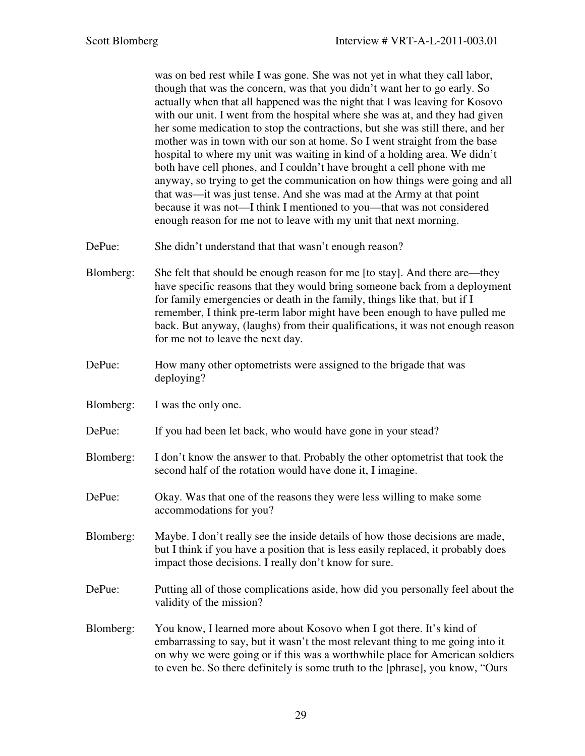was on bed rest while I was gone. She was not yet in what they call labor, though that was the concern, was that you didn't want her to go early. So actually when that all happened was the night that I was leaving for Kosovo with our unit. I went from the hospital where she was at, and they had given her some medication to stop the contractions, but she was still there, and her mother was in town with our son at home. So I went straight from the base hospital to where my unit was waiting in kind of a holding area. We didn't both have cell phones, and I couldn't have brought a cell phone with me anyway, so trying to get the communication on how things were going and all that was—it was just tense. And she was mad at the Army at that point because it was not—I think I mentioned to you—that was not considered enough reason for me not to leave with my unit that next morning.

- DePue: She didn't understand that that wasn't enough reason?
- Blomberg: She felt that should be enough reason for me [to stay]. And there are—they have specific reasons that they would bring someone back from a deployment for family emergencies or death in the family, things like that, but if I remember, I think pre-term labor might have been enough to have pulled me back. But anyway, (laughs) from their qualifications, it was not enough reason for me not to leave the next day.
- DePue: How many other optometrists were assigned to the brigade that was deploying?
- Blomberg: I was the only one.
- DePue: If you had been let back, who would have gone in your stead?
- Blomberg: I don't know the answer to that. Probably the other optometrist that took the second half of the rotation would have done it, I imagine.
- DePue: Okay. Was that one of the reasons they were less willing to make some accommodations for you?
- Blomberg: Maybe. I don't really see the inside details of how those decisions are made, but I think if you have a position that is less easily replaced, it probably does impact those decisions. I really don't know for sure.
- DePue: Putting all of those complications aside, how did you personally feel about the validity of the mission?
- Blomberg: You know, I learned more about Kosovo when I got there. It's kind of embarrassing to say, but it wasn't the most relevant thing to me going into it on why we were going or if this was a worthwhile place for American soldiers to even be. So there definitely is some truth to the [phrase], you know, "Ours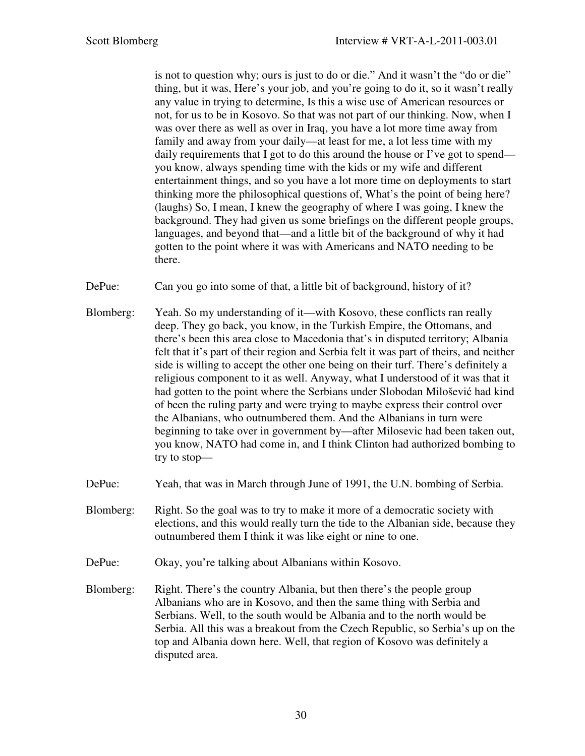is not to question why; ours is just to do or die." And it wasn't the "do or die" thing, but it was, Here's your job, and you're going to do it, so it wasn't really any value in trying to determine, Is this a wise use of American resources or not, for us to be in Kosovo. So that was not part of our thinking. Now, when I was over there as well as over in Iraq, you have a lot more time away from family and away from your daily—at least for me, a lot less time with my daily requirements that I got to do this around the house or I've got to spend you know, always spending time with the kids or my wife and different entertainment things, and so you have a lot more time on deployments to start thinking more the philosophical questions of, What's the point of being here? (laughs) So, I mean, I knew the geography of where I was going, I knew the background. They had given us some briefings on the different people groups, languages, and beyond that—and a little bit of the background of why it had gotten to the point where it was with Americans and NATO needing to be there.

DePue: Can you go into some of that, a little bit of background, history of it?

- Blomberg: Yeah. So my understanding of it—with Kosovo, these conflicts ran really deep. They go back, you know, in the Turkish Empire, the Ottomans, and there's been this area close to Macedonia that's in disputed territory; Albania felt that it's part of their region and Serbia felt it was part of theirs, and neither side is willing to accept the other one being on their turf. There's definitely a religious component to it as well. Anyway, what I understood of it was that it had gotten to the point where the Serbians under Slobodan Milošević had kind of been the ruling party and were trying to maybe express their control over the Albanians, who outnumbered them. And the Albanians in turn were beginning to take over in government by—after Milosevic had been taken out, you know, NATO had come in, and I think Clinton had authorized bombing to try to stop—
- DePue: Yeah, that was in March through June of 1991, the U.N. bombing of Serbia.
- Blomberg: Right. So the goal was to try to make it more of a democratic society with elections, and this would really turn the tide to the Albanian side, because they outnumbered them I think it was like eight or nine to one.
- DePue: Okay, you're talking about Albanians within Kosovo.
- Blomberg: Right. There's the country Albania, but then there's the people group Albanians who are in Kosovo, and then the same thing with Serbia and Serbians. Well, to the south would be Albania and to the north would be Serbia. All this was a breakout from the Czech Republic, so Serbia's up on the top and Albania down here. Well, that region of Kosovo was definitely a disputed area.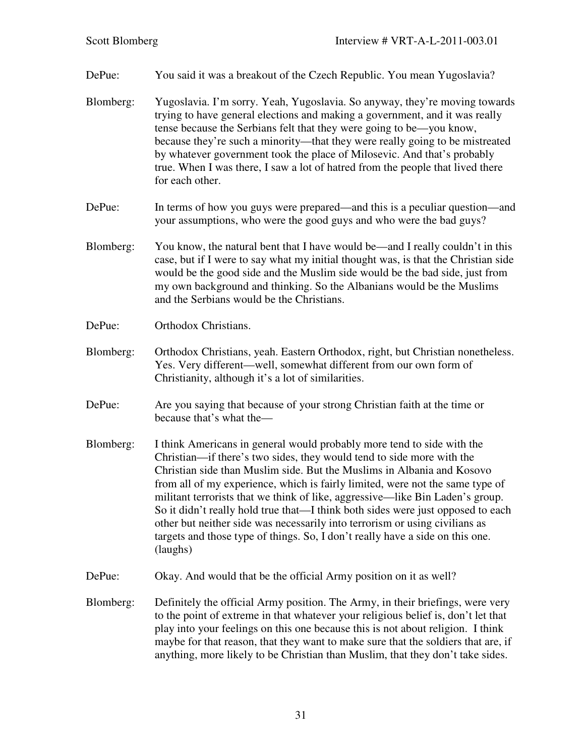DePue: You said it was a breakout of the Czech Republic. You mean Yugoslavia?

- Blomberg: Yugoslavia. I'm sorry. Yeah, Yugoslavia. So anyway, they're moving towards trying to have general elections and making a government, and it was really tense because the Serbians felt that they were going to be—you know, because they're such a minority—that they were really going to be mistreated by whatever government took the place of Milosevic. And that's probably true. When I was there, I saw a lot of hatred from the people that lived there for each other.
- DePue: In terms of how you guys were prepared—and this is a peculiar question—and your assumptions, who were the good guys and who were the bad guys?
- Blomberg: You know, the natural bent that I have would be—and I really couldn't in this case, but if I were to say what my initial thought was, is that the Christian side would be the good side and the Muslim side would be the bad side, just from my own background and thinking. So the Albanians would be the Muslims and the Serbians would be the Christians.
- DePue: Orthodox Christians.
- Blomberg: Orthodox Christians, yeah. Eastern Orthodox, right, but Christian nonetheless. Yes. Very different—well, somewhat different from our own form of Christianity, although it's a lot of similarities.
- DePue: Are you saying that because of your strong Christian faith at the time or because that's what the—
- Blomberg: I think Americans in general would probably more tend to side with the Christian—if there's two sides, they would tend to side more with the Christian side than Muslim side. But the Muslims in Albania and Kosovo from all of my experience, which is fairly limited, were not the same type of militant terrorists that we think of like, aggressive—like Bin Laden's group. So it didn't really hold true that—I think both sides were just opposed to each other but neither side was necessarily into terrorism or using civilians as targets and those type of things. So, I don't really have a side on this one. (laughs)
- DePue: Okay. And would that be the official Army position on it as well?
- Blomberg: Definitely the official Army position. The Army, in their briefings, were very to the point of extreme in that whatever your religious belief is, don't let that play into your feelings on this one because this is not about religion. I think maybe for that reason, that they want to make sure that the soldiers that are, if anything, more likely to be Christian than Muslim, that they don't take sides.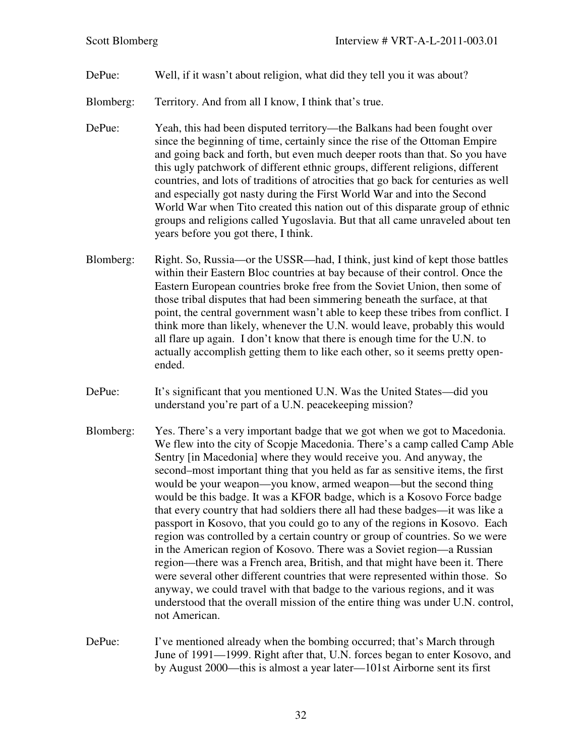### DePue: Well, if it wasn't about religion, what did they tell you it was about?

- Blomberg: Territory. And from all I know, I think that's true.
- DePue: Yeah, this had been disputed territory—the Balkans had been fought over since the beginning of time, certainly since the rise of the Ottoman Empire and going back and forth, but even much deeper roots than that. So you have this ugly patchwork of different ethnic groups, different religions, different countries, and lots of traditions of atrocities that go back for centuries as well and especially got nasty during the First World War and into the Second World War when Tito created this nation out of this disparate group of ethnic groups and religions called Yugoslavia. But that all came unraveled about ten years before you got there, I think.
- Blomberg: Right. So, Russia—or the USSR—had, I think, just kind of kept those battles within their Eastern Bloc countries at bay because of their control. Once the Eastern European countries broke free from the Soviet Union, then some of those tribal disputes that had been simmering beneath the surface, at that point, the central government wasn't able to keep these tribes from conflict. I think more than likely, whenever the U.N. would leave, probably this would all flare up again. I don't know that there is enough time for the U.N. to actually accomplish getting them to like each other, so it seems pretty openended.
- DePue: It's significant that you mentioned U.N. Was the United States—did you understand you're part of a U.N. peacekeeping mission?
- Blomberg: Yes. There's a very important badge that we got when we got to Macedonia. We flew into the city of Scopje Macedonia. There's a camp called Camp Able Sentry [in Macedonia] where they would receive you. And anyway, the second–most important thing that you held as far as sensitive items, the first would be your weapon—you know, armed weapon—but the second thing would be this badge. It was a KFOR badge, which is a Kosovo Force badge that every country that had soldiers there all had these badges—it was like a passport in Kosovo, that you could go to any of the regions in Kosovo. Each region was controlled by a certain country or group of countries. So we were in the American region of Kosovo. There was a Soviet region—a Russian region—there was a French area, British, and that might have been it. There were several other different countries that were represented within those. So anyway, we could travel with that badge to the various regions, and it was understood that the overall mission of the entire thing was under U.N. control, not American.
- DePue: I've mentioned already when the bombing occurred; that's March through June of 1991—1999. Right after that, U.N. forces began to enter Kosovo, and by August 2000—this is almost a year later—101st Airborne sent its first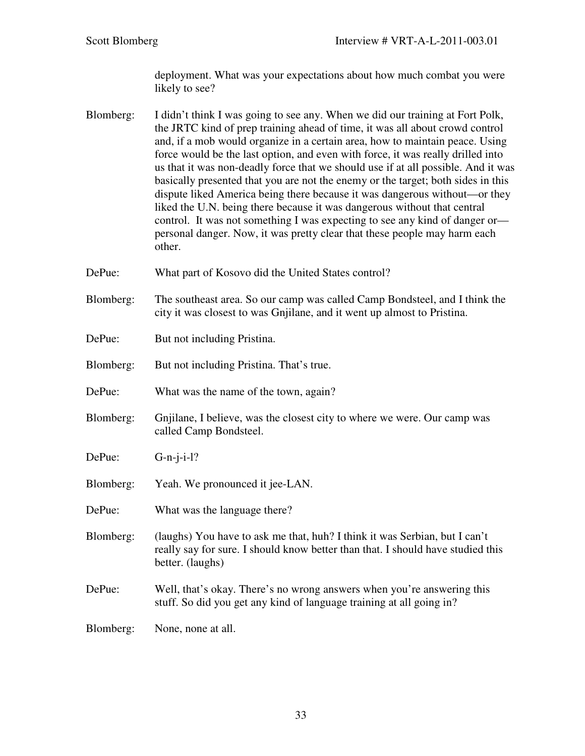deployment. What was your expectations about how much combat you were likely to see?

- Blomberg: I didn't think I was going to see any. When we did our training at Fort Polk, the JRTC kind of prep training ahead of time, it was all about crowd control and, if a mob would organize in a certain area, how to maintain peace. Using force would be the last option, and even with force, it was really drilled into us that it was non-deadly force that we should use if at all possible. And it was basically presented that you are not the enemy or the target; both sides in this dispute liked America being there because it was dangerous without—or they liked the U.N. being there because it was dangerous without that central control. It was not something I was expecting to see any kind of danger or personal danger. Now, it was pretty clear that these people may harm each other.
- DePue: What part of Kosovo did the United States control?
- Blomberg: The southeast area. So our camp was called Camp Bondsteel, and I think the city it was closest to was Gnjilane, and it went up almost to Pristina.
- DePue: But not including Pristina.
- Blomberg: But not including Pristina. That's true.
- DePue: What was the name of the town, again?
- Blomberg: Gnjilane, I believe, was the closest city to where we were. Our camp was called Camp Bondsteel.
- DePue: G-n-j-i-l?
- Blomberg: Yeah. We pronounced it jee-LAN.
- DePue: What was the language there?
- Blomberg: (laughs) You have to ask me that, huh? I think it was Serbian, but I can't really say for sure. I should know better than that. I should have studied this better. (laughs)
- DePue: Well, that's okay. There's no wrong answers when you're answering this stuff. So did you get any kind of language training at all going in?
- Blomberg: None, none at all.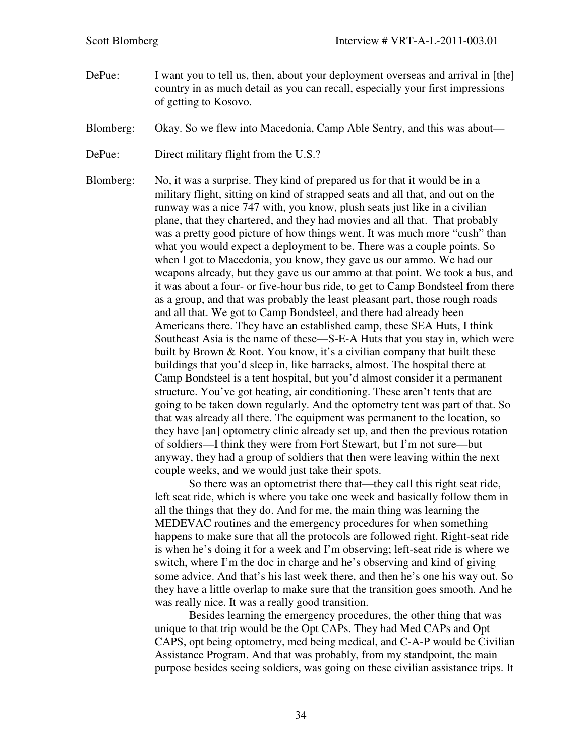- DePue: I want you to tell us, then, about your deployment overseas and arrival in [the] country in as much detail as you can recall, especially your first impressions of getting to Kosovo.
- Blomberg: Okay. So we flew into Macedonia, Camp Able Sentry, and this was about—

DePue: Direct military flight from the U.S.?

Blomberg: No, it was a surprise. They kind of prepared us for that it would be in a military flight, sitting on kind of strapped seats and all that, and out on the runway was a nice 747 with, you know, plush seats just like in a civilian plane, that they chartered, and they had movies and all that. That probably was a pretty good picture of how things went. It was much more "cush" than what you would expect a deployment to be. There was a couple points. So when I got to Macedonia, you know, they gave us our ammo. We had our weapons already, but they gave us our ammo at that point. We took a bus, and it was about a four- or five-hour bus ride, to get to Camp Bondsteel from there as a group, and that was probably the least pleasant part, those rough roads and all that. We got to Camp Bondsteel, and there had already been Americans there. They have an established camp, these SEA Huts, I think Southeast Asia is the name of these—S-E-A Huts that you stay in, which were built by Brown & Root. You know, it's a civilian company that built these buildings that you'd sleep in, like barracks, almost. The hospital there at Camp Bondsteel is a tent hospital, but you'd almost consider it a permanent structure. You've got heating, air conditioning. These aren't tents that are going to be taken down regularly. And the optometry tent was part of that. So that was already all there. The equipment was permanent to the location, so they have [an] optometry clinic already set up, and then the previous rotation of soldiers—I think they were from Fort Stewart, but I'm not sure—but anyway, they had a group of soldiers that then were leaving within the next couple weeks, and we would just take their spots.

> So there was an optometrist there that—they call this right seat ride, left seat ride, which is where you take one week and basically follow them in all the things that they do. And for me, the main thing was learning the MEDEVAC routines and the emergency procedures for when something happens to make sure that all the protocols are followed right. Right-seat ride is when he's doing it for a week and I'm observing; left-seat ride is where we switch, where I'm the doc in charge and he's observing and kind of giving some advice. And that's his last week there, and then he's one his way out. So they have a little overlap to make sure that the transition goes smooth. And he was really nice. It was a really good transition.

> Besides learning the emergency procedures, the other thing that was unique to that trip would be the Opt CAPs. They had Med CAPs and Opt CAPS, opt being optometry, med being medical, and C-A-P would be Civilian Assistance Program. And that was probably, from my standpoint, the main purpose besides seeing soldiers, was going on these civilian assistance trips. It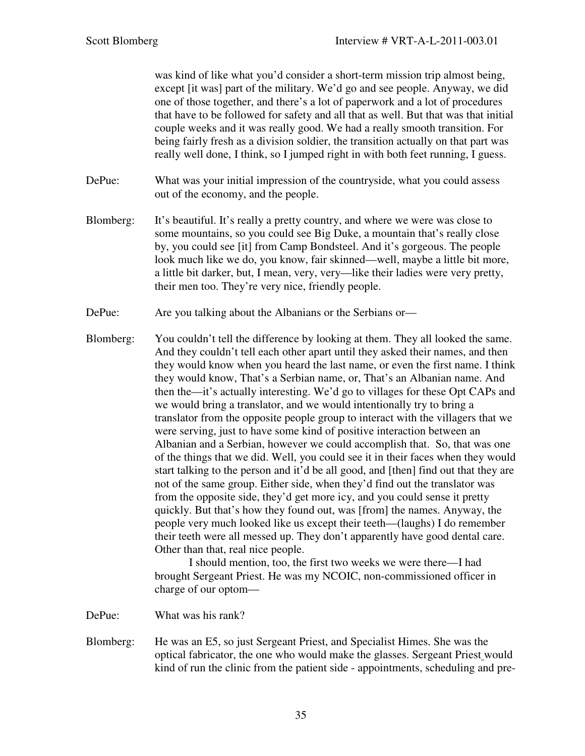was kind of like what you'd consider a short-term mission trip almost being, except [it was] part of the military. We'd go and see people. Anyway, we did one of those together, and there's a lot of paperwork and a lot of procedures that have to be followed for safety and all that as well. But that was that initial couple weeks and it was really good. We had a really smooth transition. For being fairly fresh as a division soldier, the transition actually on that part was really well done, I think, so I jumped right in with both feet running, I guess.

- DePue: What was your initial impression of the countryside, what you could assess out of the economy, and the people.
- Blomberg: It's beautiful. It's really a pretty country, and where we were was close to some mountains, so you could see Big Duke, a mountain that's really close by, you could see [it] from Camp Bondsteel. And it's gorgeous. The people look much like we do, you know, fair skinned—well, maybe a little bit more, a little bit darker, but, I mean, very, very—like their ladies were very pretty, their men too. They're very nice, friendly people.
- DePue: Are you talking about the Albanians or the Serbians or
- Blomberg: You couldn't tell the difference by looking at them. They all looked the same. And they couldn't tell each other apart until they asked their names, and then they would know when you heard the last name, or even the first name. I think they would know, That's a Serbian name, or, That's an Albanian name. And then the—it's actually interesting. We'd go to villages for these Opt CAPs and we would bring a translator, and we would intentionally try to bring a translator from the opposite people group to interact with the villagers that we were serving, just to have some kind of positive interaction between an Albanian and a Serbian, however we could accomplish that. So, that was one of the things that we did. Well, you could see it in their faces when they would start talking to the person and it'd be all good, and [then] find out that they are not of the same group. Either side, when they'd find out the translator was from the opposite side, they'd get more icy, and you could sense it pretty quickly. But that's how they found out, was [from] the names. Anyway, the people very much looked like us except their teeth—(laughs) I do remember their teeth were all messed up. They don't apparently have good dental care. Other than that, real nice people.

 I should mention, too, the first two weeks we were there—I had brought Sergeant Priest. He was my NCOIC, non-commissioned officer in charge of our optom—

DePue: What was his rank?

Blomberg: He was an E5, so just Sergeant Priest, and Specialist Himes. She was the optical fabricator, the one who would make the glasses. Sergeant Priest would kind of run the clinic from the patient side - appointments, scheduling and pre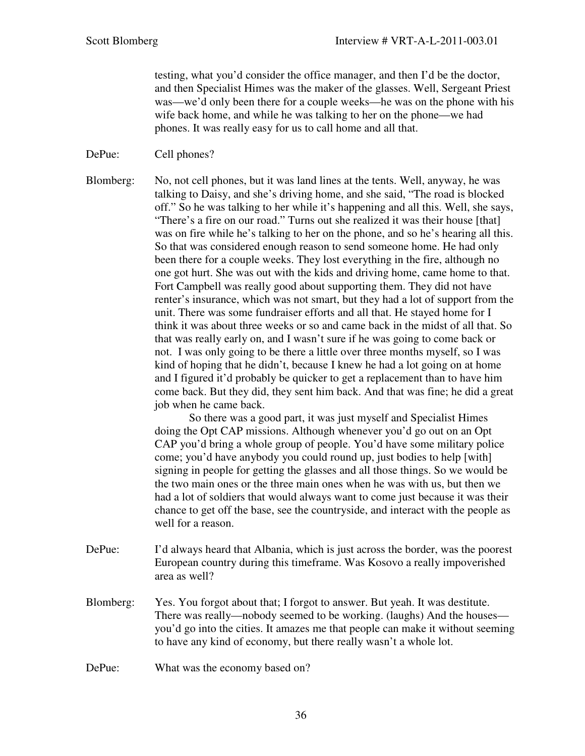testing, what you'd consider the office manager, and then I'd be the doctor, and then Specialist Himes was the maker of the glasses. Well, Sergeant Priest was—we'd only been there for a couple weeks—he was on the phone with his wife back home, and while he was talking to her on the phone—we had phones. It was really easy for us to call home and all that.

DePue: Cell phones?

Blomberg: No, not cell phones, but it was land lines at the tents. Well, anyway, he was talking to Daisy, and she's driving home, and she said, "The road is blocked off." So he was talking to her while it's happening and all this. Well, she says, "There's a fire on our road." Turns out she realized it was their house [that] was on fire while he's talking to her on the phone, and so he's hearing all this. So that was considered enough reason to send someone home. He had only been there for a couple weeks. They lost everything in the fire, although no one got hurt. She was out with the kids and driving home, came home to that. Fort Campbell was really good about supporting them. They did not have renter's insurance, which was not smart, but they had a lot of support from the unit. There was some fundraiser efforts and all that. He stayed home for I think it was about three weeks or so and came back in the midst of all that. So that was really early on, and I wasn't sure if he was going to come back or not. I was only going to be there a little over three months myself, so I was kind of hoping that he didn't, because I knew he had a lot going on at home and I figured it'd probably be quicker to get a replacement than to have him come back. But they did, they sent him back. And that was fine; he did a great job when he came back.

> So there was a good part, it was just myself and Specialist Himes doing the Opt CAP missions. Although whenever you'd go out on an Opt CAP you'd bring a whole group of people. You'd have some military police come; you'd have anybody you could round up, just bodies to help [with] signing in people for getting the glasses and all those things. So we would be the two main ones or the three main ones when he was with us, but then we had a lot of soldiers that would always want to come just because it was their chance to get off the base, see the countryside, and interact with the people as well for a reason.

- DePue: I'd always heard that Albania, which is just across the border, was the poorest European country during this timeframe. Was Kosovo a really impoverished area as well?
- Blomberg: Yes. You forgot about that; I forgot to answer. But yeah. It was destitute. There was really—nobody seemed to be working. (laughs) And the houses you'd go into the cities. It amazes me that people can make it without seeming to have any kind of economy, but there really wasn't a whole lot.

DePue: What was the economy based on?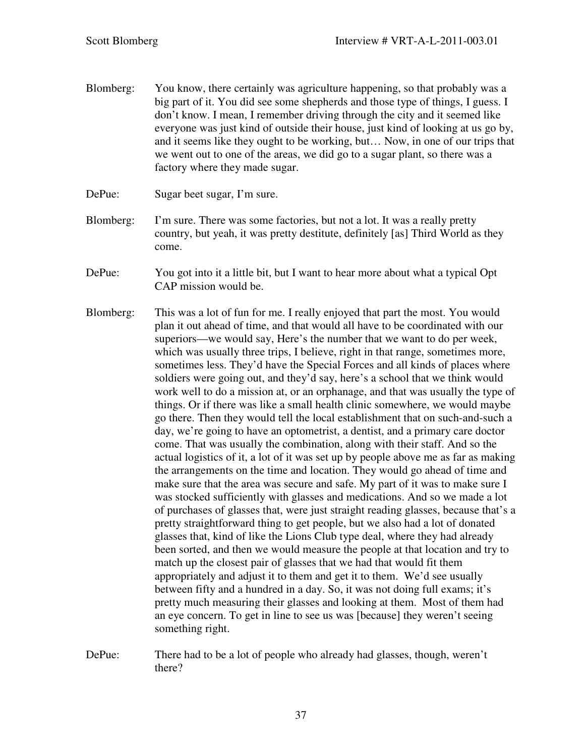- Blomberg: You know, there certainly was agriculture happening, so that probably was a big part of it. You did see some shepherds and those type of things, I guess. I don't know. I mean, I remember driving through the city and it seemed like everyone was just kind of outside their house, just kind of looking at us go by, and it seems like they ought to be working, but… Now, in one of our trips that we went out to one of the areas, we did go to a sugar plant, so there was a factory where they made sugar.
- DePue: Sugar beet sugar, I'm sure.
- Blomberg: I'm sure. There was some factories, but not a lot. It was a really pretty country, but yeah, it was pretty destitute, definitely [as] Third World as they come.
- DePue: You got into it a little bit, but I want to hear more about what a typical Opt CAP mission would be.
- Blomberg: This was a lot of fun for me. I really enjoyed that part the most. You would plan it out ahead of time, and that would all have to be coordinated with our superiors—we would say, Here's the number that we want to do per week, which was usually three trips, I believe, right in that range, sometimes more, sometimes less. They'd have the Special Forces and all kinds of places where soldiers were going out, and they'd say, here's a school that we think would work well to do a mission at, or an orphanage, and that was usually the type of things. Or if there was like a small health clinic somewhere, we would maybe go there. Then they would tell the local establishment that on such-and-such a day, we're going to have an optometrist, a dentist, and a primary care doctor come. That was usually the combination, along with their staff. And so the actual logistics of it, a lot of it was set up by people above me as far as making the arrangements on the time and location. They would go ahead of time and make sure that the area was secure and safe. My part of it was to make sure I was stocked sufficiently with glasses and medications. And so we made a lot of purchases of glasses that, were just straight reading glasses, because that's a pretty straightforward thing to get people, but we also had a lot of donated glasses that, kind of like the Lions Club type deal, where they had already been sorted, and then we would measure the people at that location and try to match up the closest pair of glasses that we had that would fit them appropriately and adjust it to them and get it to them. We'd see usually between fifty and a hundred in a day. So, it was not doing full exams; it's pretty much measuring their glasses and looking at them. Most of them had an eye concern. To get in line to see us was [because] they weren't seeing something right.
- DePue: There had to be a lot of people who already had glasses, though, weren't there?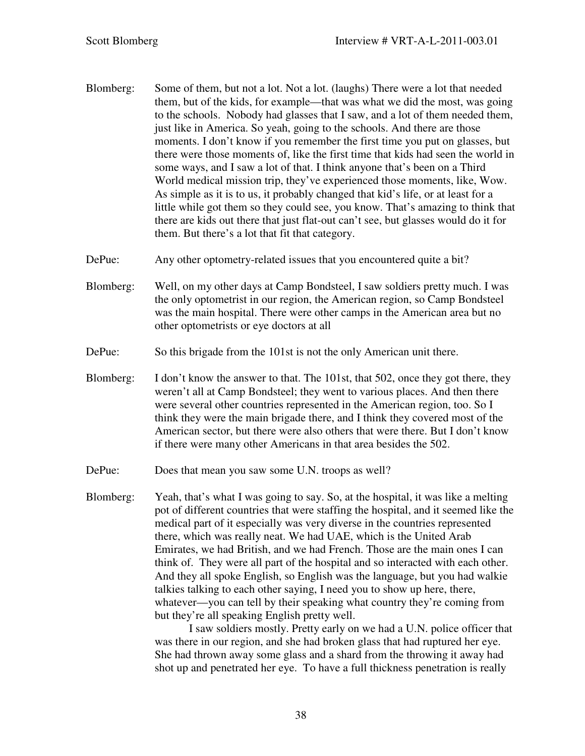- Blomberg: Some of them, but not a lot. Not a lot. (laughs) There were a lot that needed them, but of the kids, for example—that was what we did the most, was going to the schools. Nobody had glasses that I saw, and a lot of them needed them, just like in America. So yeah, going to the schools. And there are those moments. I don't know if you remember the first time you put on glasses, but there were those moments of, like the first time that kids had seen the world in some ways, and I saw a lot of that. I think anyone that's been on a Third World medical mission trip, they've experienced those moments, like, Wow. As simple as it is to us, it probably changed that kid's life, or at least for a little while got them so they could see, you know. That's amazing to think that there are kids out there that just flat-out can't see, but glasses would do it for them. But there's a lot that fit that category.
- DePue: Any other optometry-related issues that you encountered quite a bit?
- Blomberg: Well, on my other days at Camp Bondsteel, I saw soldiers pretty much. I was the only optometrist in our region, the American region, so Camp Bondsteel was the main hospital. There were other camps in the American area but no other optometrists or eye doctors at all
- DePue: So this brigade from the 101st is not the only American unit there.
- Blomberg: I don't know the answer to that. The 101st, that 502, once they got there, they weren't all at Camp Bondsteel; they went to various places. And then there were several other countries represented in the American region, too. So I think they were the main brigade there, and I think they covered most of the American sector, but there were also others that were there. But I don't know if there were many other Americans in that area besides the 502.
- DePue: Does that mean you saw some U.N. troops as well?
- Blomberg: Yeah, that's what I was going to say. So, at the hospital, it was like a melting pot of different countries that were staffing the hospital, and it seemed like the medical part of it especially was very diverse in the countries represented there, which was really neat. We had UAE, which is the United Arab Emirates, we had British, and we had French. Those are the main ones I can think of. They were all part of the hospital and so interacted with each other. And they all spoke English, so English was the language, but you had walkie talkies talking to each other saying, I need you to show up here, there, whatever—you can tell by their speaking what country they're coming from but they're all speaking English pretty well.

 I saw soldiers mostly. Pretty early on we had a U.N. police officer that was there in our region, and she had broken glass that had ruptured her eye. She had thrown away some glass and a shard from the throwing it away had shot up and penetrated her eye. To have a full thickness penetration is really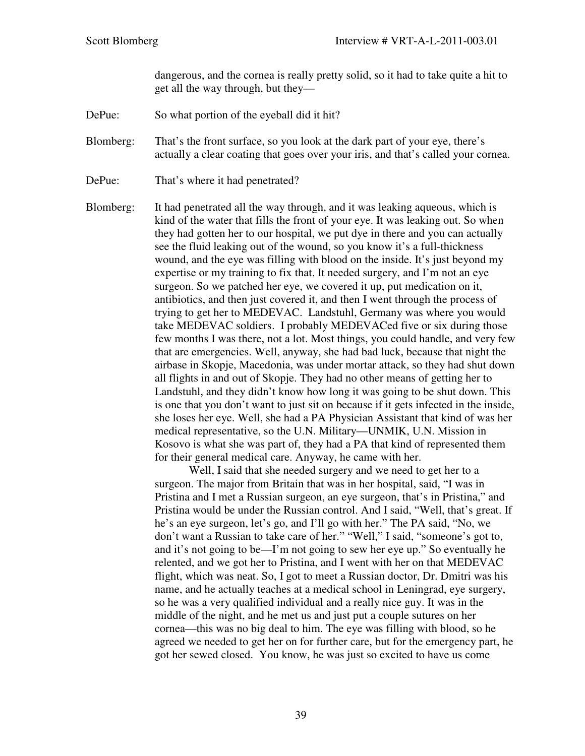dangerous, and the cornea is really pretty solid, so it had to take quite a hit to get all the way through, but they—

DePue: So what portion of the eyeball did it hit?

Blomberg: That's the front surface, so you look at the dark part of your eye, there's actually a clear coating that goes over your iris, and that's called your cornea.

- DePue: That's where it had penetrated?
- Blomberg: It had penetrated all the way through, and it was leaking aqueous, which is kind of the water that fills the front of your eye. It was leaking out. So when they had gotten her to our hospital, we put dye in there and you can actually see the fluid leaking out of the wound, so you know it's a full-thickness wound, and the eye was filling with blood on the inside. It's just beyond my expertise or my training to fix that. It needed surgery, and I'm not an eye surgeon. So we patched her eye, we covered it up, put medication on it, antibiotics, and then just covered it, and then I went through the process of trying to get her to MEDEVAC. Landstuhl, Germany was where you would take MEDEVAC soldiers. I probably MEDEVACed five or six during those few months I was there, not a lot. Most things, you could handle, and very few that are emergencies. Well, anyway, she had bad luck, because that night the airbase in Skopje, Macedonia, was under mortar attack, so they had shut down all flights in and out of Skopje. They had no other means of getting her to Landstuhl, and they didn't know how long it was going to be shut down. This is one that you don't want to just sit on because if it gets infected in the inside, she loses her eye. Well, she had a PA Physician Assistant that kind of was her medical representative, so the U.N. Military—UNMIK, U.N. Mission in Kosovo is what she was part of, they had a PA that kind of represented them for their general medical care. Anyway, he came with her.

 Well, I said that she needed surgery and we need to get her to a surgeon. The major from Britain that was in her hospital, said, "I was in Pristina and I met a Russian surgeon, an eye surgeon, that's in Pristina," and Pristina would be under the Russian control. And I said, "Well, that's great. If he's an eye surgeon, let's go, and I'll go with her." The PA said, "No, we don't want a Russian to take care of her." "Well," I said, "someone's got to, and it's not going to be—I'm not going to sew her eye up." So eventually he relented, and we got her to Pristina, and I went with her on that MEDEVAC flight, which was neat. So, I got to meet a Russian doctor, Dr. Dmitri was his name, and he actually teaches at a medical school in Leningrad, eye surgery, so he was a very qualified individual and a really nice guy. It was in the middle of the night, and he met us and just put a couple sutures on her cornea—this was no big deal to him. The eye was filling with blood, so he agreed we needed to get her on for further care, but for the emergency part, he got her sewed closed. You know, he was just so excited to have us come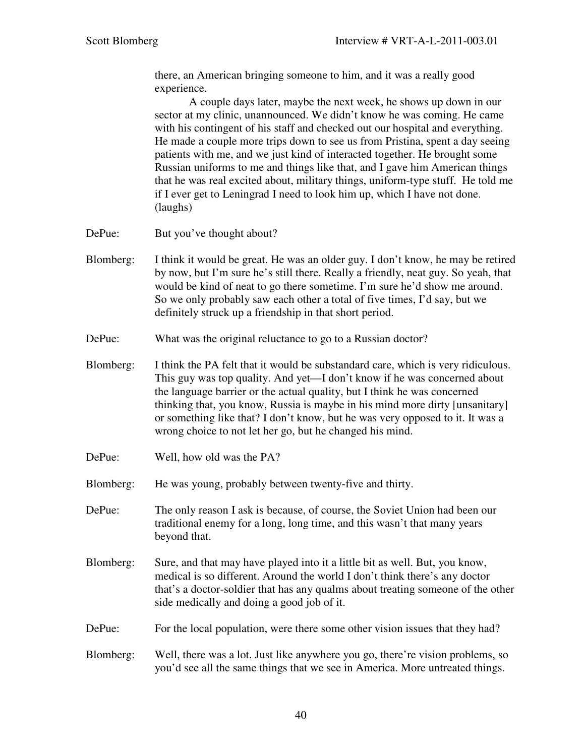there, an American bringing someone to him, and it was a really good experience.

A couple days later, maybe the next week, he shows up down in our sector at my clinic, unannounced. We didn't know he was coming. He came with his contingent of his staff and checked out our hospital and everything. He made a couple more trips down to see us from Pristina, spent a day seeing patients with me, and we just kind of interacted together. He brought some Russian uniforms to me and things like that, and I gave him American things that he was real excited about, military things, uniform-type stuff. He told me if I ever get to Leningrad I need to look him up, which I have not done. (laughs)

- DePue: But you've thought about?
- Blomberg: I think it would be great. He was an older guy. I don't know, he may be retired by now, but I'm sure he's still there. Really a friendly, neat guy. So yeah, that would be kind of neat to go there sometime. I'm sure he'd show me around. So we only probably saw each other a total of five times, I'd say, but we definitely struck up a friendship in that short period.
- DePue: What was the original reluctance to go to a Russian doctor?
- Blomberg: I think the PA felt that it would be substandard care, which is very ridiculous. This guy was top quality. And yet—I don't know if he was concerned about the language barrier or the actual quality, but I think he was concerned thinking that, you know, Russia is maybe in his mind more dirty [unsanitary] or something like that? I don't know, but he was very opposed to it. It was a wrong choice to not let her go, but he changed his mind.
- DePue: Well, how old was the PA?
- Blomberg: He was young, probably between twenty-five and thirty.
- DePue: The only reason I ask is because, of course, the Soviet Union had been our traditional enemy for a long, long time, and this wasn't that many years beyond that.
- Blomberg: Sure, and that may have played into it a little bit as well. But, you know, medical is so different. Around the world I don't think there's any doctor that's a doctor-soldier that has any qualms about treating someone of the other side medically and doing a good job of it.
- DePue: For the local population, were there some other vision issues that they had?
- Blomberg: Well, there was a lot. Just like anywhere you go, there're vision problems, so you'd see all the same things that we see in America. More untreated things.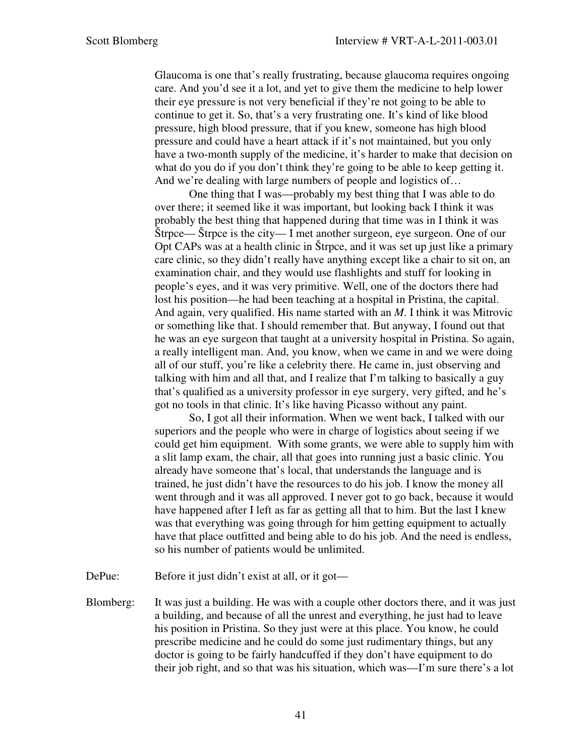Glaucoma is one that's really frustrating, because glaucoma requires ongoing care. And you'd see it a lot, and yet to give them the medicine to help lower their eye pressure is not very beneficial if they're not going to be able to continue to get it. So, that's a very frustrating one. It's kind of like blood pressure, high blood pressure, that if you knew, someone has high blood pressure and could have a heart attack if it's not maintained, but you only have a two-month supply of the medicine, it's harder to make that decision on what do you do if you don't think they're going to be able to keep getting it. And we're dealing with large numbers of people and logistics of...

One thing that I was—probably my best thing that I was able to do over there; it seemed like it was important, but looking back I think it was probably the best thing that happened during that time was in I think it was Štrpce— Štrpce is the city— I met another surgeon, eye surgeon. One of our Opt CAPs was at a health clinic in Štrpce, and it was set up just like a primary care clinic, so they didn't really have anything except like a chair to sit on, an examination chair, and they would use flashlights and stuff for looking in people's eyes, and it was very primitive. Well, one of the doctors there had lost his position—he had been teaching at a hospital in Pristina, the capital. And again, very qualified. His name started with an *M*. I think it was Mitrovic or something like that. I should remember that. But anyway, I found out that he was an eye surgeon that taught at a university hospital in Pristina. So again, a really intelligent man. And, you know, when we came in and we were doing all of our stuff, you're like a celebrity there. He came in, just observing and talking with him and all that, and I realize that I'm talking to basically a guy that's qualified as a university professor in eye surgery, very gifted, and he's got no tools in that clinic. It's like having Picasso without any paint.

So, I got all their information. When we went back, I talked with our superiors and the people who were in charge of logistics about seeing if we could get him equipment. With some grants, we were able to supply him with a slit lamp exam, the chair, all that goes into running just a basic clinic. You already have someone that's local, that understands the language and is trained, he just didn't have the resources to do his job. I know the money all went through and it was all approved. I never got to go back, because it would have happened after I left as far as getting all that to him. But the last I knew was that everything was going through for him getting equipment to actually have that place outfitted and being able to do his job. And the need is endless, so his number of patients would be unlimited.

DePue: Before it just didn't exist at all, or it got—

Blomberg: It was just a building. He was with a couple other doctors there, and it was just a building, and because of all the unrest and everything, he just had to leave his position in Pristina. So they just were at this place. You know, he could prescribe medicine and he could do some just rudimentary things, but any doctor is going to be fairly handcuffed if they don't have equipment to do their job right, and so that was his situation, which was—I'm sure there's a lot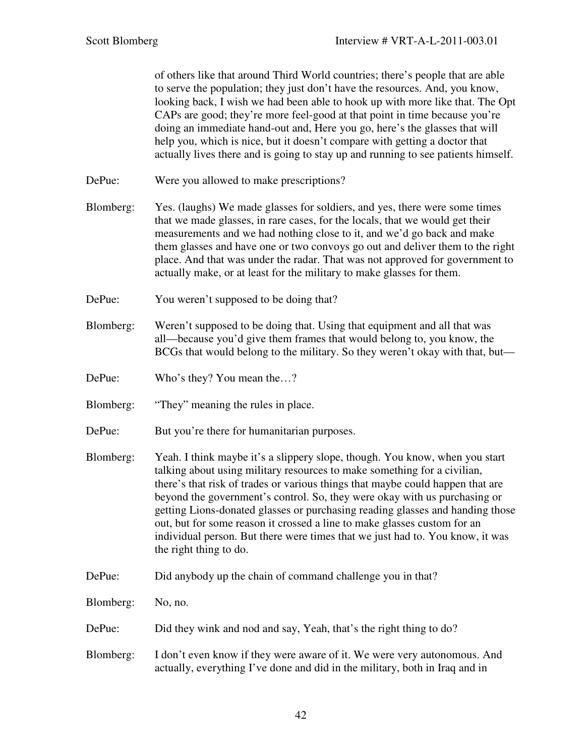of others like that around Third World countries; there's people that are able to serve the population; they just don't have the resources. And, you know, looking back, I wish we had been able to hook up with more like that. The Opt CAPs are good; they're more feel-good at that point in time because you're doing an immediate hand-out and, Here you go, here's the glasses that will help you, which is nice, but it doesn't compare with getting a doctor that actually lives there and is going to stay up and running to see patients himself.

- DePue: Were you allowed to make prescriptions?
- Blomberg: Yes. (laughs) We made glasses for soldiers, and yes, there were some times that we made glasses, in rare cases, for the locals, that we would get their measurements and we had nothing close to it, and we'd go back and make them glasses and have one or two convoys go out and deliver them to the right place. And that was under the radar. That was not approved for government to actually make, or at least for the military to make glasses for them.
- DePue: You weren't supposed to be doing that?
- Blomberg: Weren't supposed to be doing that. Using that equipment and all that was all—because you'd give them frames that would belong to, you know, the BCGs that would belong to the military. So they weren't okay with that, but—
- DePue: Who's they? You mean the...?
- Blomberg: "They" meaning the rules in place.
- DePue: But you're there for humanitarian purposes.
- Blomberg: Yeah. I think maybe it's a slippery slope, though. You know, when you start talking about using military resources to make something for a civilian, there's that risk of trades or various things that maybe could happen that are beyond the government's control. So, they were okay with us purchasing or getting Lions-donated glasses or purchasing reading glasses and handing those out, but for some reason it crossed a line to make glasses custom for an individual person. But there were times that we just had to. You know, it was the right thing to do.
- DePue: Did anybody up the chain of command challenge you in that?
- Blomberg: No, no.
- DePue: Did they wink and nod and say, Yeah, that's the right thing to do?
- Blomberg: I don't even know if they were aware of it. We were very autonomous. And actually, everything I've done and did in the military, both in Iraq and in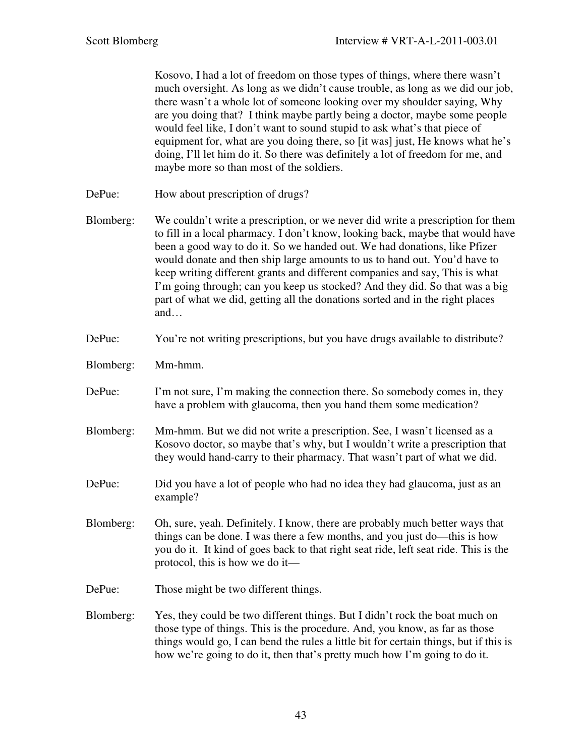Kosovo, I had a lot of freedom on those types of things, where there wasn't much oversight. As long as we didn't cause trouble, as long as we did our job, there wasn't a whole lot of someone looking over my shoulder saying, Why are you doing that? I think maybe partly being a doctor, maybe some people would feel like, I don't want to sound stupid to ask what's that piece of equipment for, what are you doing there, so [it was] just, He knows what he's doing, I'll let him do it. So there was definitely a lot of freedom for me, and maybe more so than most of the soldiers.

- DePue: How about prescription of drugs?
- Blomberg: We couldn't write a prescription, or we never did write a prescription for them to fill in a local pharmacy. I don't know, looking back, maybe that would have been a good way to do it. So we handed out. We had donations, like Pfizer would donate and then ship large amounts to us to hand out. You'd have to keep writing different grants and different companies and say, This is what I'm going through; can you keep us stocked? And they did. So that was a big part of what we did, getting all the donations sorted and in the right places and…
- DePue: You're not writing prescriptions, but you have drugs available to distribute?
- Blomberg: Mm-hmm.
- DePue: I'm not sure, I'm making the connection there. So somebody comes in, they have a problem with glaucoma, then you hand them some medication?
- Blomberg: Mm-hmm. But we did not write a prescription. See, I wasn't licensed as a Kosovo doctor, so maybe that's why, but I wouldn't write a prescription that they would hand-carry to their pharmacy. That wasn't part of what we did.
- DePue: Did you have a lot of people who had no idea they had glaucoma, just as an example?
- Blomberg: Oh, sure, yeah. Definitely. I know, there are probably much better ways that things can be done. I was there a few months, and you just do—this is how you do it. It kind of goes back to that right seat ride, left seat ride. This is the protocol, this is how we do it—
- DePue: Those might be two different things.
- Blomberg: Yes, they could be two different things. But I didn't rock the boat much on those type of things. This is the procedure. And, you know, as far as those things would go, I can bend the rules a little bit for certain things, but if this is how we're going to do it, then that's pretty much how I'm going to do it.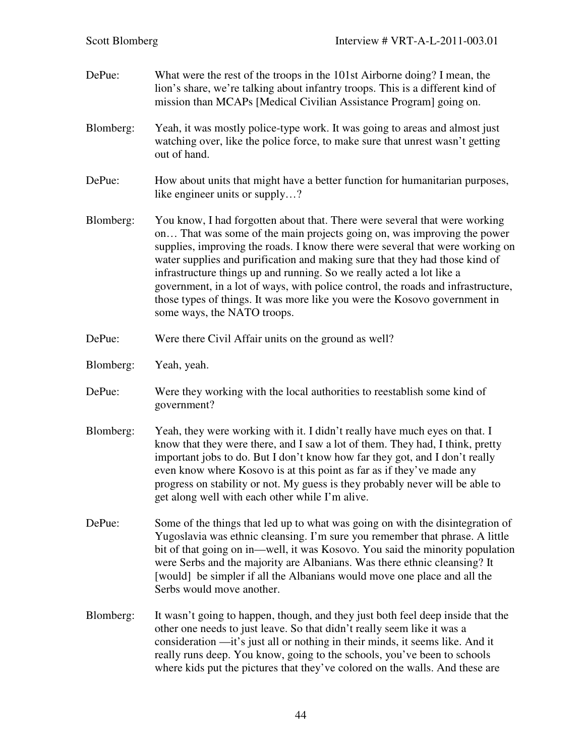| DePue:    | What were the rest of the troops in the 101st Airborne doing? I mean, the<br>lion's share, we're talking about infantry troops. This is a different kind of<br>mission than MCAPs [Medical Civilian Assistance Program] going on.                                                                                                                                                                                                                                                                                                                                                              |
|-----------|------------------------------------------------------------------------------------------------------------------------------------------------------------------------------------------------------------------------------------------------------------------------------------------------------------------------------------------------------------------------------------------------------------------------------------------------------------------------------------------------------------------------------------------------------------------------------------------------|
| Blomberg: | Yeah, it was mostly police-type work. It was going to areas and almost just<br>watching over, like the police force, to make sure that unrest wasn't getting<br>out of hand.                                                                                                                                                                                                                                                                                                                                                                                                                   |
| DePue:    | How about units that might have a better function for humanitarian purposes,<br>like engineer units or supply?                                                                                                                                                                                                                                                                                                                                                                                                                                                                                 |
| Blomberg: | You know, I had forgotten about that. There were several that were working<br>on That was some of the main projects going on, was improving the power<br>supplies, improving the roads. I know there were several that were working on<br>water supplies and purification and making sure that they had those kind of<br>infrastructure things up and running. So we really acted a lot like a<br>government, in a lot of ways, with police control, the roads and infrastructure,<br>those types of things. It was more like you were the Kosovo government in<br>some ways, the NATO troops. |
| DePue:    | Were there Civil Affair units on the ground as well?                                                                                                                                                                                                                                                                                                                                                                                                                                                                                                                                           |
| Blomberg: | Yeah, yeah.                                                                                                                                                                                                                                                                                                                                                                                                                                                                                                                                                                                    |
| DePue:    | Were they working with the local authorities to reestablish some kind of<br>government?                                                                                                                                                                                                                                                                                                                                                                                                                                                                                                        |
| Blomberg: | Yeah, they were working with it. I didn't really have much eyes on that. I<br>know that they were there, and I saw a lot of them. They had, I think, pretty<br>important jobs to do. But I don't know how far they got, and I don't really<br>even know where Kosovo is at this point as far as if they've made any<br>progress on stability or not. My guess is they probably never will be able to<br>get along well with each other while I'm alive.                                                                                                                                        |
| DePue:    | Some of the things that led up to what was going on with the disintegration of<br>Yugoslavia was ethnic cleansing. I'm sure you remember that phrase. A little<br>bit of that going on in—well, it was Kosovo. You said the minority population<br>were Serbs and the majority are Albanians. Was there ethnic cleansing? It<br>[would] be simpler if all the Albanians would move one place and all the<br>Serbs would move another.                                                                                                                                                          |
| Blomberg: | It wasn't going to happen, though, and they just both feel deep inside that the<br>other one needs to just leave. So that didn't really seem like it was a<br>consideration —it's just all or nothing in their minds, it seems like. And it<br>really runs deep. You know, going to the schools, you've been to schools<br>where kids put the pictures that they've colored on the walls. And these are                                                                                                                                                                                        |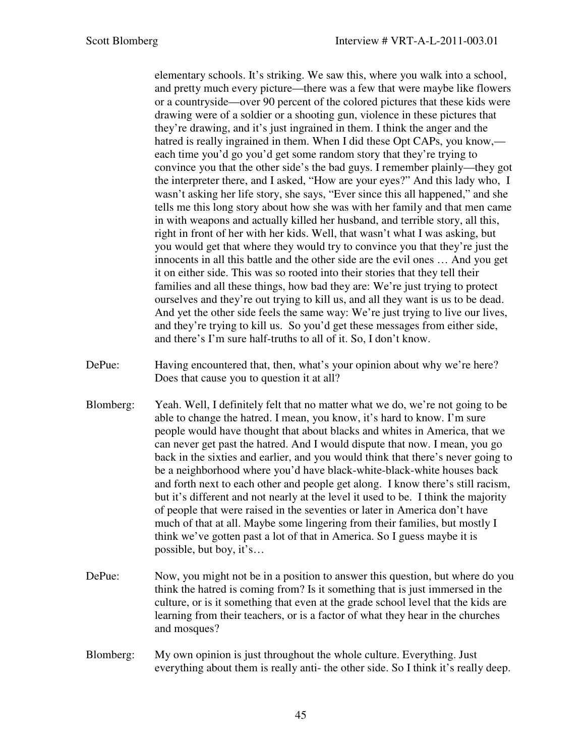elementary schools. It's striking. We saw this, where you walk into a school, and pretty much every picture—there was a few that were maybe like flowers or a countryside—over 90 percent of the colored pictures that these kids were drawing were of a soldier or a shooting gun, violence in these pictures that they're drawing, and it's just ingrained in them. I think the anger and the hatred is really ingrained in them. When I did these Opt CAPs, you know, each time you'd go you'd get some random story that they're trying to convince you that the other side's the bad guys. I remember plainly—they got the interpreter there, and I asked, "How are your eyes?" And this lady who, I wasn't asking her life story, she says, "Ever since this all happened," and she tells me this long story about how she was with her family and that men came in with weapons and actually killed her husband, and terrible story, all this, right in front of her with her kids. Well, that wasn't what I was asking, but you would get that where they would try to convince you that they're just the innocents in all this battle and the other side are the evil ones … And you get it on either side. This was so rooted into their stories that they tell their families and all these things, how bad they are: We're just trying to protect ourselves and they're out trying to kill us, and all they want is us to be dead. And yet the other side feels the same way: We're just trying to live our lives, and they're trying to kill us. So you'd get these messages from either side, and there's I'm sure half-truths to all of it. So, I don't know.

- DePue: Having encountered that, then, what's your opinion about why we're here? Does that cause you to question it at all?
- Blomberg: Yeah. Well, I definitely felt that no matter what we do, we're not going to be able to change the hatred. I mean, you know, it's hard to know. I'm sure people would have thought that about blacks and whites in America, that we can never get past the hatred. And I would dispute that now. I mean, you go back in the sixties and earlier, and you would think that there's never going to be a neighborhood where you'd have black-white-black-white houses back and forth next to each other and people get along. I know there's still racism, but it's different and not nearly at the level it used to be. I think the majority of people that were raised in the seventies or later in America don't have much of that at all. Maybe some lingering from their families, but mostly I think we've gotten past a lot of that in America. So I guess maybe it is possible, but boy, it's…
- DePue: Now, you might not be in a position to answer this question, but where do you think the hatred is coming from? Is it something that is just immersed in the culture, or is it something that even at the grade school level that the kids are learning from their teachers, or is a factor of what they hear in the churches and mosques?
- Blomberg: My own opinion is just throughout the whole culture. Everything. Just everything about them is really anti- the other side. So I think it's really deep.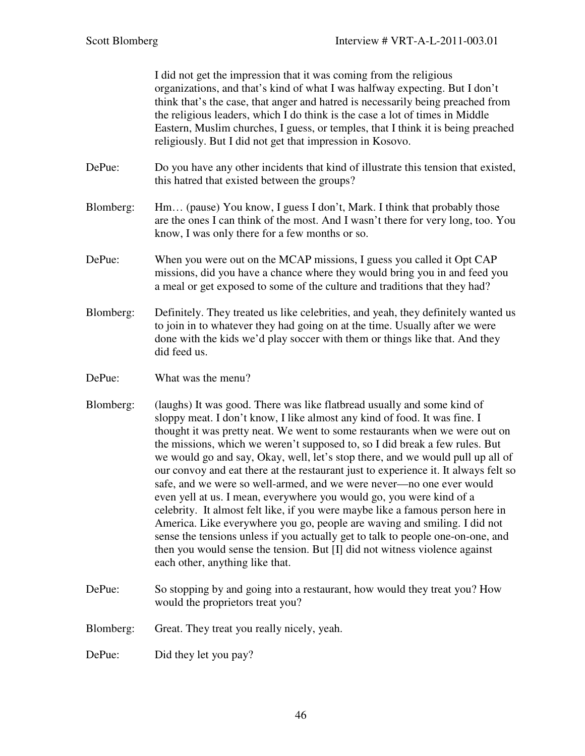I did not get the impression that it was coming from the religious organizations, and that's kind of what I was halfway expecting. But I don't think that's the case, that anger and hatred is necessarily being preached from the religious leaders, which I do think is the case a lot of times in Middle Eastern, Muslim churches, I guess, or temples, that I think it is being preached religiously. But I did not get that impression in Kosovo.

- DePue: Do you have any other incidents that kind of illustrate this tension that existed, this hatred that existed between the groups?
- Blomberg: Hm… (pause) You know, I guess I don't, Mark. I think that probably those are the ones I can think of the most. And I wasn't there for very long, too. You know, I was only there for a few months or so.
- DePue: When you were out on the MCAP missions, I guess you called it Opt CAP missions, did you have a chance where they would bring you in and feed you a meal or get exposed to some of the culture and traditions that they had?
- Blomberg: Definitely. They treated us like celebrities, and yeah, they definitely wanted us to join in to whatever they had going on at the time. Usually after we were done with the kids we'd play soccer with them or things like that. And they did feed us.
- DePue: What was the menu?
- Blomberg: (laughs) It was good. There was like flatbread usually and some kind of sloppy meat. I don't know, I like almost any kind of food. It was fine. I thought it was pretty neat. We went to some restaurants when we were out on the missions, which we weren't supposed to, so I did break a few rules. But we would go and say, Okay, well, let's stop there, and we would pull up all of our convoy and eat there at the restaurant just to experience it. It always felt so safe, and we were so well-armed, and we were never—no one ever would even yell at us. I mean, everywhere you would go, you were kind of a celebrity. It almost felt like, if you were maybe like a famous person here in America. Like everywhere you go, people are waving and smiling. I did not sense the tensions unless if you actually get to talk to people one-on-one, and then you would sense the tension. But [I] did not witness violence against each other, anything like that.
- DePue: So stopping by and going into a restaurant, how would they treat you? How would the proprietors treat you?
- Blomberg: Great. They treat you really nicely, yeah.

DePue: Did they let you pay?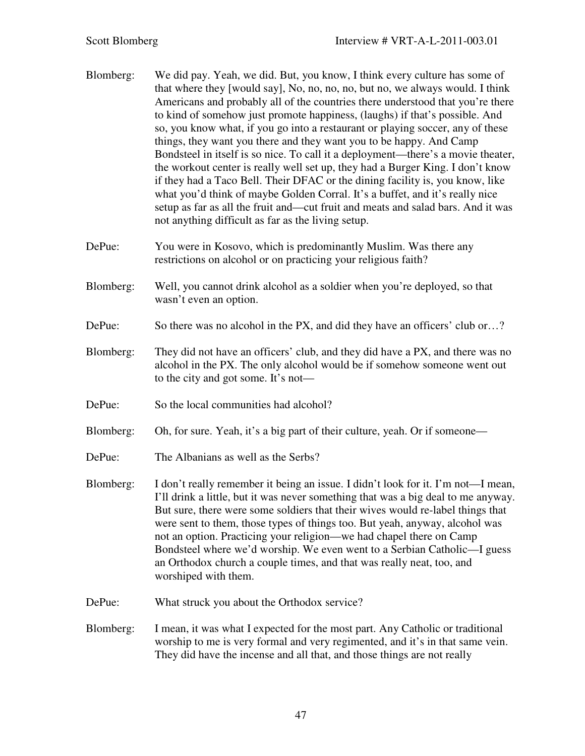- Blomberg: We did pay. Yeah, we did. But, you know, I think every culture has some of that where they [would say], No, no, no, no, but no, we always would. I think Americans and probably all of the countries there understood that you're there to kind of somehow just promote happiness, (laughs) if that's possible. And so, you know what, if you go into a restaurant or playing soccer, any of these things, they want you there and they want you to be happy. And Camp Bondsteel in itself is so nice. To call it a deployment—there's a movie theater, the workout center is really well set up, they had a Burger King. I don't know if they had a Taco Bell. Their DFAC or the dining facility is, you know, like what you'd think of maybe Golden Corral. It's a buffet, and it's really nice setup as far as all the fruit and—cut fruit and meats and salad bars. And it was not anything difficult as far as the living setup.
- DePue: You were in Kosovo, which is predominantly Muslim. Was there any restrictions on alcohol or on practicing your religious faith?
- Blomberg: Well, you cannot drink alcohol as a soldier when you're deployed, so that wasn't even an option.
- DePue: So there was no alcohol in the PX, and did they have an officers' club or...?
- Blomberg: They did not have an officers' club, and they did have a PX, and there was no alcohol in the PX. The only alcohol would be if somehow someone went out to the city and got some. It's not—
- DePue: So the local communities had alcohol?
- Blomberg: Oh, for sure. Yeah, it's a big part of their culture, yeah. Or if someone—
- DePue: The Albanians as well as the Serbs?
- Blomberg: I don't really remember it being an issue. I didn't look for it. I'm not—I mean, I'll drink a little, but it was never something that was a big deal to me anyway. But sure, there were some soldiers that their wives would re-label things that were sent to them, those types of things too. But yeah, anyway, alcohol was not an option. Practicing your religion—we had chapel there on Camp Bondsteel where we'd worship. We even went to a Serbian Catholic—I guess an Orthodox church a couple times, and that was really neat, too, and worshiped with them.
- DePue: What struck you about the Orthodox service?
- Blomberg: I mean, it was what I expected for the most part. Any Catholic or traditional worship to me is very formal and very regimented, and it's in that same vein. They did have the incense and all that, and those things are not really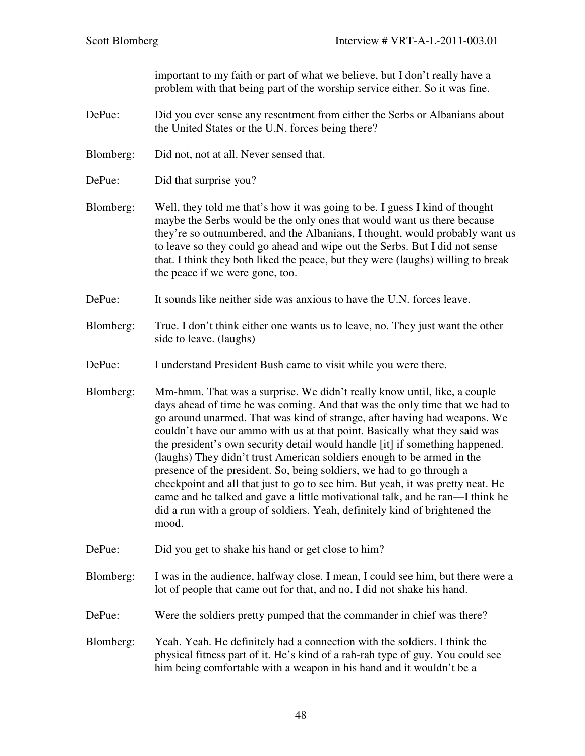important to my faith or part of what we believe, but I don't really have a problem with that being part of the worship service either. So it was fine.

- DePue: Did you ever sense any resentment from either the Serbs or Albanians about the United States or the U.N. forces being there?
- Blomberg: Did not, not at all. Never sensed that.
- DePue: Did that surprise you?
- Blomberg: Well, they told me that's how it was going to be. I guess I kind of thought maybe the Serbs would be the only ones that would want us there because they're so outnumbered, and the Albanians, I thought, would probably want us to leave so they could go ahead and wipe out the Serbs. But I did not sense that. I think they both liked the peace, but they were (laughs) willing to break the peace if we were gone, too.
- DePue: It sounds like neither side was anxious to have the U.N. forces leave.
- Blomberg: True. I don't think either one wants us to leave, no. They just want the other side to leave. (laughs)
- DePue: I understand President Bush came to visit while you were there.
- Blomberg: Mm-hmm. That was a surprise. We didn't really know until, like, a couple days ahead of time he was coming. And that was the only time that we had to go around unarmed. That was kind of strange, after having had weapons. We couldn't have our ammo with us at that point. Basically what they said was the president's own security detail would handle [it] if something happened. (laughs) They didn't trust American soldiers enough to be armed in the presence of the president. So, being soldiers, we had to go through a checkpoint and all that just to go to see him. But yeah, it was pretty neat. He came and he talked and gave a little motivational talk, and he ran—I think he did a run with a group of soldiers. Yeah, definitely kind of brightened the mood.
- DePue: Did you get to shake his hand or get close to him?
- Blomberg: I was in the audience, halfway close. I mean, I could see him, but there were a lot of people that came out for that, and no, I did not shake his hand.
- DePue: Were the soldiers pretty pumped that the commander in chief was there?
- Blomberg: Yeah. Yeah. He definitely had a connection with the soldiers. I think the physical fitness part of it. He's kind of a rah-rah type of guy. You could see him being comfortable with a weapon in his hand and it wouldn't be a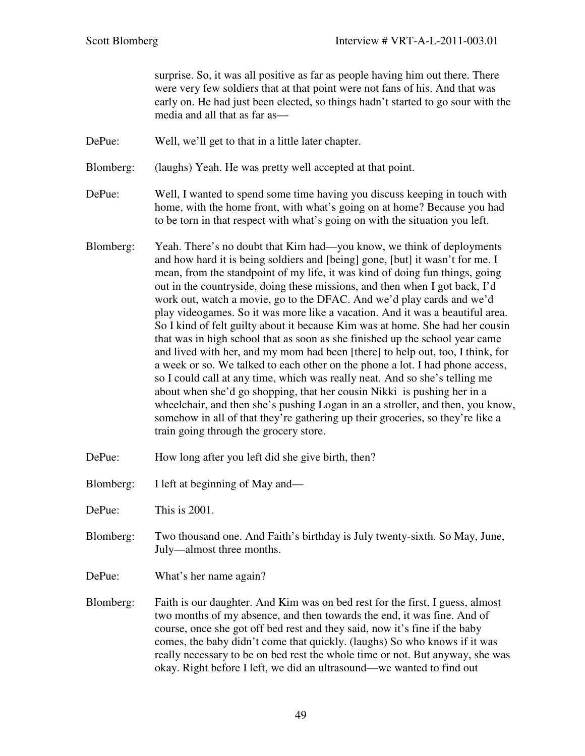surprise. So, it was all positive as far as people having him out there. There were very few soldiers that at that point were not fans of his. And that was early on. He had just been elected, so things hadn't started to go sour with the media and all that as far as—

- DePue: Well, we'll get to that in a little later chapter.
- Blomberg: (laughs) Yeah. He was pretty well accepted at that point.
- DePue: Well, I wanted to spend some time having you discuss keeping in touch with home, with the home front, with what's going on at home? Because you had to be torn in that respect with what's going on with the situation you left.
- Blomberg: Yeah. There's no doubt that Kim had—you know, we think of deployments and how hard it is being soldiers and [being] gone, [but] it wasn't for me. I mean, from the standpoint of my life, it was kind of doing fun things, going out in the countryside, doing these missions, and then when I got back, I'd work out, watch a movie, go to the DFAC. And we'd play cards and we'd play videogames. So it was more like a vacation. And it was a beautiful area. So I kind of felt guilty about it because Kim was at home. She had her cousin that was in high school that as soon as she finished up the school year came and lived with her, and my mom had been [there] to help out, too, I think, for a week or so. We talked to each other on the phone a lot. I had phone access, so I could call at any time, which was really neat. And so she's telling me about when she'd go shopping, that her cousin Nikki is pushing her in a wheelchair, and then she's pushing Logan in an a stroller, and then, you know, somehow in all of that they're gathering up their groceries, so they're like a train going through the grocery store.
- DePue: How long after you left did she give birth, then?
- Blomberg: I left at beginning of May and—
- DePue: This is 2001.
- Blomberg: Two thousand one. And Faith's birthday is July twenty-sixth. So May, June, July—almost three months.
- DePue: What's her name again?
- Blomberg: Faith is our daughter. And Kim was on bed rest for the first, I guess, almost two months of my absence, and then towards the end, it was fine. And of course, once she got off bed rest and they said, now it's fine if the baby comes, the baby didn't come that quickly. (laughs) So who knows if it was really necessary to be on bed rest the whole time or not. But anyway, she was okay. Right before I left, we did an ultrasound—we wanted to find out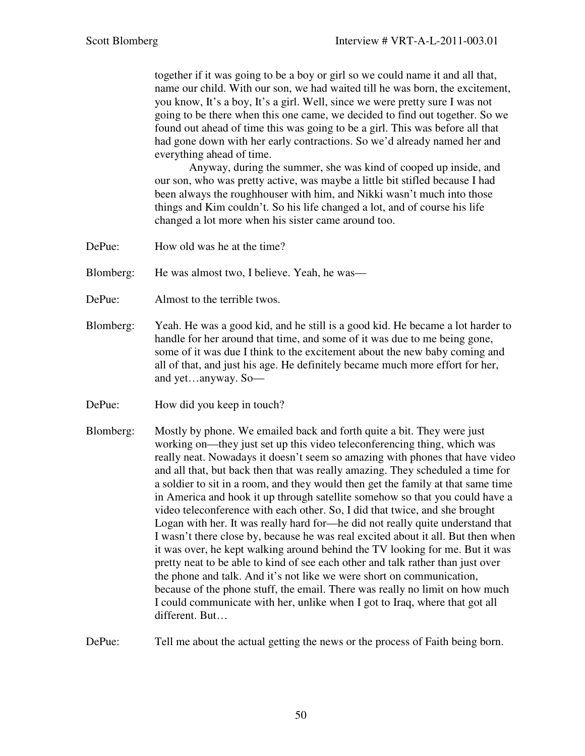together if it was going to be a boy or girl so we could name it and all that, name our child. With our son, we had waited till he was born, the excitement, you know, It's a boy, It's a girl. Well, since we were pretty sure I was not going to be there when this one came, we decided to find out together. So we found out ahead of time this was going to be a girl. This was before all that had gone down with her early contractions. So we'd already named her and everything ahead of time.

 Anyway, during the summer, she was kind of cooped up inside, and our son, who was pretty active, was maybe a little bit stifled because I had been always the roughhouser with him, and Nikki wasn't much into those things and Kim couldn't. So his life changed a lot, and of course his life changed a lot more when his sister came around too.

DePue: How old was he at the time?

Blomberg: He was almost two, I believe. Yeah, he was—

- DePue: Almost to the terrible twos.
- Blomberg: Yeah. He was a good kid, and he still is a good kid. He became a lot harder to handle for her around that time, and some of it was due to me being gone, some of it was due I think to the excitement about the new baby coming and all of that, and just his age. He definitely became much more effort for her, and yet…anyway. So—
- DePue: How did you keep in touch?
- Blomberg: Mostly by phone. We emailed back and forth quite a bit. They were just working on—they just set up this video teleconferencing thing, which was really neat. Nowadays it doesn't seem so amazing with phones that have video and all that, but back then that was really amazing. They scheduled a time for a soldier to sit in a room, and they would then get the family at that same time in America and hook it up through satellite somehow so that you could have a video teleconference with each other. So, I did that twice, and she brought Logan with her. It was really hard for—he did not really quite understand that I wasn't there close by, because he was real excited about it all. But then when it was over, he kept walking around behind the TV looking for me. But it was pretty neat to be able to kind of see each other and talk rather than just over the phone and talk. And it's not like we were short on communication, because of the phone stuff, the email. There was really no limit on how much I could communicate with her, unlike when I got to Iraq, where that got all different. But…

DePue: Tell me about the actual getting the news or the process of Faith being born.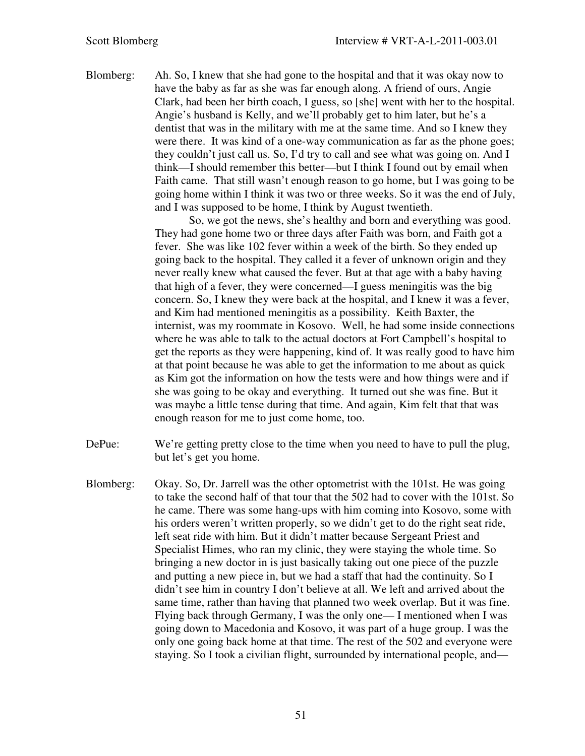Blomberg: Ah. So, I knew that she had gone to the hospital and that it was okay now to have the baby as far as she was far enough along. A friend of ours, Angie Clark, had been her birth coach, I guess, so [she] went with her to the hospital. Angie's husband is Kelly, and we'll probably get to him later, but he's a dentist that was in the military with me at the same time. And so I knew they were there. It was kind of a one-way communication as far as the phone goes; they couldn't just call us. So, I'd try to call and see what was going on. And I think—I should remember this better—but I think I found out by email when Faith came. That still wasn't enough reason to go home, but I was going to be going home within I think it was two or three weeks. So it was the end of July, and I was supposed to be home, I think by August twentieth.

> So, we got the news, she's healthy and born and everything was good. They had gone home two or three days after Faith was born, and Faith got a fever. She was like 102 fever within a week of the birth. So they ended up going back to the hospital. They called it a fever of unknown origin and they never really knew what caused the fever. But at that age with a baby having that high of a fever, they were concerned—I guess meningitis was the big concern. So, I knew they were back at the hospital, and I knew it was a fever, and Kim had mentioned meningitis as a possibility. Keith Baxter, the internist, was my roommate in Kosovo. Well, he had some inside connections where he was able to talk to the actual doctors at Fort Campbell's hospital to get the reports as they were happening, kind of. It was really good to have him at that point because he was able to get the information to me about as quick as Kim got the information on how the tests were and how things were and if she was going to be okay and everything. It turned out she was fine. But it was maybe a little tense during that time. And again, Kim felt that that was enough reason for me to just come home, too.

- DePue: We're getting pretty close to the time when you need to have to pull the plug, but let's get you home.
- Blomberg: Okay. So, Dr. Jarrell was the other optometrist with the 101st. He was going to take the second half of that tour that the 502 had to cover with the 101st. So he came. There was some hang-ups with him coming into Kosovo, some with his orders weren't written properly, so we didn't get to do the right seat ride, left seat ride with him. But it didn't matter because Sergeant Priest and Specialist Himes, who ran my clinic, they were staying the whole time. So bringing a new doctor in is just basically taking out one piece of the puzzle and putting a new piece in, but we had a staff that had the continuity. So I didn't see him in country I don't believe at all. We left and arrived about the same time, rather than having that planned two week overlap. But it was fine. Flying back through Germany, I was the only one— I mentioned when I was going down to Macedonia and Kosovo, it was part of a huge group. I was the only one going back home at that time. The rest of the 502 and everyone were staying. So I took a civilian flight, surrounded by international people, and—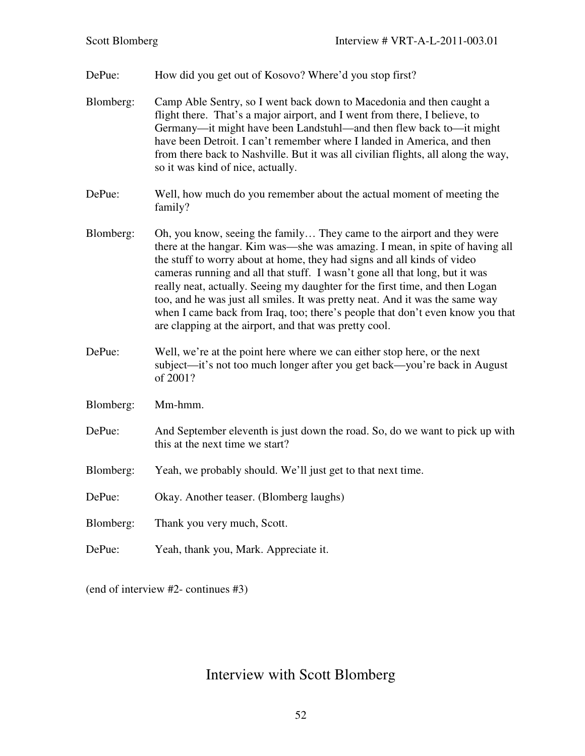DePue: How did you get out of Kosovo? Where'd you stop first? Blomberg: Camp Able Sentry, so I went back down to Macedonia and then caught a flight there. That's a major airport, and I went from there, I believe, to Germany—it might have been Landstuhl—and then flew back to—it might have been Detroit. I can't remember where I landed in America, and then from there back to Nashville. But it was all civilian flights, all along the way, so it was kind of nice, actually. DePue: Well, how much do you remember about the actual moment of meeting the family? Blomberg: Oh, you know, seeing the family… They came to the airport and they were there at the hangar. Kim was—she was amazing. I mean, in spite of having all the stuff to worry about at home, they had signs and all kinds of video cameras running and all that stuff. I wasn't gone all that long, but it was really neat, actually. Seeing my daughter for the first time, and then Logan too, and he was just all smiles. It was pretty neat. And it was the same way when I came back from Iraq, too; there's people that don't even know you that are clapping at the airport, and that was pretty cool. DePue: Well, we're at the point here where we can either stop here, or the next subject—it's not too much longer after you get back—you're back in August of 2001? Blomberg: Mm-hmm. DePue: And September eleventh is just down the road. So, do we want to pick up with this at the next time we start? Blomberg: Yeah, we probably should. We'll just get to that next time. DePue: Okay. Another teaser. (Blomberg laughs) Blomberg: Thank you very much, Scott. DePue: Yeah, thank you, Mark. Appreciate it.

(end of interview #2- continues #3)

# Interview with Scott Blomberg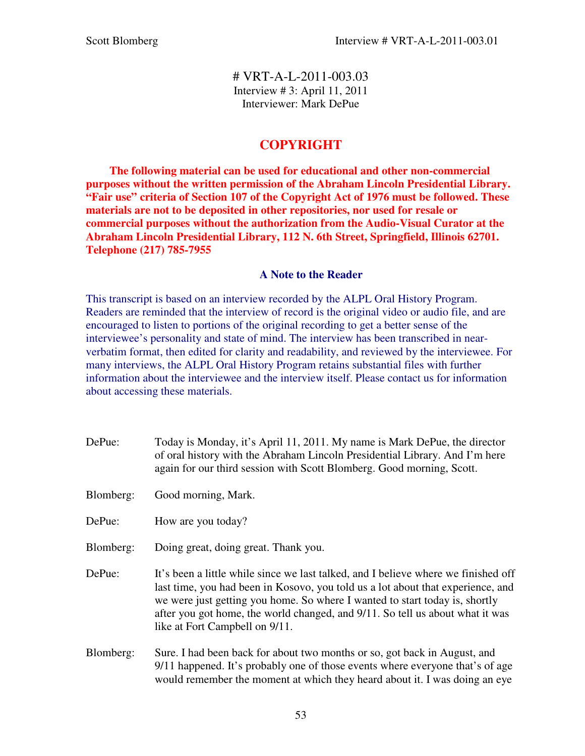# VRT-A-L-2011-003.03 Interview # 3: April 11, 2011 Interviewer: Mark DePue

## **COPYRIGHT**

 **The following material can be used for educational and other non-commercial purposes without the written permission of the Abraham Lincoln Presidential Library. "Fair use" criteria of Section 107 of the Copyright Act of 1976 must be followed. These materials are not to be deposited in other repositories, nor used for resale or commercial purposes without the authorization from the Audio-Visual Curator at the Abraham Lincoln Presidential Library, 112 N. 6th Street, Springfield, Illinois 62701. Telephone (217) 785-7955** 

## **A Note to the Reader**

This transcript is based on an interview recorded by the ALPL Oral History Program. Readers are reminded that the interview of record is the original video or audio file, and are encouraged to listen to portions of the original recording to get a better sense of the interviewee's personality and state of mind. The interview has been transcribed in nearverbatim format, then edited for clarity and readability, and reviewed by the interviewee. For many interviews, the ALPL Oral History Program retains substantial files with further information about the interviewee and the interview itself. Please contact us for information about accessing these materials.

- DePue: Today is Monday, it's April 11, 2011. My name is Mark DePue, the director of oral history with the Abraham Lincoln Presidential Library. And I'm here again for our third session with Scott Blomberg. Good morning, Scott.
- Blomberg: Good morning, Mark.
- DePue: How are you today?
- Blomberg: Doing great, doing great. Thank you.
- DePue: It's been a little while since we last talked, and I believe where we finished off last time, you had been in Kosovo, you told us a lot about that experience, and we were just getting you home. So where I wanted to start today is, shortly after you got home, the world changed, and 9/11. So tell us about what it was like at Fort Campbell on 9/11.
- Blomberg: Sure. I had been back for about two months or so, got back in August, and 9/11 happened. It's probably one of those events where everyone that's of age would remember the moment at which they heard about it. I was doing an eye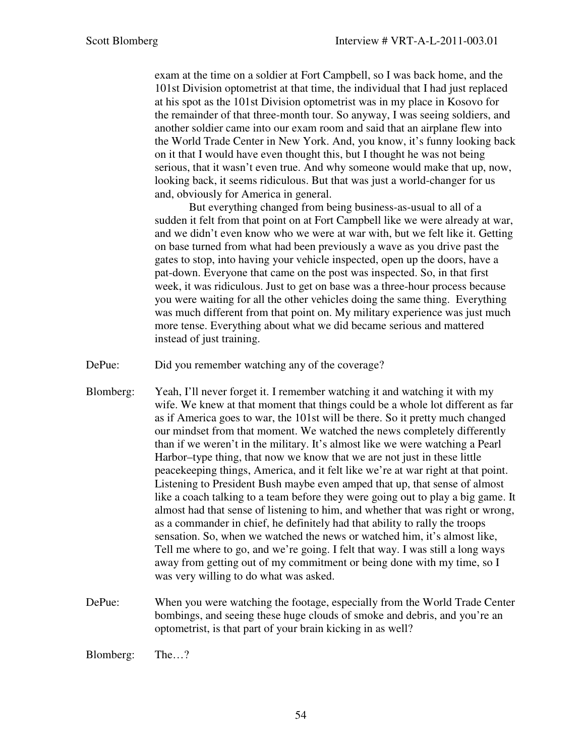exam at the time on a soldier at Fort Campbell, so I was back home, and the 101st Division optometrist at that time, the individual that I had just replaced at his spot as the 101st Division optometrist was in my place in Kosovo for the remainder of that three-month tour. So anyway, I was seeing soldiers, and another soldier came into our exam room and said that an airplane flew into the World Trade Center in New York. And, you know, it's funny looking back on it that I would have even thought this, but I thought he was not being serious, that it wasn't even true. And why someone would make that up, now, looking back, it seems ridiculous. But that was just a world-changer for us and, obviously for America in general.

But everything changed from being business-as-usual to all of a sudden it felt from that point on at Fort Campbell like we were already at war, and we didn't even know who we were at war with, but we felt like it. Getting on base turned from what had been previously a wave as you drive past the gates to stop, into having your vehicle inspected, open up the doors, have a pat-down. Everyone that came on the post was inspected. So, in that first week, it was ridiculous. Just to get on base was a three-hour process because you were waiting for all the other vehicles doing the same thing. Everything was much different from that point on. My military experience was just much more tense. Everything about what we did became serious and mattered instead of just training.

- DePue: Did you remember watching any of the coverage?
- Blomberg: Yeah, I'll never forget it. I remember watching it and watching it with my wife. We knew at that moment that things could be a whole lot different as far as if America goes to war, the 101st will be there. So it pretty much changed our mindset from that moment. We watched the news completely differently than if we weren't in the military. It's almost like we were watching a Pearl Harbor–type thing, that now we know that we are not just in these little peacekeeping things, America, and it felt like we're at war right at that point. Listening to President Bush maybe even amped that up, that sense of almost like a coach talking to a team before they were going out to play a big game. It almost had that sense of listening to him, and whether that was right or wrong, as a commander in chief, he definitely had that ability to rally the troops sensation. So, when we watched the news or watched him, it's almost like, Tell me where to go, and we're going. I felt that way. I was still a long ways away from getting out of my commitment or being done with my time, so I was very willing to do what was asked.
- DePue: When you were watching the footage, especially from the World Trade Center bombings, and seeing these huge clouds of smoke and debris, and you're an optometrist, is that part of your brain kicking in as well?

Blomberg: The…?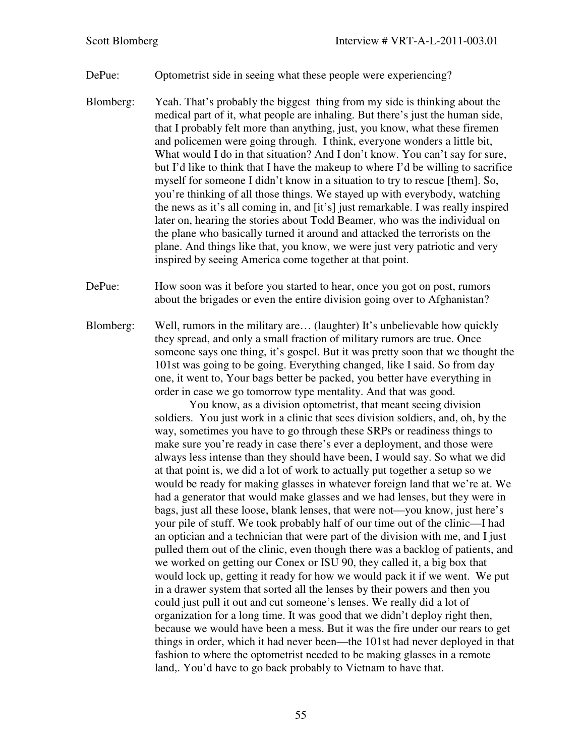DePue: Optometrist side in seeing what these people were experiencing?

- Blomberg: Yeah. That's probably the biggest thing from my side is thinking about the medical part of it, what people are inhaling. But there's just the human side, that I probably felt more than anything, just, you know, what these firemen and policemen were going through. I think, everyone wonders a little bit, What would I do in that situation? And I don't know. You can't say for sure, but I'd like to think that I have the makeup to where I'd be willing to sacrifice myself for someone I didn't know in a situation to try to rescue [them]. So, you're thinking of all those things. We stayed up with everybody, watching the news as it's all coming in, and [it's] just remarkable. I was really inspired later on, hearing the stories about Todd Beamer, who was the individual on the plane who basically turned it around and attacked the terrorists on the plane. And things like that, you know, we were just very patriotic and very inspired by seeing America come together at that point.
- DePue: How soon was it before you started to hear, once you got on post, rumors about the brigades or even the entire division going over to Afghanistan?
- Blomberg: Well, rumors in the military are… (laughter) It's unbelievable how quickly they spread, and only a small fraction of military rumors are true. Once someone says one thing, it's gospel. But it was pretty soon that we thought the 101st was going to be going. Everything changed, like I said. So from day one, it went to, Your bags better be packed, you better have everything in order in case we go tomorrow type mentality. And that was good.

You know, as a division optometrist, that meant seeing division soldiers. You just work in a clinic that sees division soldiers, and, oh, by the way, sometimes you have to go through these SRPs or readiness things to make sure you're ready in case there's ever a deployment, and those were always less intense than they should have been, I would say. So what we did at that point is, we did a lot of work to actually put together a setup so we would be ready for making glasses in whatever foreign land that we're at. We had a generator that would make glasses and we had lenses, but they were in bags, just all these loose, blank lenses, that were not—you know, just here's your pile of stuff. We took probably half of our time out of the clinic—I had an optician and a technician that were part of the division with me, and I just pulled them out of the clinic, even though there was a backlog of patients, and we worked on getting our Conex or ISU 90, they called it, a big box that would lock up, getting it ready for how we would pack it if we went. We put in a drawer system that sorted all the lenses by their powers and then you could just pull it out and cut someone's lenses. We really did a lot of organization for a long time. It was good that we didn't deploy right then, because we would have been a mess. But it was the fire under our rears to get things in order, which it had never been—the 101st had never deployed in that fashion to where the optometrist needed to be making glasses in a remote land,. You'd have to go back probably to Vietnam to have that.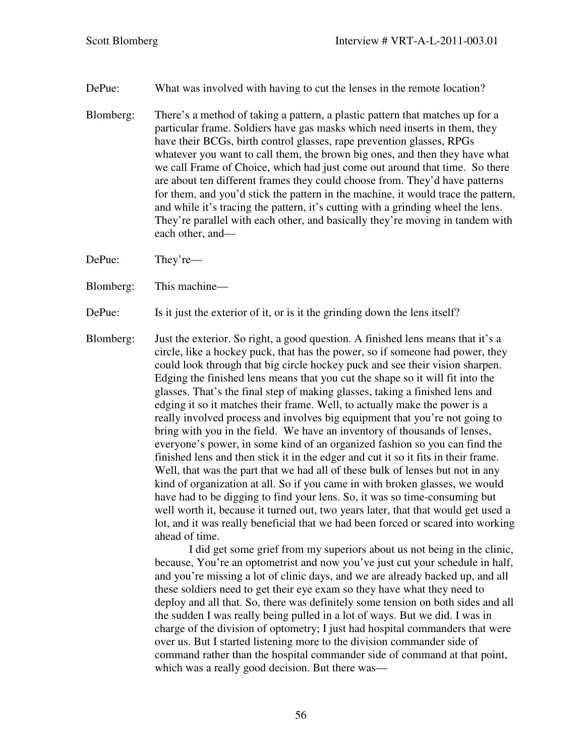DePue: What was involved with having to cut the lenses in the remote location?

Blomberg: There's a method of taking a pattern, a plastic pattern that matches up for a particular frame. Soldiers have gas masks which need inserts in them, they have their BCGs, birth control glasses, rape prevention glasses, RPGs whatever you want to call them, the brown big ones, and then they have what we call Frame of Choice, which had just come out around that time. So there are about ten different frames they could choose from. They'd have patterns for them, and you'd stick the pattern in the machine, it would trace the pattern, and while it's tracing the pattern, it's cutting with a grinding wheel the lens. They're parallel with each other, and basically they're moving in tandem with each other, and—

DePue: They're—

- Blomberg: This machine—
- DePue: Is it just the exterior of it, or is it the grinding down the lens itself?
- Blomberg: Just the exterior. So right, a good question. A finished lens means that it's a circle, like a hockey puck, that has the power, so if someone had power, they could look through that big circle hockey puck and see their vision sharpen. Edging the finished lens means that you cut the shape so it will fit into the glasses. That's the final step of making glasses, taking a finished lens and edging it so it matches their frame. Well, to actually make the power is a really involved process and involves big equipment that you're not going to bring with you in the field. We have an inventory of thousands of lenses, everyone's power, in some kind of an organized fashion so you can find the finished lens and then stick it in the edger and cut it so it fits in their frame. Well, that was the part that we had all of these bulk of lenses but not in any kind of organization at all. So if you came in with broken glasses, we would have had to be digging to find your lens. So, it was so time-consuming but well worth it, because it turned out, two years later, that that would get used a lot, and it was really beneficial that we had been forced or scared into working ahead of time.

I did get some grief from my superiors about us not being in the clinic, because, You're an optometrist and now you've just cut your schedule in half, and you're missing a lot of clinic days, and we are already backed up, and all these soldiers need to get their eye exam so they have what they need to deploy and all that. So, there was definitely some tension on both sides and all the sudden I was really being pulled in a lot of ways. But we did. I was in charge of the division of optometry; I just had hospital commanders that were over us. But I started listening more to the division commander side of command rather than the hospital commander side of command at that point, which was a really good decision. But there was—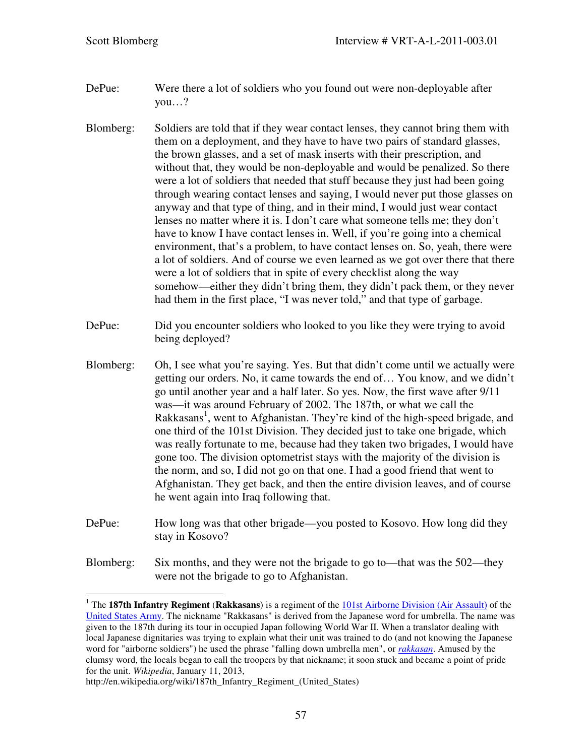$\overline{a}$ 

- DePue: Were there a lot of soldiers who you found out were non-deployable after you…?
- Blomberg: Soldiers are told that if they wear contact lenses, they cannot bring them with them on a deployment, and they have to have two pairs of standard glasses, the brown glasses, and a set of mask inserts with their prescription, and without that, they would be non-deployable and would be penalized. So there were a lot of soldiers that needed that stuff because they just had been going through wearing contact lenses and saying, I would never put those glasses on anyway and that type of thing, and in their mind, I would just wear contact lenses no matter where it is. I don't care what someone tells me; they don't have to know I have contact lenses in. Well, if you're going into a chemical environment, that's a problem, to have contact lenses on. So, yeah, there were a lot of soldiers. And of course we even learned as we got over there that there were a lot of soldiers that in spite of every checklist along the way somehow—either they didn't bring them, they didn't pack them, or they never had them in the first place, "I was never told," and that type of garbage.
- DePue: Did you encounter soldiers who looked to you like they were trying to avoid being deployed?
- Blomberg: Oh, I see what you're saying. Yes. But that didn't come until we actually were getting our orders. No, it came towards the end of… You know, and we didn't go until another year and a half later. So yes. Now, the first wave after 9/11 was—it was around February of 2002. The 187th, or what we call the Rakkasans<sup>1</sup>, went to Afghanistan. They're kind of the high-speed brigade, and one third of the 101st Division. They decided just to take one brigade, which was really fortunate to me, because had they taken two brigades, I would have gone too. The division optometrist stays with the majority of the division is the norm, and so, I did not go on that one. I had a good friend that went to Afghanistan. They get back, and then the entire division leaves, and of course he went again into Iraq following that.
- DePue: How long was that other brigade—you posted to Kosovo. How long did they stay in Kosovo?
- Blomberg: Six months, and they were not the brigade to go to—that was the 502—they were not the brigade to go to Afghanistan.

<sup>&</sup>lt;sup>1</sup> The 187th Infantry Regiment (Rakkasans) is a regiment of the **101st Airborne Division (Air Assault)** of the United States Army. The nickname "Rakkasans" is derived from the Japanese word for umbrella. The name was given to the 187th during its tour in occupied Japan following World War II. When a translator dealing with local Japanese dignitaries was trying to explain what their unit was trained to do (and not knowing the Japanese word for "airborne soldiers") he used the phrase "falling down umbrella men", or *rakkasan*. Amused by the clumsy word, the locals began to call the troopers by that nickname; it soon stuck and became a point of pride for the unit. *Wikipedia*, January 11, 2013,

http://en.wikipedia.org/wiki/187th\_Infantry\_Regiment\_(United\_States)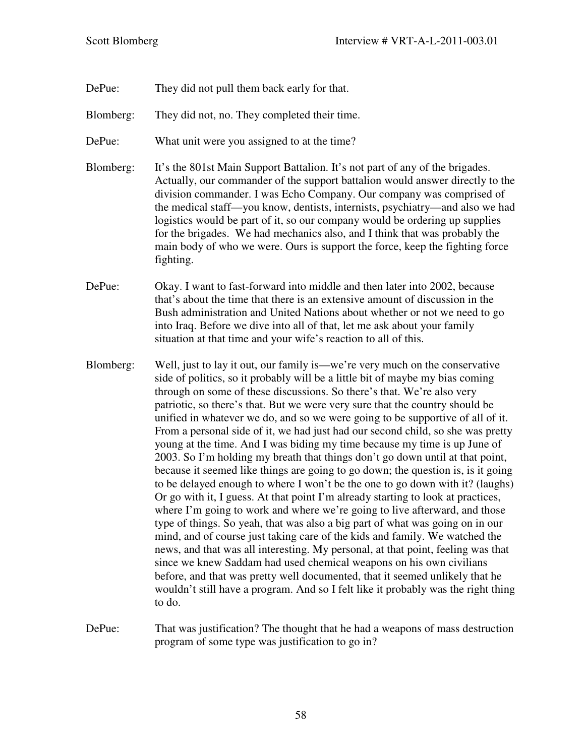- DePue: They did not pull them back early for that.
- Blomberg: They did not, no. They completed their time.
- DePue: What unit were you assigned to at the time?
- Blomberg: It's the 801st Main Support Battalion. It's not part of any of the brigades. Actually, our commander of the support battalion would answer directly to the division commander. I was Echo Company. Our company was comprised of the medical staff—you know, dentists, internists, psychiatry—and also we had logistics would be part of it, so our company would be ordering up supplies for the brigades. We had mechanics also, and I think that was probably the main body of who we were. Ours is support the force, keep the fighting force fighting.
- DePue: Okay. I want to fast-forward into middle and then later into 2002, because that's about the time that there is an extensive amount of discussion in the Bush administration and United Nations about whether or not we need to go into Iraq. Before we dive into all of that, let me ask about your family situation at that time and your wife's reaction to all of this.
- Blomberg: Well, just to lay it out, our family is—we're very much on the conservative side of politics, so it probably will be a little bit of maybe my bias coming through on some of these discussions. So there's that. We're also very patriotic, so there's that. But we were very sure that the country should be unified in whatever we do, and so we were going to be supportive of all of it. From a personal side of it, we had just had our second child, so she was pretty young at the time. And I was biding my time because my time is up June of 2003. So I'm holding my breath that things don't go down until at that point, because it seemed like things are going to go down; the question is, is it going to be delayed enough to where I won't be the one to go down with it? (laughs) Or go with it, I guess. At that point I'm already starting to look at practices, where I'm going to work and where we're going to live afterward, and those type of things. So yeah, that was also a big part of what was going on in our mind, and of course just taking care of the kids and family. We watched the news, and that was all interesting. My personal, at that point, feeling was that since we knew Saddam had used chemical weapons on his own civilians before, and that was pretty well documented, that it seemed unlikely that he wouldn't still have a program. And so I felt like it probably was the right thing to do.
- DePue: That was justification? The thought that he had a weapons of mass destruction program of some type was justification to go in?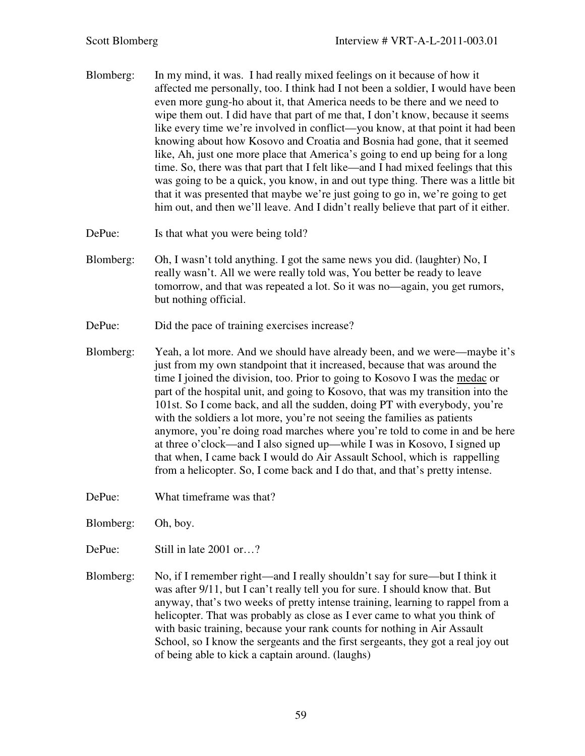- Blomberg: In my mind, it was. I had really mixed feelings on it because of how it affected me personally, too. I think had I not been a soldier, I would have been even more gung-ho about it, that America needs to be there and we need to wipe them out. I did have that part of me that, I don't know, because it seems like every time we're involved in conflict—you know, at that point it had been knowing about how Kosovo and Croatia and Bosnia had gone, that it seemed like, Ah, just one more place that America's going to end up being for a long time. So, there was that part that I felt like—and I had mixed feelings that this was going to be a quick, you know, in and out type thing. There was a little bit that it was presented that maybe we're just going to go in, we're going to get him out, and then we'll leave. And I didn't really believe that part of it either.
- DePue: Is that what you were being told?
- Blomberg: Oh, I wasn't told anything. I got the same news you did. (laughter) No, I really wasn't. All we were really told was, You better be ready to leave tomorrow, and that was repeated a lot. So it was no—again, you get rumors, but nothing official.
- DePue: Did the pace of training exercises increase?
- Blomberg: Yeah, a lot more. And we should have already been, and we were—maybe it's just from my own standpoint that it increased, because that was around the time I joined the division, too. Prior to going to Kosovo I was the medac or part of the hospital unit, and going to Kosovo, that was my transition into the 101st. So I come back, and all the sudden, doing PT with everybody, you're with the soldiers a lot more, you're not seeing the families as patients anymore, you're doing road marches where you're told to come in and be here at three o'clock—and I also signed up—while I was in Kosovo, I signed up that when, I came back I would do Air Assault School, which is rappelling from a helicopter. So, I come back and I do that, and that's pretty intense.
- DePue: What timeframe was that?
- Blomberg: Oh, boy.
- DePue: Still in late 2001 or…?
- Blomberg: No, if I remember right—and I really shouldn't say for sure—but I think it was after 9/11, but I can't really tell you for sure. I should know that. But anyway, that's two weeks of pretty intense training, learning to rappel from a helicopter. That was probably as close as I ever came to what you think of with basic training, because your rank counts for nothing in Air Assault School, so I know the sergeants and the first sergeants, they got a real joy out of being able to kick a captain around. (laughs)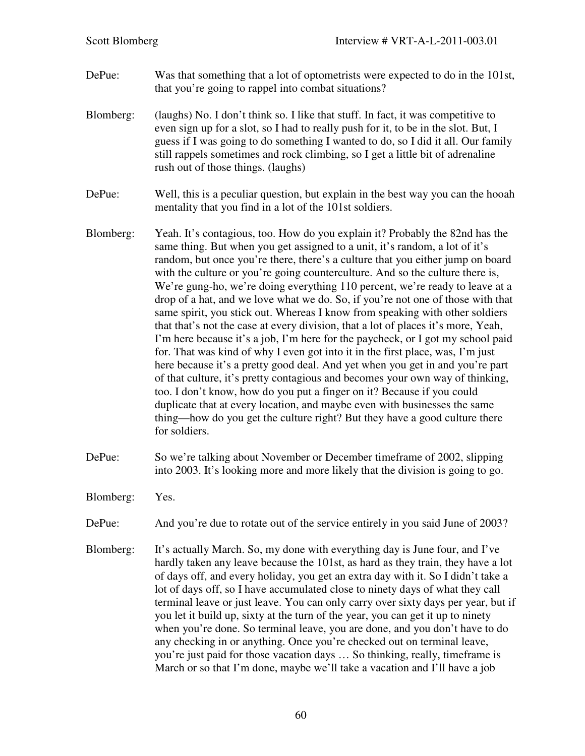- DePue: Was that something that a lot of optometrists were expected to do in the 101st, that you're going to rappel into combat situations?
- Blomberg: (laughs) No. I don't think so. I like that stuff. In fact, it was competitive to even sign up for a slot, so I had to really push for it, to be in the slot. But, I guess if I was going to do something I wanted to do, so I did it all. Our family still rappels sometimes and rock climbing, so I get a little bit of adrenaline rush out of those things. (laughs)
- DePue: Well, this is a peculiar question, but explain in the best way you can the hooah mentality that you find in a lot of the 101st soldiers.
- Blomberg: Yeah. It's contagious, too. How do you explain it? Probably the 82nd has the same thing. But when you get assigned to a unit, it's random, a lot of it's random, but once you're there, there's a culture that you either jump on board with the culture or you're going counterculture. And so the culture there is, We're gung-ho, we're doing everything 110 percent, we're ready to leave at a drop of a hat, and we love what we do. So, if you're not one of those with that same spirit, you stick out. Whereas I know from speaking with other soldiers that that's not the case at every division, that a lot of places it's more, Yeah, I'm here because it's a job, I'm here for the paycheck, or I got my school paid for. That was kind of why I even got into it in the first place, was, I'm just here because it's a pretty good deal. And yet when you get in and you're part of that culture, it's pretty contagious and becomes your own way of thinking, too. I don't know, how do you put a finger on it? Because if you could duplicate that at every location, and maybe even with businesses the same thing—how do you get the culture right? But they have a good culture there for soldiers.
- DePue: So we're talking about November or December timeframe of 2002, slipping into 2003. It's looking more and more likely that the division is going to go.
- Blomberg: Yes.
- DePue: And you're due to rotate out of the service entirely in you said June of 2003?
- Blomberg: It's actually March. So, my done with everything day is June four, and I've hardly taken any leave because the 101st, as hard as they train, they have a lot of days off, and every holiday, you get an extra day with it. So I didn't take a lot of days off, so I have accumulated close to ninety days of what they call terminal leave or just leave. You can only carry over sixty days per year, but if you let it build up, sixty at the turn of the year, you can get it up to ninety when you're done. So terminal leave, you are done, and you don't have to do any checking in or anything. Once you're checked out on terminal leave, you're just paid for those vacation days … So thinking, really, timeframe is March or so that I'm done, maybe we'll take a vacation and I'll have a job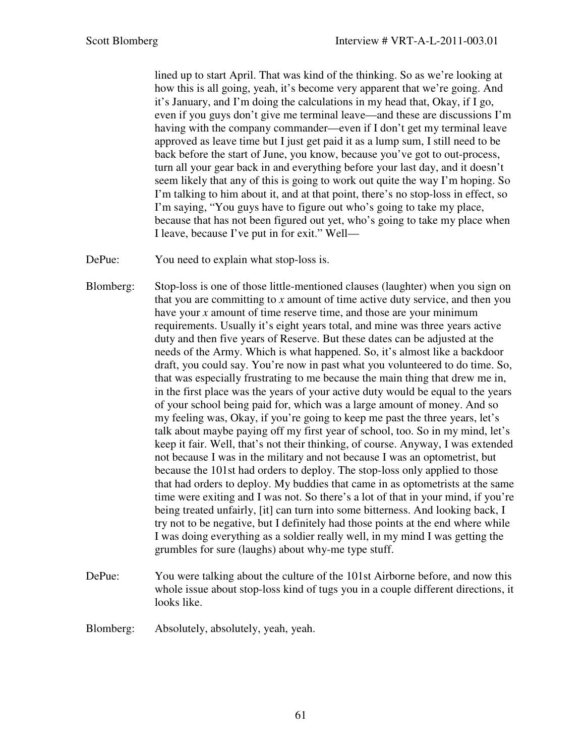lined up to start April. That was kind of the thinking. So as we're looking at how this is all going, yeah, it's become very apparent that we're going. And it's January, and I'm doing the calculations in my head that, Okay, if I go, even if you guys don't give me terminal leave—and these are discussions I'm having with the company commander—even if I don't get my terminal leave approved as leave time but I just get paid it as a lump sum, I still need to be back before the start of June, you know, because you've got to out-process, turn all your gear back in and everything before your last day, and it doesn't seem likely that any of this is going to work out quite the way I'm hoping. So I'm talking to him about it, and at that point, there's no stop-loss in effect, so I'm saying, "You guys have to figure out who's going to take my place, because that has not been figured out yet, who's going to take my place when I leave, because I've put in for exit." Well—

- DePue: You need to explain what stop-loss is.
- Blomberg: Stop-loss is one of those little-mentioned clauses (laughter) when you sign on that you are committing to *x* amount of time active duty service, and then you have your *x* amount of time reserve time, and those are your minimum requirements. Usually it's eight years total, and mine was three years active duty and then five years of Reserve. But these dates can be adjusted at the needs of the Army. Which is what happened. So, it's almost like a backdoor draft, you could say. You're now in past what you volunteered to do time. So, that was especially frustrating to me because the main thing that drew me in, in the first place was the years of your active duty would be equal to the years of your school being paid for, which was a large amount of money. And so my feeling was, Okay, if you're going to keep me past the three years, let's talk about maybe paying off my first year of school, too. So in my mind, let's keep it fair. Well, that's not their thinking, of course. Anyway, I was extended not because I was in the military and not because I was an optometrist, but because the 101st had orders to deploy. The stop-loss only applied to those that had orders to deploy. My buddies that came in as optometrists at the same time were exiting and I was not. So there's a lot of that in your mind, if you're being treated unfairly, [it] can turn into some bitterness. And looking back, I try not to be negative, but I definitely had those points at the end where while I was doing everything as a soldier really well, in my mind I was getting the grumbles for sure (laughs) about why-me type stuff.
- DePue: You were talking about the culture of the 101st Airborne before, and now this whole issue about stop-loss kind of tugs you in a couple different directions, it looks like.
- Blomberg: Absolutely, absolutely, yeah, yeah.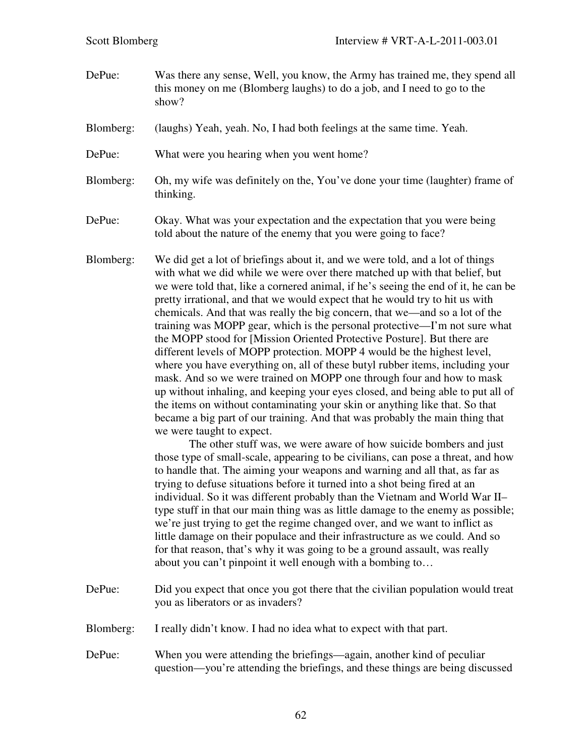- DePue: Was there any sense, Well, you know, the Army has trained me, they spend all this money on me (Blomberg laughs) to do a job, and I need to go to the show?
- Blomberg: (laughs) Yeah, yeah. No, I had both feelings at the same time. Yeah.
- DePue: What were you hearing when you went home?
- Blomberg: Oh, my wife was definitely on the, You've done your time (laughter) frame of thinking.
- DePue: Okay. What was your expectation and the expectation that you were being told about the nature of the enemy that you were going to face?
- Blomberg: We did get a lot of briefings about it, and we were told, and a lot of things with what we did while we were over there matched up with that belief, but we were told that, like a cornered animal, if he's seeing the end of it, he can be pretty irrational, and that we would expect that he would try to hit us with chemicals. And that was really the big concern, that we—and so a lot of the training was MOPP gear, which is the personal protective—I'm not sure what the MOPP stood for [Mission Oriented Protective Posture]. But there are different levels of MOPP protection. MOPP 4 would be the highest level, where you have everything on, all of these butyl rubber items, including your mask. And so we were trained on MOPP one through four and how to mask up without inhaling, and keeping your eyes closed, and being able to put all of the items on without contaminating your skin or anything like that. So that became a big part of our training. And that was probably the main thing that we were taught to expect.

The other stuff was, we were aware of how suicide bombers and just those type of small-scale, appearing to be civilians, can pose a threat, and how to handle that. The aiming your weapons and warning and all that, as far as trying to defuse situations before it turned into a shot being fired at an individual. So it was different probably than the Vietnam and World War II– type stuff in that our main thing was as little damage to the enemy as possible; we're just trying to get the regime changed over, and we want to inflict as little damage on their populace and their infrastructure as we could. And so for that reason, that's why it was going to be a ground assault, was really about you can't pinpoint it well enough with a bombing to…

- DePue: Did you expect that once you got there that the civilian population would treat you as liberators or as invaders?
- Blomberg: I really didn't know. I had no idea what to expect with that part.
- DePue: When you were attending the briefings—again, another kind of peculiar question—you're attending the briefings, and these things are being discussed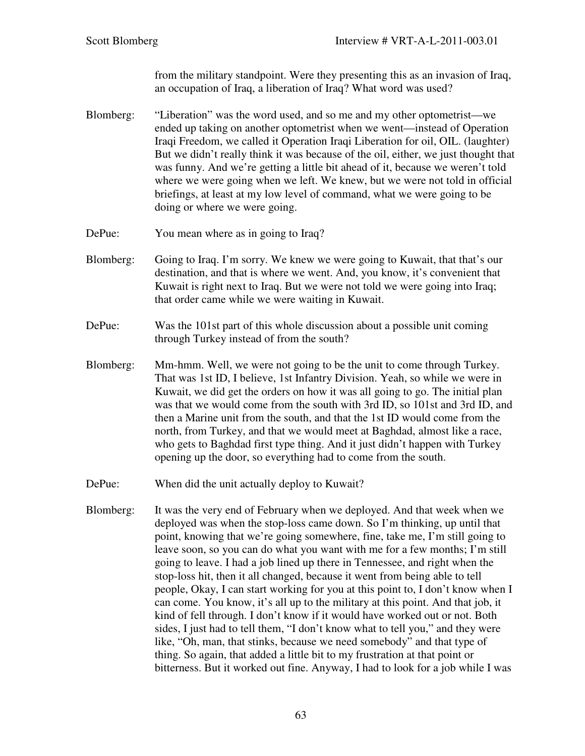from the military standpoint. Were they presenting this as an invasion of Iraq, an occupation of Iraq, a liberation of Iraq? What word was used?

- Blomberg: "Liberation" was the word used, and so me and my other optometrist—we ended up taking on another optometrist when we went—instead of Operation Iraqi Freedom, we called it Operation Iraqi Liberation for oil, OIL. (laughter) But we didn't really think it was because of the oil, either, we just thought that was funny. And we're getting a little bit ahead of it, because we weren't told where we were going when we left. We knew, but we were not told in official briefings, at least at my low level of command, what we were going to be doing or where we were going.
- DePue: You mean where as in going to Iraq?
- Blomberg: Going to Iraq. I'm sorry. We knew we were going to Kuwait, that that's our destination, and that is where we went. And, you know, it's convenient that Kuwait is right next to Iraq. But we were not told we were going into Iraq; that order came while we were waiting in Kuwait.
- DePue: Was the 101st part of this whole discussion about a possible unit coming through Turkey instead of from the south?
- Blomberg: Mm-hmm. Well, we were not going to be the unit to come through Turkey. That was 1st ID, I believe, 1st Infantry Division. Yeah, so while we were in Kuwait, we did get the orders on how it was all going to go. The initial plan was that we would come from the south with 3rd ID, so 101st and 3rd ID, and then a Marine unit from the south, and that the 1st ID would come from the north, from Turkey, and that we would meet at Baghdad, almost like a race, who gets to Baghdad first type thing. And it just didn't happen with Turkey opening up the door, so everything had to come from the south.
- DePue: When did the unit actually deploy to Kuwait?
- Blomberg: It was the very end of February when we deployed. And that week when we deployed was when the stop-loss came down. So I'm thinking, up until that point, knowing that we're going somewhere, fine, take me, I'm still going to leave soon, so you can do what you want with me for a few months; I'm still going to leave. I had a job lined up there in Tennessee, and right when the stop-loss hit, then it all changed, because it went from being able to tell people, Okay, I can start working for you at this point to, I don't know when I can come. You know, it's all up to the military at this point. And that job, it kind of fell through. I don't know if it would have worked out or not. Both sides, I just had to tell them, "I don't know what to tell you," and they were like, "Oh, man, that stinks, because we need somebody" and that type of thing. So again, that added a little bit to my frustration at that point or bitterness. But it worked out fine. Anyway, I had to look for a job while I was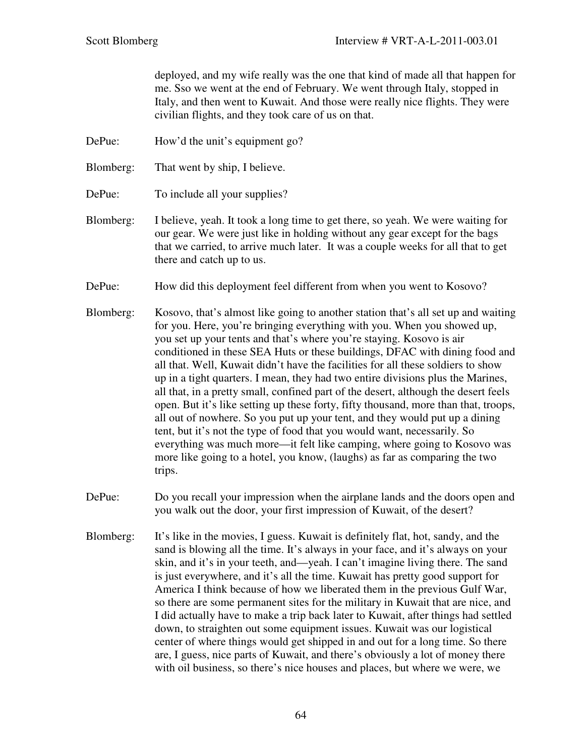deployed, and my wife really was the one that kind of made all that happen for me. Sso we went at the end of February. We went through Italy, stopped in Italy, and then went to Kuwait. And those were really nice flights. They were civilian flights, and they took care of us on that.

- DePue: How'd the unit's equipment go?
- Blomberg: That went by ship, I believe.
- DePue: To include all your supplies?
- Blomberg: I believe, yeah. It took a long time to get there, so yeah. We were waiting for our gear. We were just like in holding without any gear except for the bags that we carried, to arrive much later. It was a couple weeks for all that to get there and catch up to us.
- DePue: How did this deployment feel different from when you went to Kosovo?
- Blomberg: Kosovo, that's almost like going to another station that's all set up and waiting for you. Here, you're bringing everything with you. When you showed up, you set up your tents and that's where you're staying. Kosovo is air conditioned in these SEA Huts or these buildings, DFAC with dining food and all that. Well, Kuwait didn't have the facilities for all these soldiers to show up in a tight quarters. I mean, they had two entire divisions plus the Marines, all that, in a pretty small, confined part of the desert, although the desert feels open. But it's like setting up these forty, fifty thousand, more than that, troops, all out of nowhere. So you put up your tent, and they would put up a dining tent, but it's not the type of food that you would want, necessarily. So everything was much more—it felt like camping, where going to Kosovo was more like going to a hotel, you know, (laughs) as far as comparing the two trips.
- DePue: Do you recall your impression when the airplane lands and the doors open and you walk out the door, your first impression of Kuwait, of the desert?
- Blomberg: It's like in the movies, I guess. Kuwait is definitely flat, hot, sandy, and the sand is blowing all the time. It's always in your face, and it's always on your skin, and it's in your teeth, and—yeah. I can't imagine living there. The sand is just everywhere, and it's all the time. Kuwait has pretty good support for America I think because of how we liberated them in the previous Gulf War, so there are some permanent sites for the military in Kuwait that are nice, and I did actually have to make a trip back later to Kuwait, after things had settled down, to straighten out some equipment issues. Kuwait was our logistical center of where things would get shipped in and out for a long time. So there are, I guess, nice parts of Kuwait, and there's obviously a lot of money there with oil business, so there's nice houses and places, but where we were, we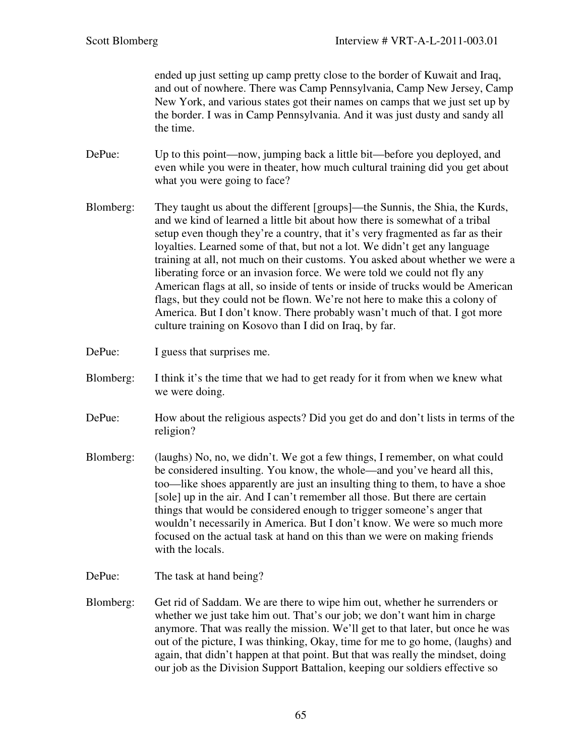ended up just setting up camp pretty close to the border of Kuwait and Iraq, and out of nowhere. There was Camp Pennsylvania, Camp New Jersey, Camp New York, and various states got their names on camps that we just set up by the border. I was in Camp Pennsylvania. And it was just dusty and sandy all the time.

- DePue: Up to this point—now, jumping back a little bit—before you deployed, and even while you were in theater, how much cultural training did you get about what you were going to face?
- Blomberg: They taught us about the different [groups]—the Sunnis, the Shia, the Kurds, and we kind of learned a little bit about how there is somewhat of a tribal setup even though they're a country, that it's very fragmented as far as their loyalties. Learned some of that, but not a lot. We didn't get any language training at all, not much on their customs. You asked about whether we were a liberating force or an invasion force. We were told we could not fly any American flags at all, so inside of tents or inside of trucks would be American flags, but they could not be flown. We're not here to make this a colony of America. But I don't know. There probably wasn't much of that. I got more culture training on Kosovo than I did on Iraq, by far.
- DePue: I guess that surprises me.
- Blomberg: I think it's the time that we had to get ready for it from when we knew what we were doing.
- DePue: How about the religious aspects? Did you get do and don't lists in terms of the religion?
- Blomberg: (laughs) No, no, we didn't. We got a few things, I remember, on what could be considered insulting. You know, the whole—and you've heard all this, too—like shoes apparently are just an insulting thing to them, to have a shoe [sole] up in the air. And I can't remember all those. But there are certain things that would be considered enough to trigger someone's anger that wouldn't necessarily in America. But I don't know. We were so much more focused on the actual task at hand on this than we were on making friends with the locals.
- DePue: The task at hand being?
- Blomberg: Get rid of Saddam. We are there to wipe him out, whether he surrenders or whether we just take him out. That's our job; we don't want him in charge anymore. That was really the mission. We'll get to that later, but once he was out of the picture, I was thinking, Okay, time for me to go home, (laughs) and again, that didn't happen at that point. But that was really the mindset, doing our job as the Division Support Battalion, keeping our soldiers effective so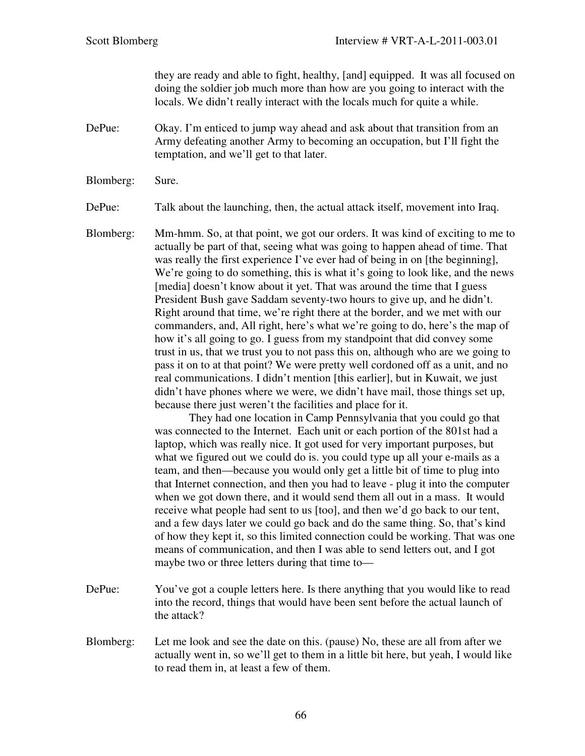they are ready and able to fight, healthy, [and] equipped. It was all focused on doing the soldier job much more than how are you going to interact with the locals. We didn't really interact with the locals much for quite a while.

- DePue: Okay. I'm enticed to jump way ahead and ask about that transition from an Army defeating another Army to becoming an occupation, but I'll fight the temptation, and we'll get to that later.
- Blomberg: Sure.

DePue: Talk about the launching, then, the actual attack itself, movement into Iraq.

Blomberg: Mm-hmm. So, at that point, we got our orders. It was kind of exciting to me to actually be part of that, seeing what was going to happen ahead of time. That was really the first experience I've ever had of being in on [the beginning], We're going to do something, this is what it's going to look like, and the news [media] doesn't know about it yet. That was around the time that I guess President Bush gave Saddam seventy-two hours to give up, and he didn't. Right around that time, we're right there at the border, and we met with our commanders, and, All right, here's what we're going to do, here's the map of how it's all going to go. I guess from my standpoint that did convey some trust in us, that we trust you to not pass this on, although who are we going to pass it on to at that point? We were pretty well cordoned off as a unit, and no real communications. I didn't mention [this earlier], but in Kuwait, we just didn't have phones where we were, we didn't have mail, those things set up, because there just weren't the facilities and place for it.

They had one location in Camp Pennsylvania that you could go that was connected to the Internet. Each unit or each portion of the 801st had a laptop, which was really nice. It got used for very important purposes, but what we figured out we could do is. you could type up all your e-mails as a team, and then—because you would only get a little bit of time to plug into that Internet connection, and then you had to leave - plug it into the computer when we got down there, and it would send them all out in a mass. It would receive what people had sent to us [too], and then we'd go back to our tent, and a few days later we could go back and do the same thing. So, that's kind of how they kept it, so this limited connection could be working. That was one means of communication, and then I was able to send letters out, and I got maybe two or three letters during that time to—

- DePue: You've got a couple letters here. Is there anything that you would like to read into the record, things that would have been sent before the actual launch of the attack?
- Blomberg: Let me look and see the date on this. (pause) No, these are all from after we actually went in, so we'll get to them in a little bit here, but yeah, I would like to read them in, at least a few of them.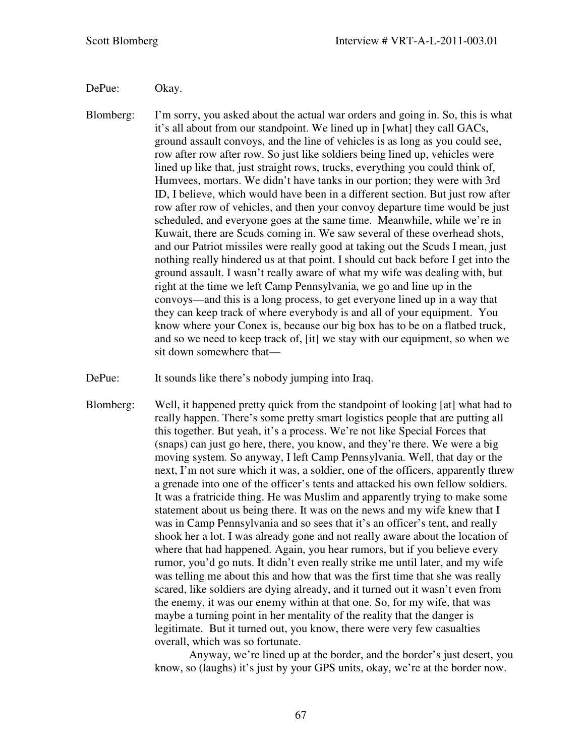### DePue: Okay.

Blomberg: I'm sorry, you asked about the actual war orders and going in. So, this is what it's all about from our standpoint. We lined up in [what] they call GACs, ground assault convoys, and the line of vehicles is as long as you could see, row after row after row. So just like soldiers being lined up, vehicles were lined up like that, just straight rows, trucks, everything you could think of, Humvees, mortars. We didn't have tanks in our portion; they were with 3rd ID, I believe, which would have been in a different section. But just row after row after row of vehicles, and then your convoy departure time would be just scheduled, and everyone goes at the same time. Meanwhile, while we're in Kuwait, there are Scuds coming in. We saw several of these overhead shots, and our Patriot missiles were really good at taking out the Scuds I mean, just nothing really hindered us at that point. I should cut back before I get into the ground assault. I wasn't really aware of what my wife was dealing with, but right at the time we left Camp Pennsylvania, we go and line up in the convoys—and this is a long process, to get everyone lined up in a way that they can keep track of where everybody is and all of your equipment. You know where your Conex is, because our big box has to be on a flatbed truck, and so we need to keep track of, [it] we stay with our equipment, so when we sit down somewhere that—

DePue: It sounds like there's nobody jumping into Iraq.

Blomberg: Well, it happened pretty quick from the standpoint of looking [at] what had to really happen. There's some pretty smart logistics people that are putting all this together. But yeah, it's a process. We're not like Special Forces that (snaps) can just go here, there, you know, and they're there. We were a big moving system. So anyway, I left Camp Pennsylvania. Well, that day or the next, I'm not sure which it was, a soldier, one of the officers, apparently threw a grenade into one of the officer's tents and attacked his own fellow soldiers. It was a fratricide thing. He was Muslim and apparently trying to make some statement about us being there. It was on the news and my wife knew that I was in Camp Pennsylvania and so sees that it's an officer's tent, and really shook her a lot. I was already gone and not really aware about the location of where that had happened. Again, you hear rumors, but if you believe every rumor, you'd go nuts. It didn't even really strike me until later, and my wife was telling me about this and how that was the first time that she was really scared, like soldiers are dying already, and it turned out it wasn't even from the enemy, it was our enemy within at that one. So, for my wife, that was maybe a turning point in her mentality of the reality that the danger is legitimate. But it turned out, you know, there were very few casualties overall, which was so fortunate.

> Anyway, we're lined up at the border, and the border's just desert, you know, so (laughs) it's just by your GPS units, okay, we're at the border now.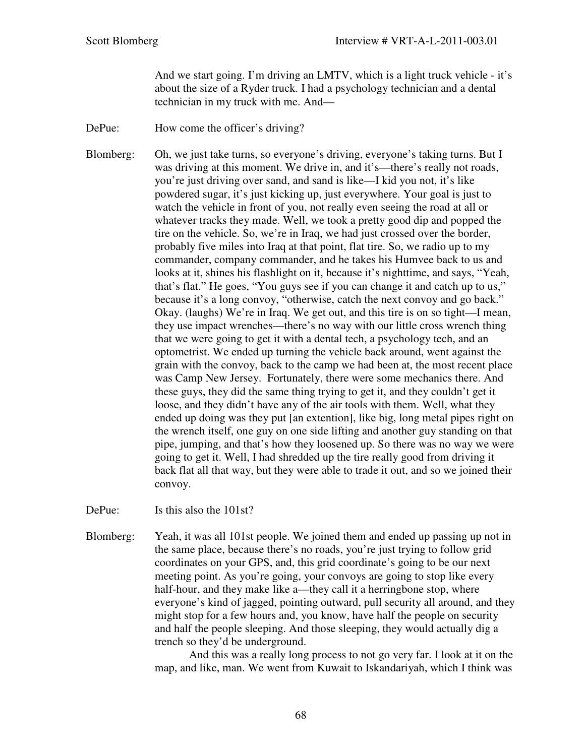And we start going. I'm driving an LMTV, which is a light truck vehicle - it's about the size of a Ryder truck. I had a psychology technician and a dental technician in my truck with me. And—

DePue: How come the officer's driving?

Blomberg: Oh, we just take turns, so everyone's driving, everyone's taking turns. But I was driving at this moment. We drive in, and it's—there's really not roads, you're just driving over sand, and sand is like—I kid you not, it's like powdered sugar, it's just kicking up, just everywhere. Your goal is just to watch the vehicle in front of you, not really even seeing the road at all or whatever tracks they made. Well, we took a pretty good dip and popped the tire on the vehicle. So, we're in Iraq, we had just crossed over the border, probably five miles into Iraq at that point, flat tire. So, we radio up to my commander, company commander, and he takes his Humvee back to us and looks at it, shines his flashlight on it, because it's nighttime, and says, "Yeah, that's flat." He goes, "You guys see if you can change it and catch up to us," because it's a long convoy, "otherwise, catch the next convoy and go back." Okay. (laughs) We're in Iraq. We get out, and this tire is on so tight—I mean, they use impact wrenches—there's no way with our little cross wrench thing that we were going to get it with a dental tech, a psychology tech, and an optometrist. We ended up turning the vehicle back around, went against the grain with the convoy, back to the camp we had been at, the most recent place was Camp New Jersey. Fortunately, there were some mechanics there. And these guys, they did the same thing trying to get it, and they couldn't get it loose, and they didn't have any of the air tools with them. Well, what they ended up doing was they put [an extention], like big, long metal pipes right on the wrench itself, one guy on one side lifting and another guy standing on that pipe, jumping, and that's how they loosened up. So there was no way we were going to get it. Well, I had shredded up the tire really good from driving it back flat all that way, but they were able to trade it out, and so we joined their convoy.

DePue: Is this also the 101st?

Blomberg: Yeah, it was all 101st people. We joined them and ended up passing up not in the same place, because there's no roads, you're just trying to follow grid coordinates on your GPS, and, this grid coordinate's going to be our next meeting point. As you're going, your convoys are going to stop like every half-hour, and they make like a—they call it a herringbone stop, where everyone's kind of jagged, pointing outward, pull security all around, and they might stop for a few hours and, you know, have half the people on security and half the people sleeping. And those sleeping, they would actually dig a trench so they'd be underground.

> And this was a really long process to not go very far. I look at it on the map, and like, man. We went from Kuwait to Iskandariyah, which I think was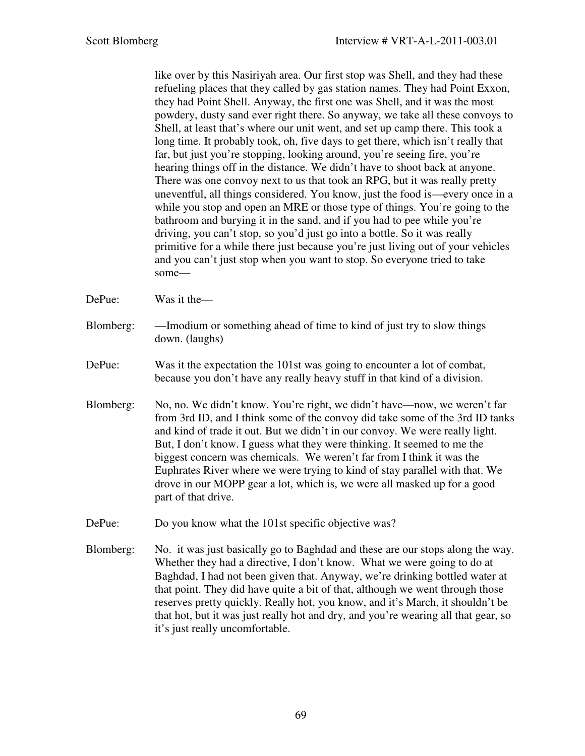like over by this Nasiriyah area. Our first stop was Shell, and they had these refueling places that they called by gas station names. They had Point Exxon, they had Point Shell. Anyway, the first one was Shell, and it was the most powdery, dusty sand ever right there. So anyway, we take all these convoys to Shell, at least that's where our unit went, and set up camp there. This took a long time. It probably took, oh, five days to get there, which isn't really that far, but just you're stopping, looking around, you're seeing fire, you're hearing things off in the distance. We didn't have to shoot back at anyone. There was one convoy next to us that took an RPG, but it was really pretty uneventful, all things considered. You know, just the food is—every once in a while you stop and open an MRE or those type of things. You're going to the bathroom and burying it in the sand, and if you had to pee while you're driving, you can't stop, so you'd just go into a bottle. So it was really primitive for a while there just because you're just living out of your vehicles and you can't just stop when you want to stop. So everyone tried to take some—

- DePue: Was it the—
- Blomberg: —Imodium or something ahead of time to kind of just try to slow things down. (laughs)
- DePue: Was it the expectation the 101st was going to encounter a lot of combat, because you don't have any really heavy stuff in that kind of a division.
- Blomberg: No, no. We didn't know. You're right, we didn't have—now, we weren't far from 3rd ID, and I think some of the convoy did take some of the 3rd ID tanks and kind of trade it out. But we didn't in our convoy. We were really light. But, I don't know. I guess what they were thinking. It seemed to me the biggest concern was chemicals. We weren't far from I think it was the Euphrates River where we were trying to kind of stay parallel with that. We drove in our MOPP gear a lot, which is, we were all masked up for a good part of that drive.
- DePue: Do you know what the 101st specific objective was?
- Blomberg: No. it was just basically go to Baghdad and these are our stops along the way. Whether they had a directive, I don't know. What we were going to do at Baghdad, I had not been given that. Anyway, we're drinking bottled water at that point. They did have quite a bit of that, although we went through those reserves pretty quickly. Really hot, you know, and it's March, it shouldn't be that hot, but it was just really hot and dry, and you're wearing all that gear, so it's just really uncomfortable.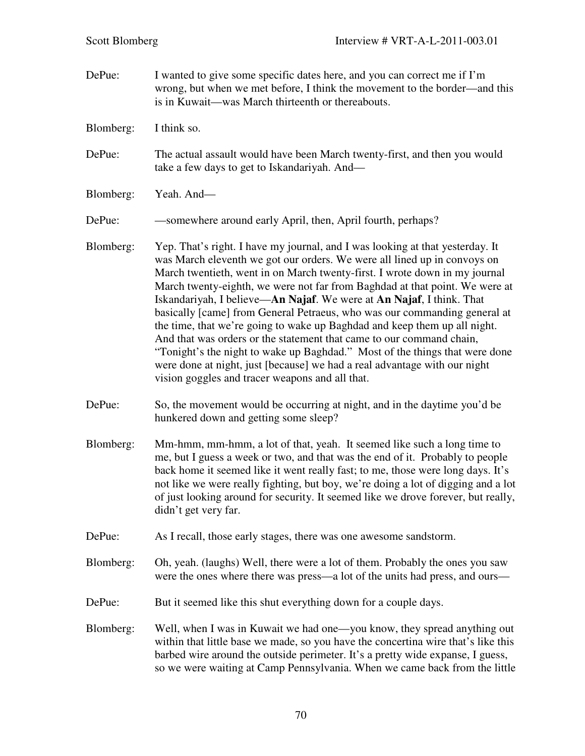DePue: I wanted to give some specific dates here, and you can correct me if I'm wrong, but when we met before, I think the movement to the border—and this is in Kuwait—was March thirteenth or thereabouts. Blomberg: I think so. DePue: The actual assault would have been March twenty-first, and then you would take a few days to get to Iskandariyah. And— Blomberg: Yeah. And— DePue: —somewhere around early April, then, April fourth, perhaps? Blomberg: Yep. That's right. I have my journal, and I was looking at that yesterday. It was March eleventh we got our orders. We were all lined up in convoys on March twentieth, went in on March twenty-first. I wrote down in my journal March twenty-eighth, we were not far from Baghdad at that point. We were at Iskandariyah, I believe—**An Najaf**. We were at **An Najaf**, I think. That basically [came] from General Petraeus, who was our commanding general at the time, that we're going to wake up Baghdad and keep them up all night. And that was orders or the statement that came to our command chain, "Tonight's the night to wake up Baghdad." Most of the things that were done were done at night, just [because] we had a real advantage with our night vision goggles and tracer weapons and all that. DePue: So, the movement would be occurring at night, and in the daytime you'd be hunkered down and getting some sleep? Blomberg: Mm-hmm, mm-hmm, a lot of that, yeah. It seemed like such a long time to me, but I guess a week or two, and that was the end of it. Probably to people back home it seemed like it went really fast; to me, those were long days. It's not like we were really fighting, but boy, we're doing a lot of digging and a lot of just looking around for security. It seemed like we drove forever, but really, didn't get very far. DePue: As I recall, those early stages, there was one awesome sandstorm. Blomberg: Oh, yeah. (laughs) Well, there were a lot of them. Probably the ones you saw were the ones where there was press—a lot of the units had press, and ours— DePue: But it seemed like this shut everything down for a couple days. Blomberg: Well, when I was in Kuwait we had one—you know, they spread anything out within that little base we made, so you have the concertina wire that's like this barbed wire around the outside perimeter. It's a pretty wide expanse, I guess, so we were waiting at Camp Pennsylvania. When we came back from the little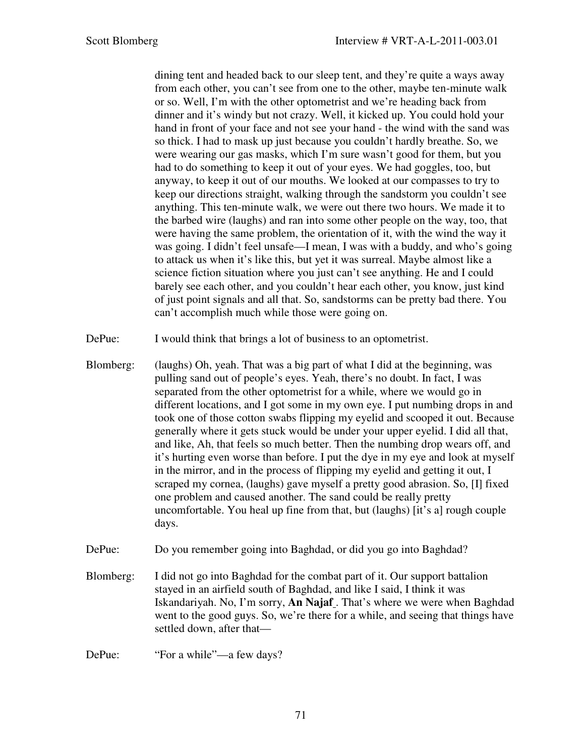dining tent and headed back to our sleep tent, and they're quite a ways away from each other, you can't see from one to the other, maybe ten-minute walk or so. Well, I'm with the other optometrist and we're heading back from dinner and it's windy but not crazy. Well, it kicked up. You could hold your hand in front of your face and not see your hand - the wind with the sand was so thick. I had to mask up just because you couldn't hardly breathe. So, we were wearing our gas masks, which I'm sure wasn't good for them, but you had to do something to keep it out of your eyes. We had goggles, too, but anyway, to keep it out of our mouths. We looked at our compasses to try to keep our directions straight, walking through the sandstorm you couldn't see anything. This ten-minute walk, we were out there two hours. We made it to the barbed wire (laughs) and ran into some other people on the way, too, that were having the same problem, the orientation of it, with the wind the way it was going. I didn't feel unsafe—I mean, I was with a buddy, and who's going to attack us when it's like this, but yet it was surreal. Maybe almost like a science fiction situation where you just can't see anything. He and I could barely see each other, and you couldn't hear each other, you know, just kind of just point signals and all that. So, sandstorms can be pretty bad there. You can't accomplish much while those were going on.

DePue: I would think that brings a lot of business to an optometrist.

Blomberg: (laughs) Oh, yeah. That was a big part of what I did at the beginning, was pulling sand out of people's eyes. Yeah, there's no doubt. In fact, I was separated from the other optometrist for a while, where we would go in different locations, and I got some in my own eye. I put numbing drops in and took one of those cotton swabs flipping my eyelid and scooped it out. Because generally where it gets stuck would be under your upper eyelid. I did all that, and like, Ah, that feels so much better. Then the numbing drop wears off, and it's hurting even worse than before. I put the dye in my eye and look at myself in the mirror, and in the process of flipping my eyelid and getting it out, I scraped my cornea, (laughs) gave myself a pretty good abrasion. So, [I] fixed one problem and caused another. The sand could be really pretty uncomfortable. You heal up fine from that, but (laughs) [it's a] rough couple days.

DePue: Do you remember going into Baghdad, or did you go into Baghdad?

Blomberg: I did not go into Baghdad for the combat part of it. Our support battalion stayed in an airfield south of Baghdad, and like I said, I think it was Iskandariyah. No, I'm sorry, **An Najaf** . That's where we were when Baghdad went to the good guys. So, we're there for a while, and seeing that things have settled down, after that—

DePue: "For a while"—a few days?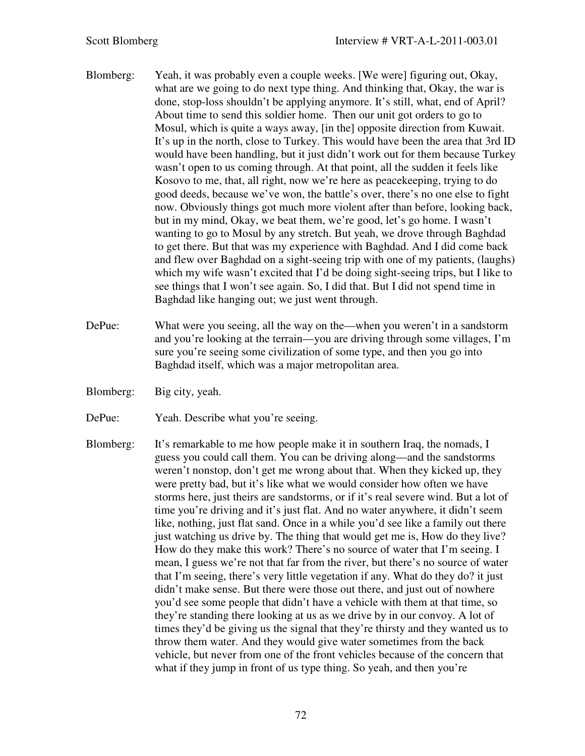- Blomberg: Yeah, it was probably even a couple weeks. [We were] figuring out, Okay, what are we going to do next type thing. And thinking that, Okay, the war is done, stop-loss shouldn't be applying anymore. It's still, what, end of April? About time to send this soldier home. Then our unit got orders to go to Mosul, which is quite a ways away, [in the] opposite direction from Kuwait. It's up in the north, close to Turkey. This would have been the area that 3rd ID would have been handling, but it just didn't work out for them because Turkey wasn't open to us coming through. At that point, all the sudden it feels like Kosovo to me, that, all right, now we're here as peacekeeping, trying to do good deeds, because we've won, the battle's over, there's no one else to fight now. Obviously things got much more violent after than before, looking back, but in my mind, Okay, we beat them, we're good, let's go home. I wasn't wanting to go to Mosul by any stretch. But yeah, we drove through Baghdad to get there. But that was my experience with Baghdad. And I did come back and flew over Baghdad on a sight-seeing trip with one of my patients, (laughs) which my wife wasn't excited that I'd be doing sight-seeing trips, but I like to see things that I won't see again. So, I did that. But I did not spend time in Baghdad like hanging out; we just went through.
- DePue: What were you seeing, all the way on the—when you weren't in a sandstorm and you're looking at the terrain—you are driving through some villages, I'm sure you're seeing some civilization of some type, and then you go into Baghdad itself, which was a major metropolitan area.
- Blomberg: Big city, yeah.
- DePue: Yeah. Describe what you're seeing.
- Blomberg: It's remarkable to me how people make it in southern Iraq, the nomads, I guess you could call them. You can be driving along—and the sandstorms weren't nonstop, don't get me wrong about that. When they kicked up, they were pretty bad, but it's like what we would consider how often we have storms here, just theirs are sandstorms, or if it's real severe wind. But a lot of time you're driving and it's just flat. And no water anywhere, it didn't seem like, nothing, just flat sand. Once in a while you'd see like a family out there just watching us drive by. The thing that would get me is, How do they live? How do they make this work? There's no source of water that I'm seeing. I mean, I guess we're not that far from the river, but there's no source of water that I'm seeing, there's very little vegetation if any. What do they do? it just didn't make sense. But there were those out there, and just out of nowhere you'd see some people that didn't have a vehicle with them at that time, so they're standing there looking at us as we drive by in our convoy. A lot of times they'd be giving us the signal that they're thirsty and they wanted us to throw them water. And they would give water sometimes from the back vehicle, but never from one of the front vehicles because of the concern that what if they jump in front of us type thing. So yeah, and then you're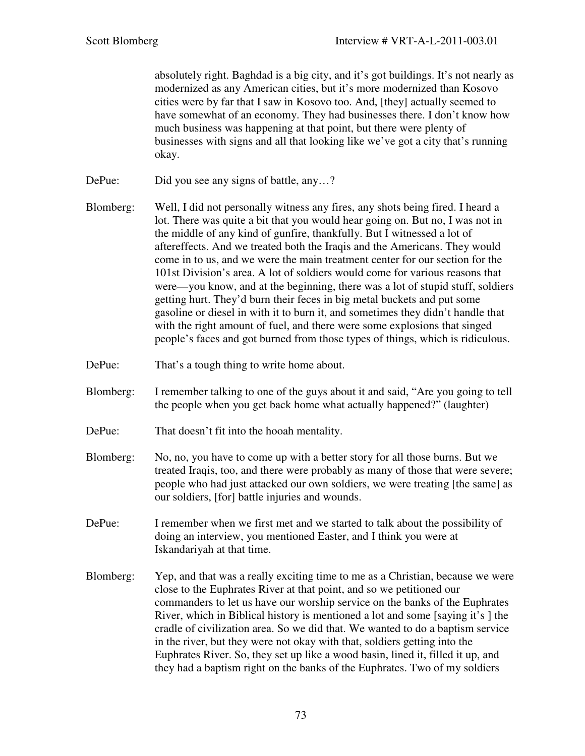absolutely right. Baghdad is a big city, and it's got buildings. It's not nearly as modernized as any American cities, but it's more modernized than Kosovo cities were by far that I saw in Kosovo too. And, [they] actually seemed to have somewhat of an economy. They had businesses there. I don't know how much business was happening at that point, but there were plenty of businesses with signs and all that looking like we've got a city that's running okay.

- DePue: Did you see any signs of battle, any...?
- Blomberg: Well, I did not personally witness any fires, any shots being fired. I heard a lot. There was quite a bit that you would hear going on. But no, I was not in the middle of any kind of gunfire, thankfully. But I witnessed a lot of aftereffects. And we treated both the Iraqis and the Americans. They would come in to us, and we were the main treatment center for our section for the 101st Division's area. A lot of soldiers would come for various reasons that were—you know, and at the beginning, there was a lot of stupid stuff, soldiers getting hurt. They'd burn their feces in big metal buckets and put some gasoline or diesel in with it to burn it, and sometimes they didn't handle that with the right amount of fuel, and there were some explosions that singed people's faces and got burned from those types of things, which is ridiculous.
- DePue: That's a tough thing to write home about.
- Blomberg: I remember talking to one of the guys about it and said, "Are you going to tell the people when you get back home what actually happened?" (laughter)
- DePue: That doesn't fit into the hooah mentality.
- Blomberg: No, no, you have to come up with a better story for all those burns. But we treated Iraqis, too, and there were probably as many of those that were severe; people who had just attacked our own soldiers, we were treating [the same] as our soldiers, [for] battle injuries and wounds.
- DePue: I remember when we first met and we started to talk about the possibility of doing an interview, you mentioned Easter, and I think you were at Iskandariyah at that time.
- Blomberg: Yep, and that was a really exciting time to me as a Christian, because we were close to the Euphrates River at that point, and so we petitioned our commanders to let us have our worship service on the banks of the Euphrates River, which in Biblical history is mentioned a lot and some [saying it's ] the cradle of civilization area. So we did that. We wanted to do a baptism service in the river, but they were not okay with that, soldiers getting into the Euphrates River. So, they set up like a wood basin, lined it, filled it up, and they had a baptism right on the banks of the Euphrates. Two of my soldiers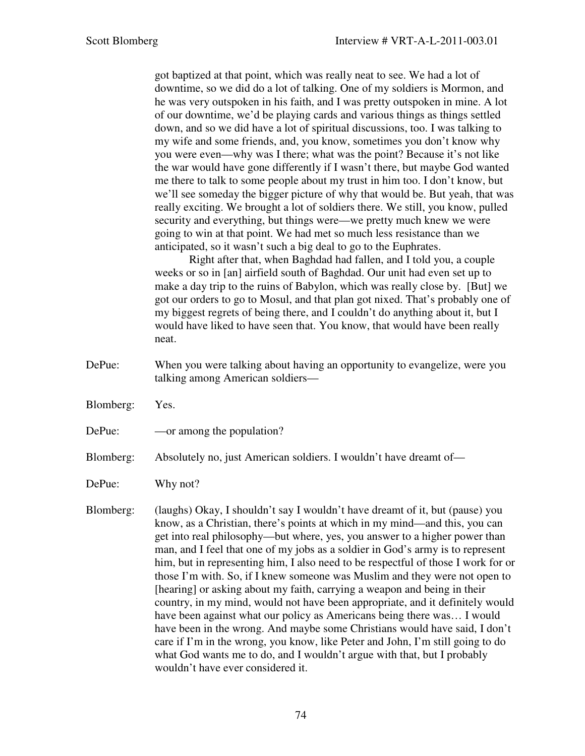got baptized at that point, which was really neat to see. We had a lot of downtime, so we did do a lot of talking. One of my soldiers is Mormon, and he was very outspoken in his faith, and I was pretty outspoken in mine. A lot of our downtime, we'd be playing cards and various things as things settled down, and so we did have a lot of spiritual discussions, too. I was talking to my wife and some friends, and, you know, sometimes you don't know why you were even—why was I there; what was the point? Because it's not like the war would have gone differently if I wasn't there, but maybe God wanted me there to talk to some people about my trust in him too. I don't know, but we'll see someday the bigger picture of why that would be. But yeah, that was really exciting. We brought a lot of soldiers there. We still, you know, pulled security and everything, but things were—we pretty much knew we were going to win at that point. We had met so much less resistance than we anticipated, so it wasn't such a big deal to go to the Euphrates.

 Right after that, when Baghdad had fallen, and I told you, a couple weeks or so in [an] airfield south of Baghdad. Our unit had even set up to make a day trip to the ruins of Babylon, which was really close by. [But] we got our orders to go to Mosul, and that plan got nixed. That's probably one of my biggest regrets of being there, and I couldn't do anything about it, but I would have liked to have seen that. You know, that would have been really neat.

- DePue: When you were talking about having an opportunity to evangelize, were you talking among American soldiers—
- Blomberg: Yes.
- DePue: —or among the population?
- Blomberg: Absolutely no, just American soldiers. I wouldn't have dreamt of—
- DePue: Why not?

Blomberg: (laughs) Okay, I shouldn't say I wouldn't have dreamt of it, but (pause) you know, as a Christian, there's points at which in my mind—and this, you can get into real philosophy—but where, yes, you answer to a higher power than man, and I feel that one of my jobs as a soldier in God's army is to represent him, but in representing him, I also need to be respectful of those I work for or those I'm with. So, if I knew someone was Muslim and they were not open to [hearing] or asking about my faith, carrying a weapon and being in their country, in my mind, would not have been appropriate, and it definitely would have been against what our policy as Americans being there was… I would have been in the wrong. And maybe some Christians would have said, I don't care if I'm in the wrong, you know, like Peter and John, I'm still going to do what God wants me to do, and I wouldn't argue with that, but I probably wouldn't have ever considered it.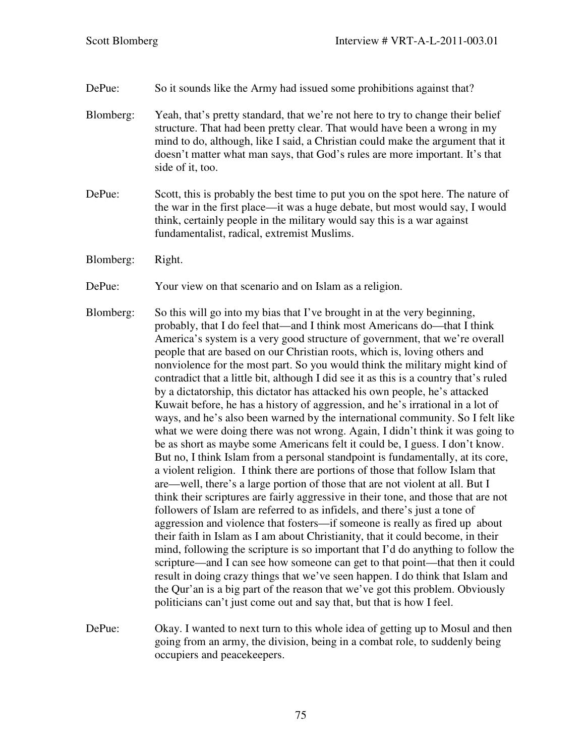- DePue: So it sounds like the Army had issued some prohibitions against that?
- Blomberg: Yeah, that's pretty standard, that we're not here to try to change their belief structure. That had been pretty clear. That would have been a wrong in my mind to do, although, like I said, a Christian could make the argument that it doesn't matter what man says, that God's rules are more important. It's that side of it, too.
- DePue: Scott, this is probably the best time to put you on the spot here. The nature of the war in the first place—it was a huge debate, but most would say, I would think, certainly people in the military would say this is a war against fundamentalist, radical, extremist Muslims.
- Blomberg: Right.
- DePue: Your view on that scenario and on Islam as a religion.
- Blomberg: So this will go into my bias that I've brought in at the very beginning, probably, that I do feel that—and I think most Americans do—that I think America's system is a very good structure of government, that we're overall people that are based on our Christian roots, which is, loving others and nonviolence for the most part. So you would think the military might kind of contradict that a little bit, although I did see it as this is a country that's ruled by a dictatorship, this dictator has attacked his own people, he's attacked Kuwait before, he has a history of aggression, and he's irrational in a lot of ways, and he's also been warned by the international community. So I felt like what we were doing there was not wrong. Again, I didn't think it was going to be as short as maybe some Americans felt it could be, I guess. I don't know. But no, I think Islam from a personal standpoint is fundamentally, at its core, a violent religion. I think there are portions of those that follow Islam that are—well, there's a large portion of those that are not violent at all. But I think their scriptures are fairly aggressive in their tone, and those that are not followers of Islam are referred to as infidels, and there's just a tone of aggression and violence that fosters—if someone is really as fired up about their faith in Islam as I am about Christianity, that it could become, in their mind, following the scripture is so important that I'd do anything to follow the scripture—and I can see how someone can get to that point—that then it could result in doing crazy things that we've seen happen. I do think that Islam and the Qur'an is a big part of the reason that we've got this problem. Obviously politicians can't just come out and say that, but that is how I feel.
- DePue: Okay. I wanted to next turn to this whole idea of getting up to Mosul and then going from an army, the division, being in a combat role, to suddenly being occupiers and peacekeepers.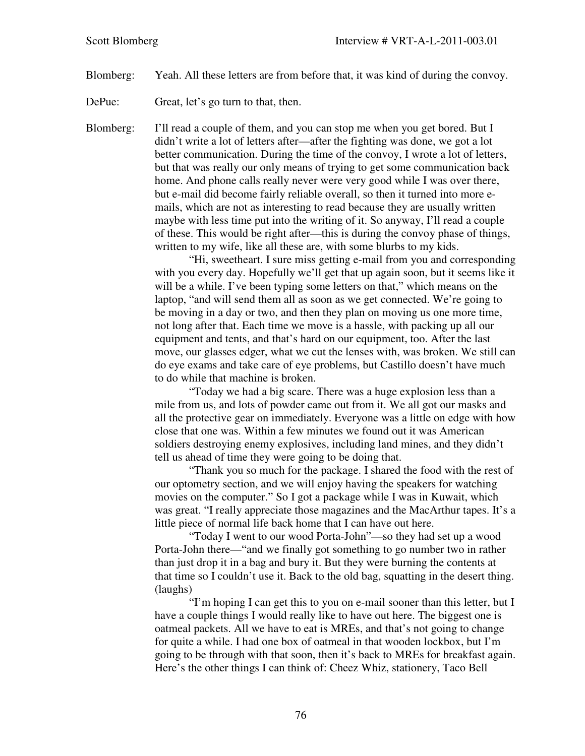- Blomberg: Yeah. All these letters are from before that, it was kind of during the convoy.
- DePue: Great, let's go turn to that, then.

Blomberg: I'll read a couple of them, and you can stop me when you get bored. But I didn't write a lot of letters after—after the fighting was done, we got a lot better communication. During the time of the convoy, I wrote a lot of letters, but that was really our only means of trying to get some communication back home. And phone calls really never were very good while I was over there, but e-mail did become fairly reliable overall, so then it turned into more emails, which are not as interesting to read because they are usually written maybe with less time put into the writing of it. So anyway, I'll read a couple of these. This would be right after—this is during the convoy phase of things, written to my wife, like all these are, with some blurbs to my kids.

> "Hi, sweetheart. I sure miss getting e-mail from you and corresponding with you every day. Hopefully we'll get that up again soon, but it seems like it will be a while. I've been typing some letters on that," which means on the laptop, "and will send them all as soon as we get connected. We're going to be moving in a day or two, and then they plan on moving us one more time, not long after that. Each time we move is a hassle, with packing up all our equipment and tents, and that's hard on our equipment, too. After the last move, our glasses edger, what we cut the lenses with, was broken. We still can do eye exams and take care of eye problems, but Castillo doesn't have much to do while that machine is broken.

> "Today we had a big scare. There was a huge explosion less than a mile from us, and lots of powder came out from it. We all got our masks and all the protective gear on immediately. Everyone was a little on edge with how close that one was. Within a few minutes we found out it was American soldiers destroying enemy explosives, including land mines, and they didn't tell us ahead of time they were going to be doing that.

> "Thank you so much for the package. I shared the food with the rest of our optometry section, and we will enjoy having the speakers for watching movies on the computer." So I got a package while I was in Kuwait, which was great. "I really appreciate those magazines and the MacArthur tapes. It's a little piece of normal life back home that I can have out here.

> "Today I went to our wood Porta-John"—so they had set up a wood Porta-John there—"and we finally got something to go number two in rather than just drop it in a bag and bury it. But they were burning the contents at that time so I couldn't use it. Back to the old bag, squatting in the desert thing. (laughs)

> "I'm hoping I can get this to you on e-mail sooner than this letter, but I have a couple things I would really like to have out here. The biggest one is oatmeal packets. All we have to eat is MREs, and that's not going to change for quite a while. I had one box of oatmeal in that wooden lockbox, but I'm going to be through with that soon, then it's back to MREs for breakfast again. Here's the other things I can think of: Cheez Whiz, stationery, Taco Bell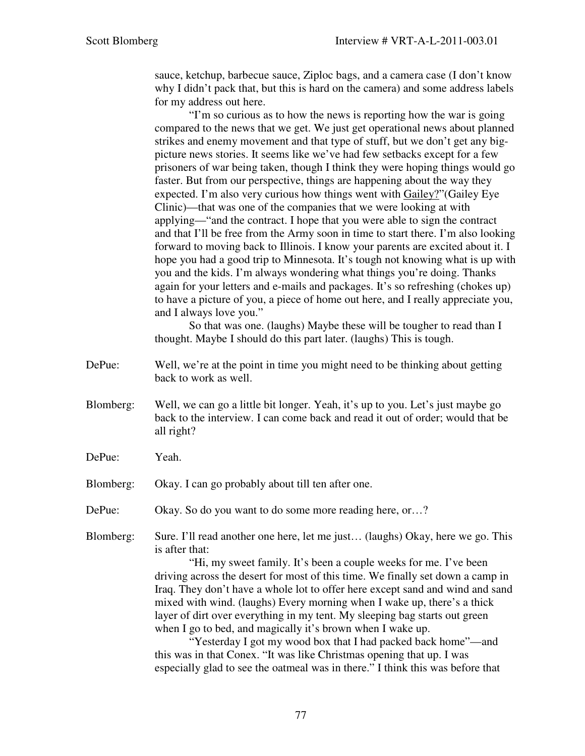sauce, ketchup, barbecue sauce, Ziploc bags, and a camera case (I don't know why I didn't pack that, but this is hard on the camera) and some address labels for my address out here.

"I'm so curious as to how the news is reporting how the war is going compared to the news that we get. We just get operational news about planned strikes and enemy movement and that type of stuff, but we don't get any bigpicture news stories. It seems like we've had few setbacks except for a few prisoners of war being taken, though I think they were hoping things would go faster. But from our perspective, things are happening about the way they expected. I'm also very curious how things went with Gailey?"(Gailey Eye Clinic)—that was one of the companies that we were looking at with applying—"and the contract. I hope that you were able to sign the contract and that I'll be free from the Army soon in time to start there. I'm also looking forward to moving back to Illinois. I know your parents are excited about it. I hope you had a good trip to Minnesota. It's tough not knowing what is up with you and the kids. I'm always wondering what things you're doing. Thanks again for your letters and e-mails and packages. It's so refreshing (chokes up) to have a picture of you, a piece of home out here, and I really appreciate you, and I always love you."

So that was one. (laughs) Maybe these will be tougher to read than I thought. Maybe I should do this part later. (laughs) This is tough.

- DePue: Well, we're at the point in time you might need to be thinking about getting back to work as well.
- Blomberg: Well, we can go a little bit longer. Yeah, it's up to you. Let's just maybe go back to the interview. I can come back and read it out of order; would that be all right?
- DePue: Yeah.
- Blomberg: Okay. I can go probably about till ten after one.
- DePue: Okay. So do you want to do some more reading here, or...?
- Blomberg: Sure. I'll read another one here, let me just… (laughs) Okay, here we go. This is after that:

 "Hi, my sweet family. It's been a couple weeks for me. I've been driving across the desert for most of this time. We finally set down a camp in Iraq. They don't have a whole lot to offer here except sand and wind and sand mixed with wind. (laughs) Every morning when I wake up, there's a thick layer of dirt over everything in my tent. My sleeping bag starts out green when I go to bed, and magically it's brown when I wake up.

"Yesterday I got my wood box that I had packed back home"—and this was in that Conex. "It was like Christmas opening that up. I was especially glad to see the oatmeal was in there." I think this was before that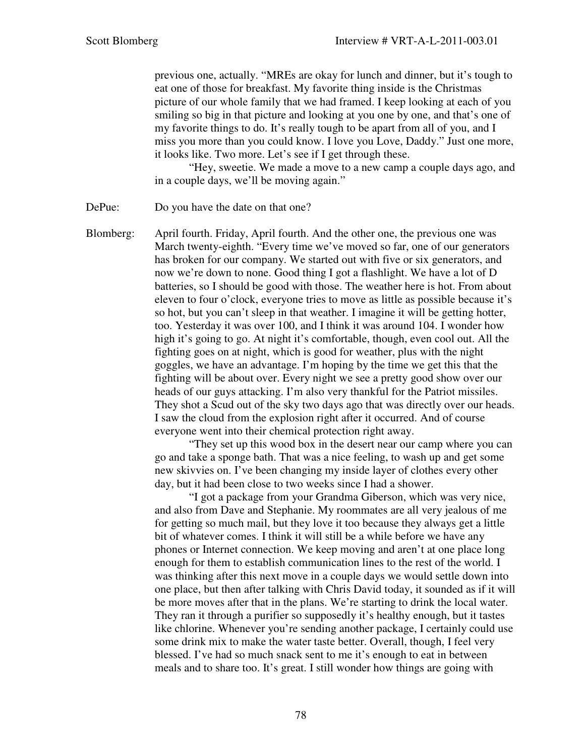previous one, actually. "MREs are okay for lunch and dinner, but it's tough to eat one of those for breakfast. My favorite thing inside is the Christmas picture of our whole family that we had framed. I keep looking at each of you smiling so big in that picture and looking at you one by one, and that's one of my favorite things to do. It's really tough to be apart from all of you, and I miss you more than you could know. I love you Love, Daddy." Just one more, it looks like. Two more. Let's see if I get through these.

"Hey, sweetie. We made a move to a new camp a couple days ago, and in a couple days, we'll be moving again."

DePue: Do you have the date on that one?

Blomberg: April fourth. Friday, April fourth. And the other one, the previous one was March twenty-eighth. "Every time we've moved so far, one of our generators has broken for our company. We started out with five or six generators, and now we're down to none. Good thing I got a flashlight. We have a lot of D batteries, so I should be good with those. The weather here is hot. From about eleven to four o'clock, everyone tries to move as little as possible because it's so hot, but you can't sleep in that weather. I imagine it will be getting hotter, too. Yesterday it was over 100, and I think it was around 104. I wonder how high it's going to go. At night it's comfortable, though, even cool out. All the fighting goes on at night, which is good for weather, plus with the night goggles, we have an advantage. I'm hoping by the time we get this that the fighting will be about over. Every night we see a pretty good show over our heads of our guys attacking. I'm also very thankful for the Patriot missiles. They shot a Scud out of the sky two days ago that was directly over our heads. I saw the cloud from the explosion right after it occurred. And of course everyone went into their chemical protection right away.

 "They set up this wood box in the desert near our camp where you can go and take a sponge bath. That was a nice feeling, to wash up and get some new skivvies on. I've been changing my inside layer of clothes every other day, but it had been close to two weeks since I had a shower.

 "I got a package from your Grandma Giberson, which was very nice, and also from Dave and Stephanie. My roommates are all very jealous of me for getting so much mail, but they love it too because they always get a little bit of whatever comes. I think it will still be a while before we have any phones or Internet connection. We keep moving and aren't at one place long enough for them to establish communication lines to the rest of the world. I was thinking after this next move in a couple days we would settle down into one place, but then after talking with Chris David today, it sounded as if it will be more moves after that in the plans. We're starting to drink the local water. They ran it through a purifier so supposedly it's healthy enough, but it tastes like chlorine. Whenever you're sending another package, I certainly could use some drink mix to make the water taste better. Overall, though, I feel very blessed. I've had so much snack sent to me it's enough to eat in between meals and to share too. It's great. I still wonder how things are going with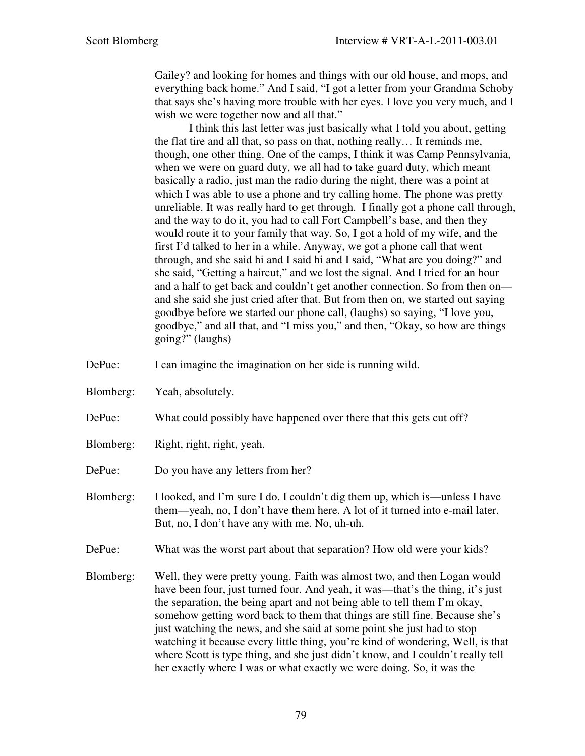Gailey? and looking for homes and things with our old house, and mops, and everything back home." And I said, "I got a letter from your Grandma Schoby that says she's having more trouble with her eyes. I love you very much, and I wish we were together now and all that."

 I think this last letter was just basically what I told you about, getting the flat tire and all that, so pass on that, nothing really… It reminds me, though, one other thing. One of the camps, I think it was Camp Pennsylvania, when we were on guard duty, we all had to take guard duty, which meant basically a radio, just man the radio during the night, there was a point at which I was able to use a phone and try calling home. The phone was pretty unreliable. It was really hard to get through. I finally got a phone call through, and the way to do it, you had to call Fort Campbell's base, and then they would route it to your family that way. So, I got a hold of my wife, and the first I'd talked to her in a while. Anyway, we got a phone call that went through, and she said hi and I said hi and I said, "What are you doing?" and she said, "Getting a haircut," and we lost the signal. And I tried for an hour and a half to get back and couldn't get another connection. So from then on and she said she just cried after that. But from then on, we started out saying goodbye before we started our phone call, (laughs) so saying, "I love you, goodbye," and all that, and "I miss you," and then, "Okay, so how are things going?" (laughs)

- DePue: I can imagine the imagination on her side is running wild.
- Blomberg: Yeah, absolutely.
- DePue: What could possibly have happened over there that this gets cut off?
- Blomberg: Right, right, right, yeah.
- DePue: Do you have any letters from her?
- Blomberg: I looked, and I'm sure I do. I couldn't dig them up, which is—unless I have them—yeah, no, I don't have them here. A lot of it turned into e-mail later. But, no, I don't have any with me. No, uh-uh.
- DePue: What was the worst part about that separation? How old were your kids?
- Blomberg: Well, they were pretty young. Faith was almost two, and then Logan would have been four, just turned four. And yeah, it was—that's the thing, it's just the separation, the being apart and not being able to tell them I'm okay, somehow getting word back to them that things are still fine. Because she's just watching the news, and she said at some point she just had to stop watching it because every little thing, you're kind of wondering, Well, is that where Scott is type thing, and she just didn't know, and I couldn't really tell her exactly where I was or what exactly we were doing. So, it was the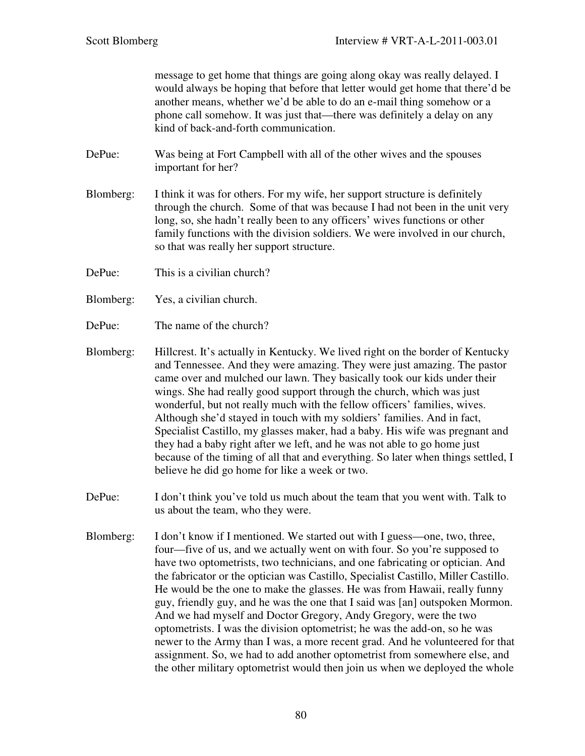message to get home that things are going along okay was really delayed. I would always be hoping that before that letter would get home that there'd be another means, whether we'd be able to do an e-mail thing somehow or a phone call somehow. It was just that—there was definitely a delay on any kind of back-and-forth communication.

- DePue: Was being at Fort Campbell with all of the other wives and the spouses important for her?
- Blomberg: I think it was for others. For my wife, her support structure is definitely through the church. Some of that was because I had not been in the unit very long, so, she hadn't really been to any officers' wives functions or other family functions with the division soldiers. We were involved in our church, so that was really her support structure.
- DePue: This is a civilian church?
- Blomberg: Yes, a civilian church.
- DePue: The name of the church?
- Blomberg: Hillcrest. It's actually in Kentucky. We lived right on the border of Kentucky and Tennessee. And they were amazing. They were just amazing. The pastor came over and mulched our lawn. They basically took our kids under their wings. She had really good support through the church, which was just wonderful, but not really much with the fellow officers' families, wives. Although she'd stayed in touch with my soldiers' families. And in fact, Specialist Castillo, my glasses maker, had a baby. His wife was pregnant and they had a baby right after we left, and he was not able to go home just because of the timing of all that and everything. So later when things settled, I believe he did go home for like a week or two.
- DePue: I don't think you've told us much about the team that you went with. Talk to us about the team, who they were.
- Blomberg: I don't know if I mentioned. We started out with I guess—one, two, three, four—five of us, and we actually went on with four. So you're supposed to have two optometrists, two technicians, and one fabricating or optician. And the fabricator or the optician was Castillo, Specialist Castillo, Miller Castillo. He would be the one to make the glasses. He was from Hawaii, really funny guy, friendly guy, and he was the one that I said was [an] outspoken Mormon. And we had myself and Doctor Gregory, Andy Gregory, were the two optometrists. I was the division optometrist; he was the add-on, so he was newer to the Army than I was, a more recent grad. And he volunteered for that assignment. So, we had to add another optometrist from somewhere else, and the other military optometrist would then join us when we deployed the whole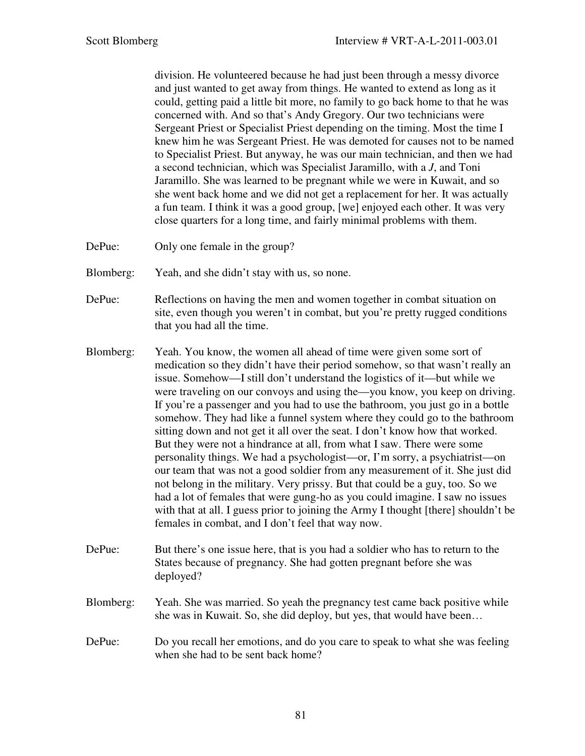division. He volunteered because he had just been through a messy divorce and just wanted to get away from things. He wanted to extend as long as it could, getting paid a little bit more, no family to go back home to that he was concerned with. And so that's Andy Gregory. Our two technicians were Sergeant Priest or Specialist Priest depending on the timing. Most the time I knew him he was Sergeant Priest. He was demoted for causes not to be named to Specialist Priest. But anyway, he was our main technician, and then we had a second technician, which was Specialist Jaramillo, with a *J*, and Toni Jaramillo. She was learned to be pregnant while we were in Kuwait, and so she went back home and we did not get a replacement for her. It was actually a fun team. I think it was a good group, [we] enjoyed each other. It was very close quarters for a long time, and fairly minimal problems with them.

DePue: Only one female in the group?

Blomberg: Yeah, and she didn't stay with us, so none.

- DePue: Reflections on having the men and women together in combat situation on site, even though you weren't in combat, but you're pretty rugged conditions that you had all the time.
- Blomberg: Yeah. You know, the women all ahead of time were given some sort of medication so they didn't have their period somehow, so that wasn't really an issue. Somehow—I still don't understand the logistics of it—but while we were traveling on our convoys and using the—you know, you keep on driving. If you're a passenger and you had to use the bathroom, you just go in a bottle somehow. They had like a funnel system where they could go to the bathroom sitting down and not get it all over the seat. I don't know how that worked. But they were not a hindrance at all, from what I saw. There were some personality things. We had a psychologist—or, I'm sorry, a psychiatrist—on our team that was not a good soldier from any measurement of it. She just did not belong in the military. Very prissy. But that could be a guy, too. So we had a lot of females that were gung-ho as you could imagine. I saw no issues with that at all. I guess prior to joining the Army I thought [there] shouldn't be females in combat, and I don't feel that way now.
- DePue: But there's one issue here, that is you had a soldier who has to return to the States because of pregnancy. She had gotten pregnant before she was deployed?
- Blomberg: Yeah. She was married. So yeah the pregnancy test came back positive while she was in Kuwait. So, she did deploy, but yes, that would have been…
- DePue: Do you recall her emotions, and do you care to speak to what she was feeling when she had to be sent back home?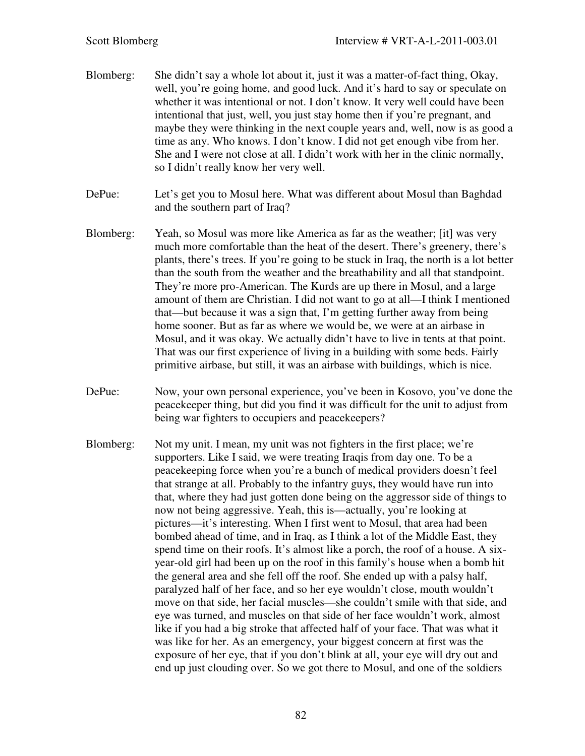- Blomberg: She didn't say a whole lot about it, just it was a matter-of-fact thing, Okay, well, you're going home, and good luck. And it's hard to say or speculate on whether it was intentional or not. I don't know. It very well could have been intentional that just, well, you just stay home then if you're pregnant, and maybe they were thinking in the next couple years and, well, now is as good a time as any. Who knows. I don't know. I did not get enough vibe from her. She and I were not close at all. I didn't work with her in the clinic normally, so I didn't really know her very well.
- DePue: Let's get you to Mosul here. What was different about Mosul than Baghdad and the southern part of Iraq?
- Blomberg: Yeah, so Mosul was more like America as far as the weather; [it] was very much more comfortable than the heat of the desert. There's greenery, there's plants, there's trees. If you're going to be stuck in Iraq, the north is a lot better than the south from the weather and the breathability and all that standpoint. They're more pro-American. The Kurds are up there in Mosul, and a large amount of them are Christian. I did not want to go at all—I think I mentioned that—but because it was a sign that, I'm getting further away from being home sooner. But as far as where we would be, we were at an airbase in Mosul, and it was okay. We actually didn't have to live in tents at that point. That was our first experience of living in a building with some beds. Fairly primitive airbase, but still, it was an airbase with buildings, which is nice.
- DePue: Now, your own personal experience, you've been in Kosovo, you've done the peacekeeper thing, but did you find it was difficult for the unit to adjust from being war fighters to occupiers and peacekeepers?
- Blomberg: Not my unit. I mean, my unit was not fighters in the first place; we're supporters. Like I said, we were treating Iraqis from day one. To be a peacekeeping force when you're a bunch of medical providers doesn't feel that strange at all. Probably to the infantry guys, they would have run into that, where they had just gotten done being on the aggressor side of things to now not being aggressive. Yeah, this is—actually, you're looking at pictures—it's interesting. When I first went to Mosul, that area had been bombed ahead of time, and in Iraq, as I think a lot of the Middle East, they spend time on their roofs. It's almost like a porch, the roof of a house. A sixyear-old girl had been up on the roof in this family's house when a bomb hit the general area and she fell off the roof. She ended up with a palsy half, paralyzed half of her face, and so her eye wouldn't close, mouth wouldn't move on that side, her facial muscles—she couldn't smile with that side, and eye was turned, and muscles on that side of her face wouldn't work, almost like if you had a big stroke that affected half of your face. That was what it was like for her. As an emergency, your biggest concern at first was the exposure of her eye, that if you don't blink at all, your eye will dry out and end up just clouding over. So we got there to Mosul, and one of the soldiers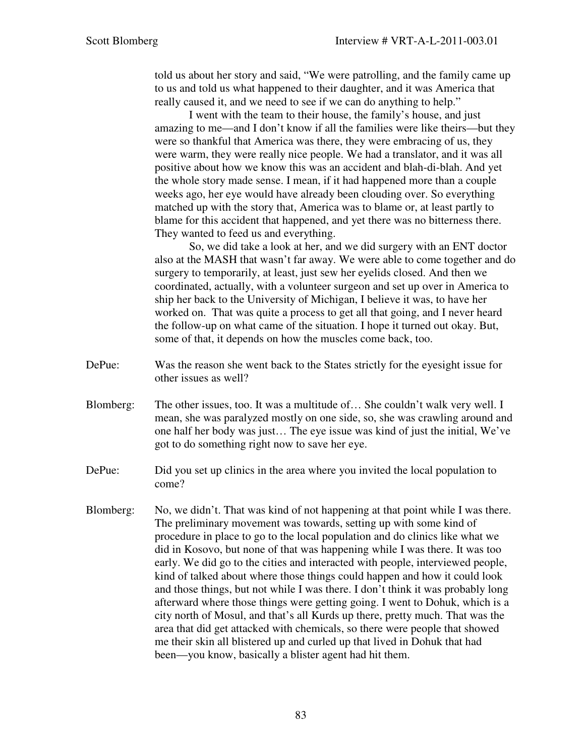told us about her story and said, "We were patrolling, and the family came up to us and told us what happened to their daughter, and it was America that really caused it, and we need to see if we can do anything to help."

I went with the team to their house, the family's house, and just amazing to me—and I don't know if all the families were like theirs—but they were so thankful that America was there, they were embracing of us, they were warm, they were really nice people. We had a translator, and it was all positive about how we know this was an accident and blah-di-blah. And yet the whole story made sense. I mean, if it had happened more than a couple weeks ago, her eye would have already been clouding over. So everything matched up with the story that, America was to blame or, at least partly to blame for this accident that happened, and yet there was no bitterness there. They wanted to feed us and everything.

So, we did take a look at her, and we did surgery with an ENT doctor also at the MASH that wasn't far away. We were able to come together and do surgery to temporarily, at least, just sew her eyelids closed. And then we coordinated, actually, with a volunteer surgeon and set up over in America to ship her back to the University of Michigan, I believe it was, to have her worked on. That was quite a process to get all that going, and I never heard the follow-up on what came of the situation. I hope it turned out okay. But, some of that, it depends on how the muscles come back, too.

- DePue: Was the reason she went back to the States strictly for the eyesight issue for other issues as well?
- Blomberg: The other issues, too. It was a multitude of… She couldn't walk very well. I mean, she was paralyzed mostly on one side, so, she was crawling around and one half her body was just… The eye issue was kind of just the initial, We've got to do something right now to save her eye.
- DePue: Did you set up clinics in the area where you invited the local population to come?
- Blomberg: No, we didn't. That was kind of not happening at that point while I was there. The preliminary movement was towards, setting up with some kind of procedure in place to go to the local population and do clinics like what we did in Kosovo, but none of that was happening while I was there. It was too early. We did go to the cities and interacted with people, interviewed people, kind of talked about where those things could happen and how it could look and those things, but not while I was there. I don't think it was probably long afterward where those things were getting going. I went to Dohuk, which is a city north of Mosul, and that's all Kurds up there, pretty much. That was the area that did get attacked with chemicals, so there were people that showed me their skin all blistered up and curled up that lived in Dohuk that had been—you know, basically a blister agent had hit them.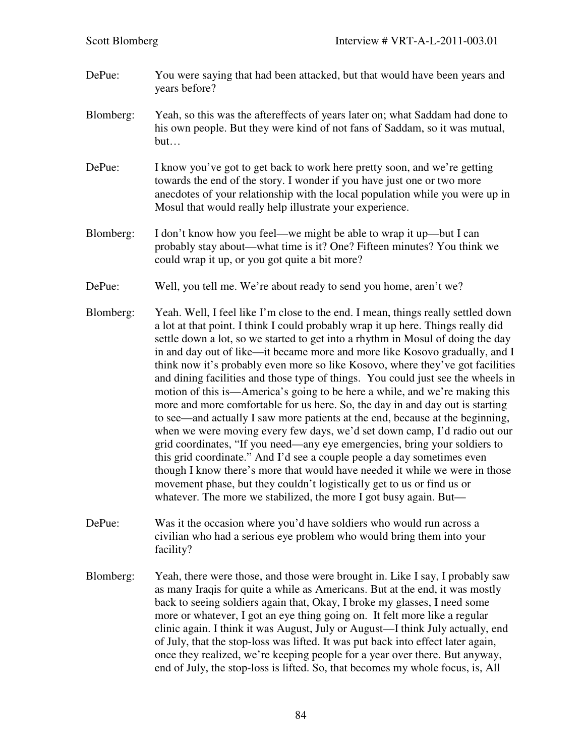- DePue: You were saying that had been attacked, but that would have been years and years before?
- Blomberg: Yeah, so this was the aftereffects of years later on; what Saddam had done to his own people. But they were kind of not fans of Saddam, so it was mutual, but…
- DePue: I know you've got to get back to work here pretty soon, and we're getting towards the end of the story. I wonder if you have just one or two more anecdotes of your relationship with the local population while you were up in Mosul that would really help illustrate your experience.
- Blomberg: I don't know how you feel—we might be able to wrap it up—but I can probably stay about—what time is it? One? Fifteen minutes? You think we could wrap it up, or you got quite a bit more?
- DePue: Well, you tell me. We're about ready to send you home, aren't we?
- Blomberg: Yeah. Well, I feel like I'm close to the end. I mean, things really settled down a lot at that point. I think I could probably wrap it up here. Things really did settle down a lot, so we started to get into a rhythm in Mosul of doing the day in and day out of like—it became more and more like Kosovo gradually, and I think now it's probably even more so like Kosovo, where they've got facilities and dining facilities and those type of things. You could just see the wheels in motion of this is—America's going to be here a while, and we're making this more and more comfortable for us here. So, the day in and day out is starting to see—and actually I saw more patients at the end, because at the beginning, when we were moving every few days, we'd set down camp, I'd radio out our grid coordinates, "If you need—any eye emergencies, bring your soldiers to this grid coordinate." And I'd see a couple people a day sometimes even though I know there's more that would have needed it while we were in those movement phase, but they couldn't logistically get to us or find us or whatever. The more we stabilized, the more I got busy again. But—
- DePue: Was it the occasion where you'd have soldiers who would run across a civilian who had a serious eye problem who would bring them into your facility?
- Blomberg: Yeah, there were those, and those were brought in. Like I say, I probably saw as many Iraqis for quite a while as Americans. But at the end, it was mostly back to seeing soldiers again that, Okay, I broke my glasses, I need some more or whatever, I got an eye thing going on. It felt more like a regular clinic again. I think it was August, July or August—I think July actually, end of July, that the stop-loss was lifted. It was put back into effect later again, once they realized, we're keeping people for a year over there. But anyway, end of July, the stop-loss is lifted. So, that becomes my whole focus, is, All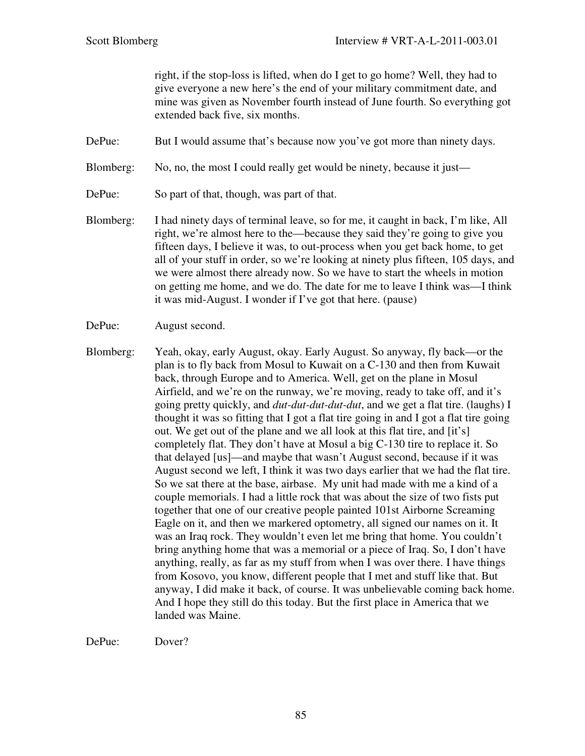right, if the stop-loss is lifted, when do I get to go home? Well, they had to give everyone a new here's the end of your military commitment date, and mine was given as November fourth instead of June fourth. So everything got extended back five, six months.

- DePue: But I would assume that's because now you've got more than ninety days.
- Blomberg: No, no, the most I could really get would be ninety, because it just—
- DePue: So part of that, though, was part of that.
- Blomberg: I had ninety days of terminal leave, so for me, it caught in back, I'm like, All right, we're almost here to the—because they said they're going to give you fifteen days, I believe it was, to out-process when you get back home, to get all of your stuff in order, so we're looking at ninety plus fifteen, 105 days, and we were almost there already now. So we have to start the wheels in motion on getting me home, and we do. The date for me to leave I think was—I think it was mid-August. I wonder if I've got that here. (pause)
- DePue: August second.
- Blomberg: Yeah, okay, early August, okay. Early August. So anyway, fly back—or the plan is to fly back from Mosul to Kuwait on a C-130 and then from Kuwait back, through Europe and to America. Well, get on the plane in Mosul Airfield, and we're on the runway, we're moving, ready to take off, and it's going pretty quickly, and *dut-dut-dut-dut-dut*, and we get a flat tire. (laughs) I thought it was so fitting that I got a flat tire going in and I got a flat tire going out. We get out of the plane and we all look at this flat tire, and [it's] completely flat. They don't have at Mosul a big C-130 tire to replace it. So that delayed [us]—and maybe that wasn't August second, because if it was August second we left, I think it was two days earlier that we had the flat tire. So we sat there at the base, airbase. My unit had made with me a kind of a couple memorials. I had a little rock that was about the size of two fists put together that one of our creative people painted 101st Airborne Screaming Eagle on it, and then we markered optometry, all signed our names on it. It was an Iraq rock. They wouldn't even let me bring that home. You couldn't bring anything home that was a memorial or a piece of Iraq. So, I don't have anything, really, as far as my stuff from when I was over there. I have things from Kosovo, you know, different people that I met and stuff like that. But anyway, I did make it back, of course. It was unbelievable coming back home. And I hope they still do this today. But the first place in America that we landed was Maine.

DePue: Dover?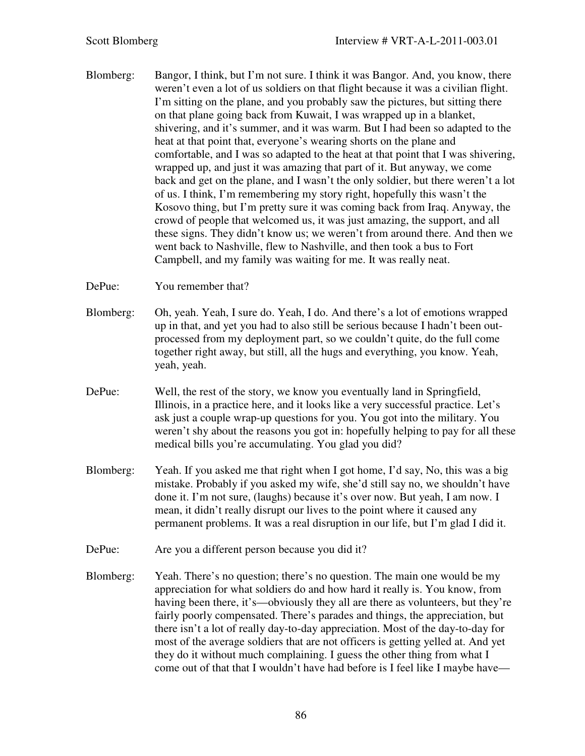Blomberg: Bangor, I think, but I'm not sure. I think it was Bangor. And, you know, there weren't even a lot of us soldiers on that flight because it was a civilian flight. I'm sitting on the plane, and you probably saw the pictures, but sitting there on that plane going back from Kuwait, I was wrapped up in a blanket, shivering, and it's summer, and it was warm. But I had been so adapted to the heat at that point that, everyone's wearing shorts on the plane and comfortable, and I was so adapted to the heat at that point that I was shivering, wrapped up, and just it was amazing that part of it. But anyway, we come back and get on the plane, and I wasn't the only soldier, but there weren't a lot of us. I think, I'm remembering my story right, hopefully this wasn't the Kosovo thing, but I'm pretty sure it was coming back from Iraq. Anyway, the crowd of people that welcomed us, it was just amazing, the support, and all these signs. They didn't know us; we weren't from around there. And then we went back to Nashville, flew to Nashville, and then took a bus to Fort Campbell, and my family was waiting for me. It was really neat.

DePue: You remember that?

- Blomberg: Oh, yeah. Yeah, I sure do. Yeah, I do. And there's a lot of emotions wrapped up in that, and yet you had to also still be serious because I hadn't been outprocessed from my deployment part, so we couldn't quite, do the full come together right away, but still, all the hugs and everything, you know. Yeah, yeah, yeah.
- DePue: Well, the rest of the story, we know you eventually land in Springfield, Illinois, in a practice here, and it looks like a very successful practice. Let's ask just a couple wrap-up questions for you. You got into the military. You weren't shy about the reasons you got in: hopefully helping to pay for all these medical bills you're accumulating. You glad you did?
- Blomberg: Yeah. If you asked me that right when I got home, I'd say, No, this was a big mistake. Probably if you asked my wife, she'd still say no, we shouldn't have done it. I'm not sure, (laughs) because it's over now. But yeah, I am now. I mean, it didn't really disrupt our lives to the point where it caused any permanent problems. It was a real disruption in our life, but I'm glad I did it.
- DePue: Are you a different person because you did it?
- Blomberg: Yeah. There's no question; there's no question. The main one would be my appreciation for what soldiers do and how hard it really is. You know, from having been there, it's—obviously they all are there as volunteers, but they're fairly poorly compensated. There's parades and things, the appreciation, but there isn't a lot of really day-to-day appreciation. Most of the day-to-day for most of the average soldiers that are not officers is getting yelled at. And yet they do it without much complaining. I guess the other thing from what I come out of that that I wouldn't have had before is I feel like I maybe have—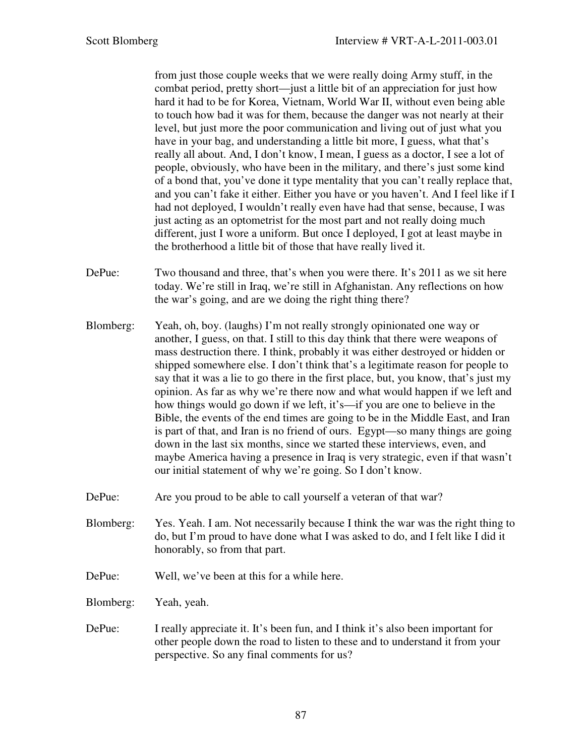from just those couple weeks that we were really doing Army stuff, in the combat period, pretty short—just a little bit of an appreciation for just how hard it had to be for Korea, Vietnam, World War II, without even being able to touch how bad it was for them, because the danger was not nearly at their level, but just more the poor communication and living out of just what you have in your bag, and understanding a little bit more, I guess, what that's really all about. And, I don't know, I mean, I guess as a doctor, I see a lot of people, obviously, who have been in the military, and there's just some kind of a bond that, you've done it type mentality that you can't really replace that, and you can't fake it either. Either you have or you haven't. And I feel like if I had not deployed, I wouldn't really even have had that sense, because, I was just acting as an optometrist for the most part and not really doing much different, just I wore a uniform. But once I deployed, I got at least maybe in the brotherhood a little bit of those that have really lived it.

- DePue: Two thousand and three, that's when you were there. It's 2011 as we sit here today. We're still in Iraq, we're still in Afghanistan. Any reflections on how the war's going, and are we doing the right thing there?
- Blomberg: Yeah, oh, boy. (laughs) I'm not really strongly opinionated one way or another, I guess, on that. I still to this day think that there were weapons of mass destruction there. I think, probably it was either destroyed or hidden or shipped somewhere else. I don't think that's a legitimate reason for people to say that it was a lie to go there in the first place, but, you know, that's just my opinion. As far as why we're there now and what would happen if we left and how things would go down if we left, it's—if you are one to believe in the Bible, the events of the end times are going to be in the Middle East, and Iran is part of that, and Iran is no friend of ours. Egypt—so many things are going down in the last six months, since we started these interviews, even, and maybe America having a presence in Iraq is very strategic, even if that wasn't our initial statement of why we're going. So I don't know.
- DePue: Are you proud to be able to call yourself a veteran of that war?
- Blomberg: Yes. Yeah. I am. Not necessarily because I think the war was the right thing to do, but I'm proud to have done what I was asked to do, and I felt like I did it honorably, so from that part.
- DePue: Well, we've been at this for a while here.
- Blomberg: Yeah, yeah.
- DePue: I really appreciate it. It's been fun, and I think it's also been important for other people down the road to listen to these and to understand it from your perspective. So any final comments for us?